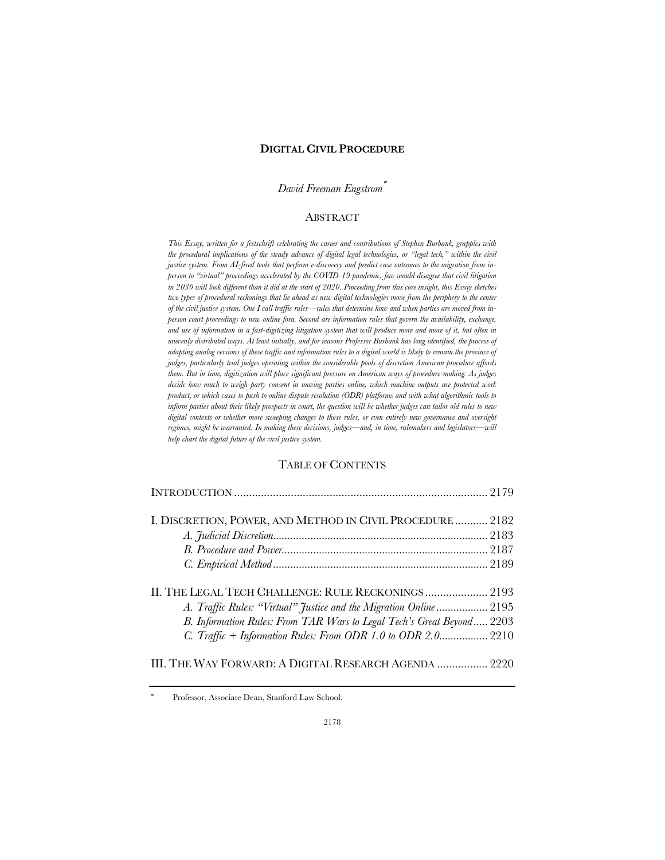## **DIGITAL CIVIL PROCEDURE**

## *David Freeman Engstrom*\*

## ABSTRACT

*This Essay, written for a festschrift celebrating the career and contributions of Stephen Burbank, grapples with*  the procedural implications of the steady advance of digital legal technologies, or "legal tech," within the civil *justice system. From AI-fired tools that perform e-discovery and predict case outcomes to the migration from inperson to "virtual" proceedings accelerated by the COVID-19 pandemic, few would disagree that civil litigation in 2030 will look different than it did at the start of 2020. Proceeding from this core insight, this Essay sketches*  two types of procedural reckonings that lie ahead as new digital technologies move from the periphery to the center *of the civil justice system. One I call traffic rules—rules that determine how and when parties are moved from inperson court proceedings to new online fora. Second are information rules that govern the availability, exchange, and use of information in a fast-digitizing litigation system that will produce more and more of it, but often in unevenly distributed ways. At least initially, and for reasons Professor Burbank has long identified, the process of adapting analog versions of these traffic and information rules to a digital world is likely to remain the province of judges, particularly trial judges operating within the considerable pools of discretion American procedure affords them. But in time, digitization will place significant pressure on American ways of procedure-making. As judges decide how much to weigh party consent in moving parties online, which machine outputs are protected work product, or which cases to push to online dispute resolution (ODR) platforms and with what algorithmic tools to inform parties about their likely prospects in court, the question will be whether judges can tailor old rules to new digital contexts or whether more sweeping changes to those rules, or even entirely new governance and oversight regimes, might be warranted. In making these decisions, judges—and, in time, rulemakers and legislators—will help chart the digital future of the civil justice system.*

# TABLE OF CONTENTS

| I. DISCRETION, POWER, AND METHOD IN CIVIL PROCEDURE 2182              |  |
|-----------------------------------------------------------------------|--|
|                                                                       |  |
|                                                                       |  |
|                                                                       |  |
|                                                                       |  |
|                                                                       |  |
| A. Traffic Rules: "Virtual" Justice and the Migration Online 2195     |  |
| B. Information Rules: From TAR Wars to Legal Tech's Great Beyond 2203 |  |
| C. Traffic + Information Rules: From ODR 1.0 to ODR 2.0 2210          |  |
| III. THE WAY FORWARD: A DIGITAL RESEARCH AGENDA  2220                 |  |

Professor, Associate Dean, Stanford Law School.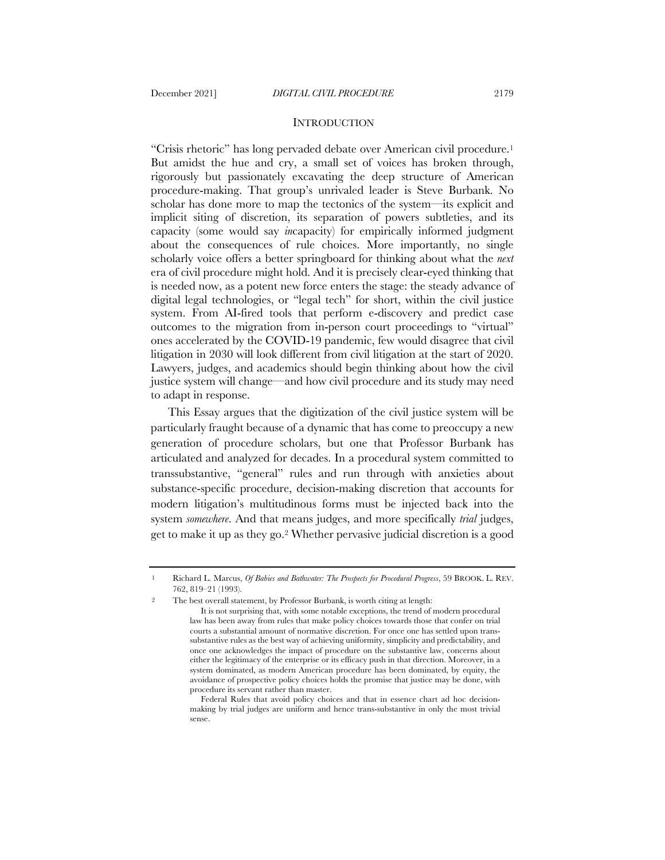#### **INTRODUCTION**

"Crisis rhetoric" has long pervaded debate over American civil procedure.1 But amidst the hue and cry, a small set of voices has broken through, rigorously but passionately excavating the deep structure of American procedure-making. That group's unrivaled leader is Steve Burbank. No scholar has done more to map the tectonics of the system—its explicit and implicit siting of discretion, its separation of powers subtleties, and its capacity (some would say *in*capacity) for empirically informed judgment about the consequences of rule choices. More importantly, no single scholarly voice offers a better springboard for thinking about what the *next* era of civil procedure might hold. And it is precisely clear-eyed thinking that is needed now, as a potent new force enters the stage: the steady advance of digital legal technologies, or "legal tech" for short, within the civil justice system. From AI-fired tools that perform e-discovery and predict case outcomes to the migration from in-person court proceedings to "virtual" ones accelerated by the COVID-19 pandemic, few would disagree that civil litigation in 2030 will look different from civil litigation at the start of 2020. Lawyers, judges, and academics should begin thinking about how the civil justice system will change—and how civil procedure and its study may need to adapt in response.

This Essay argues that the digitization of the civil justice system will be particularly fraught because of a dynamic that has come to preoccupy a new generation of procedure scholars, but one that Professor Burbank has articulated and analyzed for decades. In a procedural system committed to transsubstantive, "general" rules and run through with anxieties about substance-specific procedure, decision-making discretion that accounts for modern litigation's multitudinous forms must be injected back into the system *somewhere*. And that means judges, and more specifically *trial* judges, get to make it up as they go.2 Whether pervasive judicial discretion is a good

<sup>1</sup> Richard L. Marcus, *Of Babies and Bathwater: The Prospects for Procedural Progress*, 59 BROOK. L. REV. 762, 819–21 (1993).

The best overall statement, by Professor Burbank, is worth citing at length:

It is not surprising that, with some notable exceptions, the trend of modern procedural law has been away from rules that make policy choices towards those that confer on trial courts a substantial amount of normative discretion. For once one has settled upon transsubstantive rules as the best way of achieving uniformity, simplicity and predictability, and once one acknowledges the impact of procedure on the substantive law, concerns about either the legitimacy of the enterprise or its efficacy push in that direction. Moreover, in a system dominated, as modern American procedure has been dominated, by equity, the avoidance of prospective policy choices holds the promise that justice may be done, with procedure its servant rather than master.

Federal Rules that avoid policy choices and that in essence chart ad hoc decisionmaking by trial judges are uniform and hence trans-substantive in only the most trivial sense.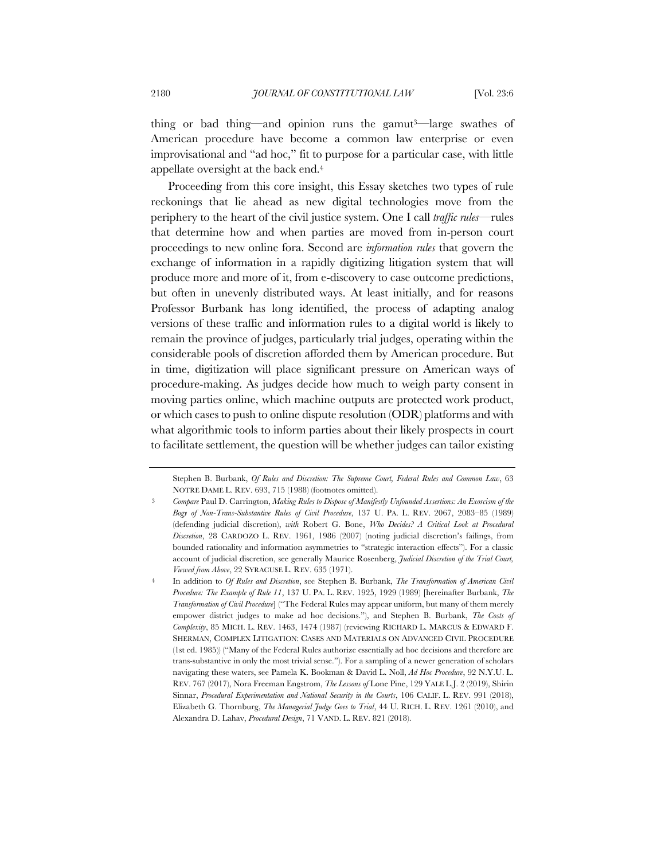thing or bad thing—and opinion runs the gamut<sup>3—</sup>large swathes of American procedure have become a common law enterprise or even improvisational and "ad hoc," fit to purpose for a particular case, with little appellate oversight at the back end.4

Proceeding from this core insight, this Essay sketches two types of rule reckonings that lie ahead as new digital technologies move from the periphery to the heart of the civil justice system. One I call *traffic rules*—rules that determine how and when parties are moved from in-person court proceedings to new online fora. Second are *information rules* that govern the exchange of information in a rapidly digitizing litigation system that will produce more and more of it, from e-discovery to case outcome predictions, but often in unevenly distributed ways. At least initially, and for reasons Professor Burbank has long identified, the process of adapting analog versions of these traffic and information rules to a digital world is likely to remain the province of judges, particularly trial judges, operating within the considerable pools of discretion afforded them by American procedure. But in time, digitization will place significant pressure on American ways of procedure-making. As judges decide how much to weigh party consent in moving parties online, which machine outputs are protected work product, or which cases to push to online dispute resolution (ODR) platforms and with what algorithmic tools to inform parties about their likely prospects in court to facilitate settlement, the question will be whether judges can tailor existing

Stephen B. Burbank, *Of Rules and Discretion: The Supreme Court, Federal Rules and Common Law*, 63 NOTRE DAME L. REV. 693, 715 (1988) (footnotes omitted).

<sup>3</sup> *Compare* Paul D. Carrington, *Making Rules to Dispose of Manifestly Unfounded Assertions: An Exorcism of the Bogy of Non-Trans-Substantive Rules of Civil Procedure*, 137 U. PA. L. REV. 2067, 2083–85 (1989) (defending judicial discretion), *with* Robert G. Bone, *Who Decides? A Critical Look at Procedural Discretion*, 28 CARDOZO L. REV. 1961, 1986 (2007) (noting judicial discretion's failings, from bounded rationality and information asymmetries to "strategic interaction effects"). For a classic account of judicial discretion, see generally Maurice Rosenberg, *Judicial Discretion of the Trial Court, Viewed from Above*, 22 SYRACUSE L. REV. 635 (1971).

<sup>4</sup> In addition to *Of Rules and Discretion*, see Stephen B. Burbank, *The Transformation of American Civil Procedure: The Example of Rule 11*, 137 U. PA. L. REV. 1925, 1929 (1989) [hereinafter Burbank, *The Transformation of Civil Procedure*] ("The Federal Rules may appear uniform, but many of them merely empower district judges to make ad hoc decisions."), and Stephen B. Burbank, *The Costs of Complexity*, 85 MICH. L. REV. 1463, 1474 (1987) (reviewing RICHARD L. MARCUS & EDWARD F. SHERMAN, COMPLEX LITIGATION: CASES AND MATERIALS ON ADVANCED CIVIL PROCEDURE (1st ed. 1985)) ("Many of the Federal Rules authorize essentially ad hoc decisions and therefore are trans-substantive in only the most trivial sense."). For a sampling of a newer generation of scholars navigating these waters, see Pamela K. Bookman & David L. Noll, *Ad Hoc Procedure*, 92 N.Y.U. L. REV. 767 (2017), Nora Freeman Engstrom, *The Lessons of* Lone Pine, 129 YALE L.J. 2 (2019), Shirin Sinnar, *Procedural Experimentation and National Security in the Courts*, 106 CALIF. L. REV. 991 (2018), Elizabeth G. Thornburg, *The Managerial Judge Goes to Trial*, 44 U. RICH. L. REV. 1261 (2010), and Alexandra D. Lahav, *Procedural Design*, 71 VAND. L. REV. 821 (2018).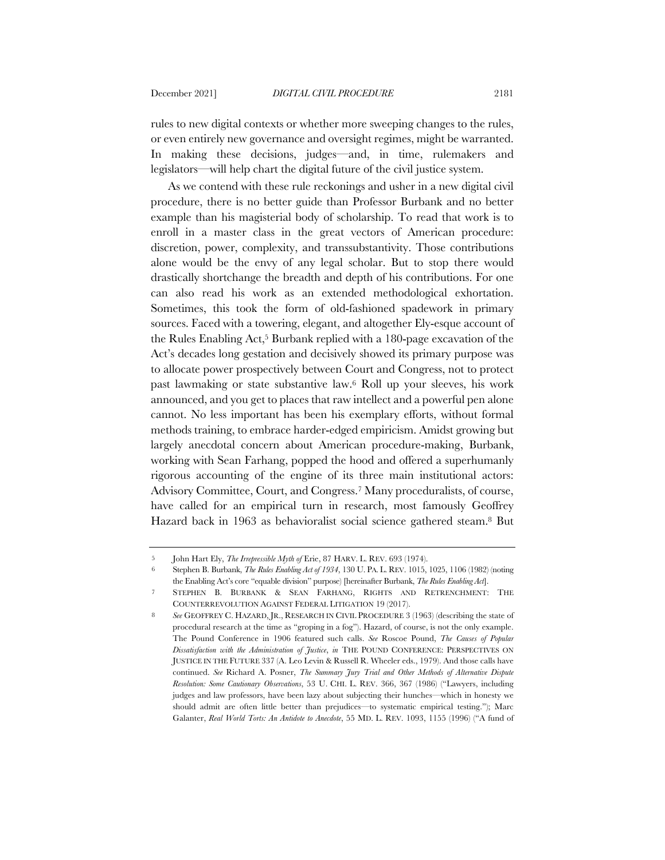rules to new digital contexts or whether more sweeping changes to the rules, or even entirely new governance and oversight regimes, might be warranted. In making these decisions, judges—and, in time, rulemakers and legislators—will help chart the digital future of the civil justice system.

As we contend with these rule reckonings and usher in a new digital civil procedure, there is no better guide than Professor Burbank and no better example than his magisterial body of scholarship. To read that work is to enroll in a master class in the great vectors of American procedure: discretion, power, complexity, and transsubstantivity. Those contributions alone would be the envy of any legal scholar. But to stop there would drastically shortchange the breadth and depth of his contributions. For one can also read his work as an extended methodological exhortation. Sometimes, this took the form of old-fashioned spadework in primary sources. Faced with a towering, elegant, and altogether Ely-esque account of the Rules Enabling Act,5 Burbank replied with a 180-page excavation of the Act's decades long gestation and decisively showed its primary purpose was to allocate power prospectively between Court and Congress, not to protect past lawmaking or state substantive law.6 Roll up your sleeves, his work announced, and you get to places that raw intellect and a powerful pen alone cannot. No less important has been his exemplary efforts, without formal methods training, to embrace harder-edged empiricism. Amidst growing but largely anecdotal concern about American procedure-making, Burbank, working with Sean Farhang, popped the hood and offered a superhumanly rigorous accounting of the engine of its three main institutional actors: Advisory Committee, Court, and Congress.7 Many proceduralists, of course, have called for an empirical turn in research, most famously Geoffrey Hazard back in 1963 as behavioralist social science gathered steam.8 But

<sup>5</sup> John Hart Ely, *The Irrepressible Myth of* Erie, 87 HARV. L. REV. 693 (1974).

<sup>6</sup> Stephen B. Burbank, *The Rules Enabling Act of 1934*, 130 U. PA. L. REV. 1015, 1025, 1106 (1982) (noting the Enabling Act's core "equable division" purpose) [hereinafter Burbank, *The Rules Enabling Act*].

<sup>7</sup> STEPHEN B. BURBANK & SEAN FARHANG, RIGHTS AND RETRENCHMENT: THE COUNTERREVOLUTION AGAINST FEDERAL LITIGATION 19 (2017).

<sup>8</sup> *See* GEOFFREY C. HAZARD, JR., RESEARCH IN CIVIL PROCEDURE 3 (1963) (describing the state of procedural research at the time as "groping in a fog"). Hazard, of course, is not the only example. The Pound Conference in 1906 featured such calls. *See* Roscoe Pound, *The Causes of Popular Dissatisfaction with the Administration of Justice*, *in* THE POUND CONFERENCE: PERSPECTIVES ON JUSTICE IN THE FUTURE 337 (A. Leo Levin & Russell R. Wheeler eds., 1979). And those calls have continued. *See* Richard A. Posner, *The Summary Jury Trial and Other Methods of Alternative Dispute Resolution: Some Cautionary Observations*, 53 U. CHI. L. REV. 366, 367 (1986) ("Lawyers, including judges and law professors, have been lazy about subjecting their hunches—which in honesty we should admit are often little better than prejudices—to systematic empirical testing."); Marc Galanter, *Real World Torts: An Antidote to Anecdote*, 55 MD. L. REV. 1093, 1155 (1996) ("A fund of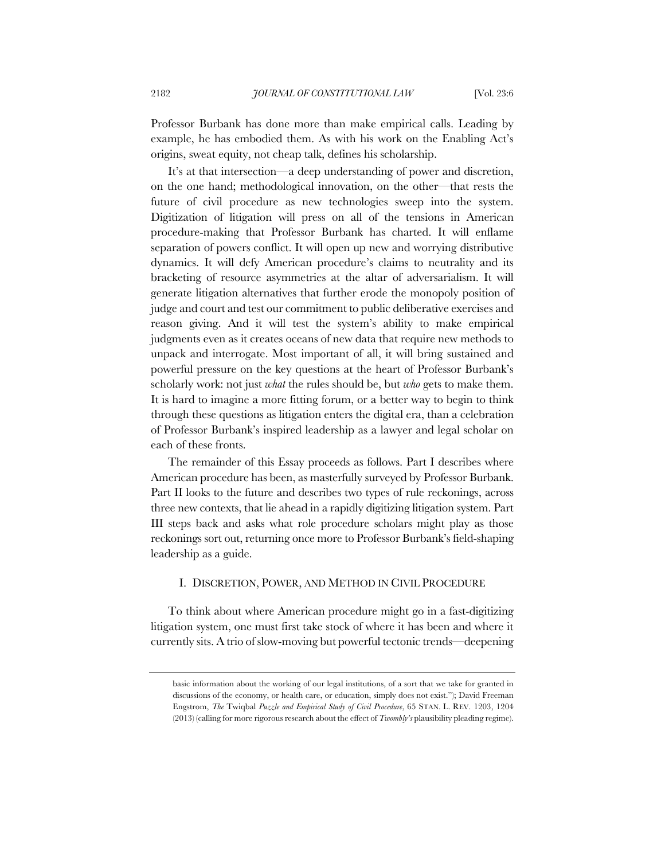Professor Burbank has done more than make empirical calls. Leading by example, he has embodied them. As with his work on the Enabling Act's origins, sweat equity, not cheap talk, defines his scholarship.

It's at that intersection—a deep understanding of power and discretion, on the one hand; methodological innovation, on the other—that rests the future of civil procedure as new technologies sweep into the system. Digitization of litigation will press on all of the tensions in American procedure-making that Professor Burbank has charted. It will enflame separation of powers conflict. It will open up new and worrying distributive dynamics. It will defy American procedure's claims to neutrality and its bracketing of resource asymmetries at the altar of adversarialism. It will generate litigation alternatives that further erode the monopoly position of judge and court and test our commitment to public deliberative exercises and reason giving. And it will test the system's ability to make empirical judgments even as it creates oceans of new data that require new methods to unpack and interrogate. Most important of all, it will bring sustained and powerful pressure on the key questions at the heart of Professor Burbank's scholarly work: not just *what* the rules should be, but *who* gets to make them. It is hard to imagine a more fitting forum, or a better way to begin to think through these questions as litigation enters the digital era, than a celebration of Professor Burbank's inspired leadership as a lawyer and legal scholar on each of these fronts.

The remainder of this Essay proceeds as follows. Part I describes where American procedure has been, as masterfully surveyed by Professor Burbank. Part II looks to the future and describes two types of rule reckonings, across three new contexts, that lie ahead in a rapidly digitizing litigation system. Part III steps back and asks what role procedure scholars might play as those reckonings sort out, returning once more to Professor Burbank's field-shaping leadership as a guide.

## I. DISCRETION, POWER, AND METHOD IN CIVIL PROCEDURE

To think about where American procedure might go in a fast-digitizing litigation system, one must first take stock of where it has been and where it currently sits. A trio of slow-moving but powerful tectonic trends—deepening

basic information about the working of our legal institutions, of a sort that we take for granted in discussions of the economy, or health care, or education, simply does not exist."); David Freeman Engstrom, *The* Twiqbal *Puzzle and Empirical Study of Civil Procedure*, 65 STAN. L. REV. 1203, 1204 (2013) (calling for more rigorous research about the effect of *Twombly's* plausibility pleading regime).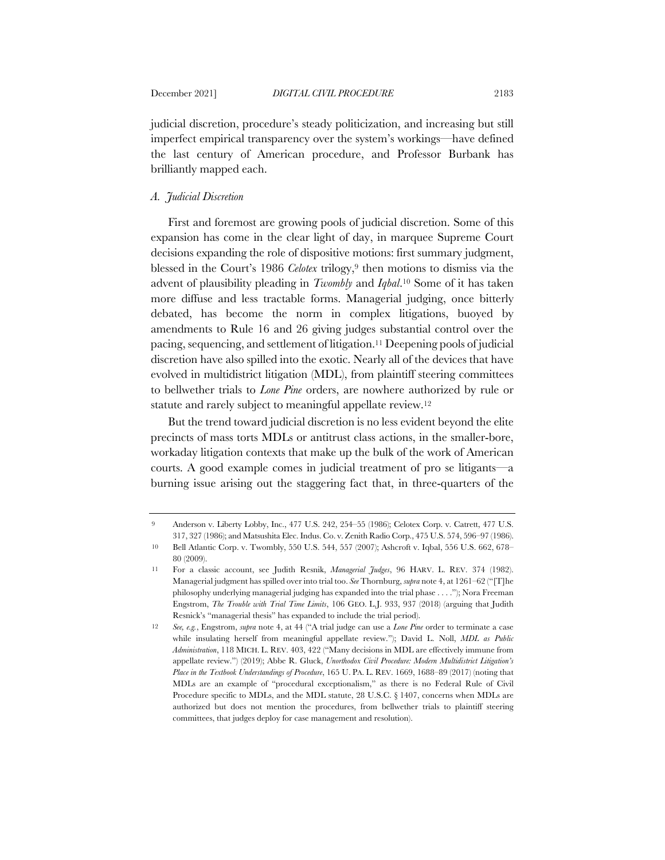judicial discretion, procedure's steady politicization, and increasing but still imperfect empirical transparency over the system's workings—have defined the last century of American procedure, and Professor Burbank has brilliantly mapped each.

### *A. Judicial Discretion*

First and foremost are growing pools of judicial discretion. Some of this expansion has come in the clear light of day, in marquee Supreme Court decisions expanding the role of dispositive motions: first summary judgment, blessed in the Court's 1986 *Celotex* trilogy,<sup>9</sup> then motions to dismiss via the advent of plausibility pleading in *Twombly* and *Iqbal*.10 Some of it has taken more diffuse and less tractable forms. Managerial judging, once bitterly debated, has become the norm in complex litigations, buoyed by amendments to Rule 16 and 26 giving judges substantial control over the pacing, sequencing, and settlement of litigation.11 Deepening pools of judicial discretion have also spilled into the exotic. Nearly all of the devices that have evolved in multidistrict litigation (MDL), from plaintiff steering committees to bellwether trials to *Lone Pine* orders, are nowhere authorized by rule or statute and rarely subject to meaningful appellate review.<sup>12</sup>

But the trend toward judicial discretion is no less evident beyond the elite precincts of mass torts MDLs or antitrust class actions, in the smaller-bore, workaday litigation contexts that make up the bulk of the work of American courts. A good example comes in judicial treatment of pro se litigants—a burning issue arising out the staggering fact that, in three-quarters of the

<sup>9</sup> Anderson v. Liberty Lobby, Inc., 477 U.S. 242, 254–55 (1986); Celotex Corp. v. Catrett, 477 U.S. 317, 327 (1986); and Matsushita Elec. Indus. Co. v. Zenith Radio Corp., 475 U.S. 574, 596–97 (1986).

<sup>10</sup> Bell Atlantic Corp. v. Twombly, 550 U.S. 544, 557 (2007); Ashcroft v. Iqbal, 556 U.S. 662, 678– 80 (2009).

<sup>11</sup> For a classic account, see Judith Resnik, *Managerial Judges*, 96 HARV. L. REV. 374 (1982). Managerial judgment has spilled over into trial too. *See* Thornburg, *supra* note 4, at 1261–62 ("[T]he philosophy underlying managerial judging has expanded into the trial phase . . . ."); Nora Freeman Engstrom, *The Trouble with Trial Time Limits*, 106 GEO. L.J. 933, 937 (2018) (arguing that Judith Resnick's "managerial thesis" has expanded to include the trial period).

<sup>12</sup> *See, e.g.*, Engstrom, *supra* note 4, at 44 ("A trial judge can use a *Lone Pine* order to terminate a case while insulating herself from meaningful appellate review."); David L. Noll, *MDL as Public Administration*, 118 MICH. L. REV. 403, 422 ("Many decisions in MDL are effectively immune from appellate review.") (2019); Abbe R. Gluck, *Unorthodox Civil Procedure: Modern Multidistrict Litigation's Place in the Textbook Understandings of Procedure*, 165 U. PA. L. REV. 1669, 1688–89 (2017) (noting that MDLs are an example of "procedural exceptionalism," as there is no Federal Rule of Civil Procedure specific to MDLs, and the MDL statute, 28 U.S.C. § 1407, concerns when MDLs are authorized but does not mention the procedures, from bellwether trials to plaintiff steering committees, that judges deploy for case management and resolution).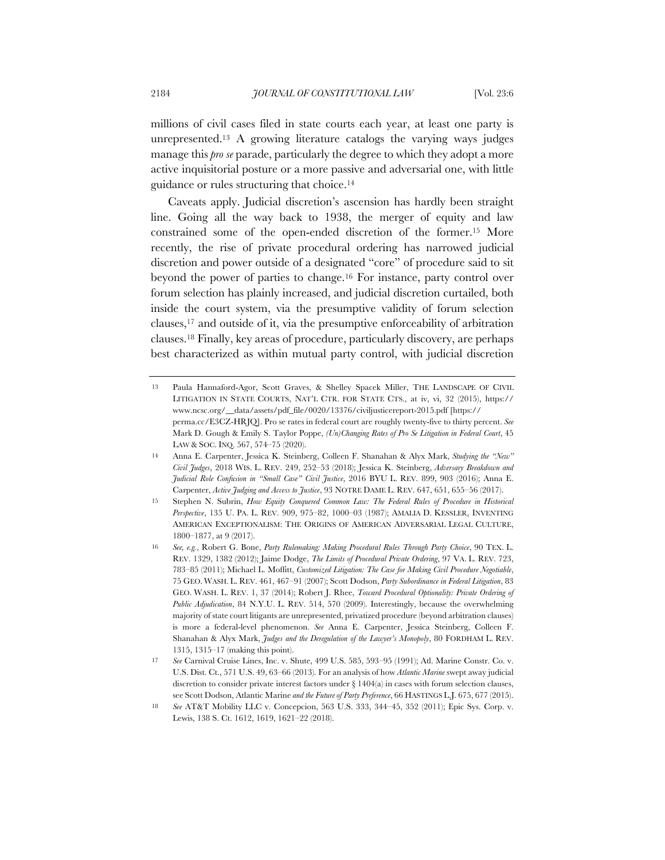millions of civil cases filed in state courts each year, at least one party is unrepresented.13 A growing literature catalogs the varying ways judges manage this *pro se* parade, particularly the degree to which they adopt a more active inquisitorial posture or a more passive and adversarial one, with little guidance or rules structuring that choice.14

Caveats apply. Judicial discretion's ascension has hardly been straight line. Going all the way back to 1938, the merger of equity and law constrained some of the open-ended discretion of the former.15 More recently, the rise of private procedural ordering has narrowed judicial discretion and power outside of a designated "core" of procedure said to sit beyond the power of parties to change.16 For instance, party control over forum selection has plainly increased, and judicial discretion curtailed, both inside the court system, via the presumptive validity of forum selection clauses,17 and outside of it, via the presumptive enforceability of arbitration clauses.18 Finally, key areas of procedure, particularly discovery, are perhaps best characterized as within mutual party control, with judicial discretion

<sup>13</sup> Paula Hannaford-Agor, Scott Graves, & Shelley Spacek Miller, THE LANDSCAPE OF CIVIL LITIGATION IN STATE COURTS, NAT'L CTR. FOR STATE CTS., at iv, vi, 32 (2015), https:// www.ncsc.org/\_\_data/assets/pdf\_file/0020/13376/civiljusticereport-2015.pdf [https:// perma.cc/E3CZ-HRJQ]. Pro se rates in federal court are roughly twenty-five to thirty percent. *See* Mark D. Gough & Emily S. Taylor Poppe, *(Un)Changing Rates of Pro Se Litigation in Federal Court*, 45 LAW & SOC. INQ. 567, 574–75 (2020).

<sup>14</sup> Anna E. Carpenter, Jessica K. Steinberg, Colleen F. Shanahan & Alyx Mark, *Studying the "New" Civil Judges*, 2018 WIS. L. REV. 249, 252–53 (2018); Jessica K. Steinberg, *Adversary Breakdown and Judicial Role Confusion in "Small Case" Civil Justice*, 2016 BYU L. REV. 899, 903 (2016); Anna E. Carpenter, *Active Judging and Access to Justice*, 93 NOTRE DAME L. REV. 647, 651, 655–56 (2017).

<sup>15</sup> Stephen N. Subrin, *How Equity Conquered Common Law: The Federal Rules of Procedure in Historical Perspective*, 135 U. PA. L. REV. 909, 975–82, 1000–03 (1987); AMALIA D. KESSLER, INVENTING AMERICAN EXCEPTIONALISM: THE ORIGINS OF AMERICAN ADVERSARIAL LEGAL CULTURE, 1800–1877, at 9 (2017).

<sup>16</sup> *See, e.g.*, Robert G. Bone, *Party Rulemaking: Making Procedural Rules Through Party Choice*, 90 TEX. L. REV. 1329, 1382 (2012); Jaime Dodge, *The Limits of Procedural Private Ordering*, 97 VA. L. REV. 723, 783–85 (2011); Michael L. Moffitt, *Customized Litigation: The Case for Making Civil Procedure Negotiable*, 75 GEO. WASH. L. REV. 461, 467–91 (2007); Scott Dodson, *Party Subordinance in Federal Litigation*, 83 GEO. WASH. L. REV. 1, 37 (2014); Robert J. Rhee, *Toward Procedural Optionality: Private Ordering of Public Adjudication*, 84 N.Y.U. L. REV. 514, 570 (2009). Interestingly, because the overwhelming majority of state court litigants are unrepresented, privatized procedure (beyond arbitration clauses) is more a federal-level phenomenon. *See* Anna E. Carpenter, Jessica Steinberg, Colleen F. Shanahan & Alyx Mark, *Judges and the Deregulation of the Lawyer's Monopoly*, 80 FORDHAM L. REV. 1315, 1315–17 (making this point).

<sup>17</sup> *See* Carnival Cruise Lines, Inc. v. Shute, 499 U.S. 585, 593–95 (1991); Atl. Marine Constr. Co. v. U.S. Dist. Ct., 571 U.S. 49, 63–66 (2013). For an analysis of how *Atlantic Marine* swept away judicial discretion to consider private interest factors under  $\S$  1404(a) in cases with forum selection clauses, see Scott Dodson, Atlantic Marine *and the Future of Party Preference*, 66 HASTINGS L.J. 675, 677 (2015).

<sup>18</sup> *See* AT&T Mobility LLC v. Concepcion, 563 U.S. 333, 344–45, 352 (2011); Epic Sys. Corp. v. Lewis, 138 S. Ct. 1612, 1619, 1621–22 (2018).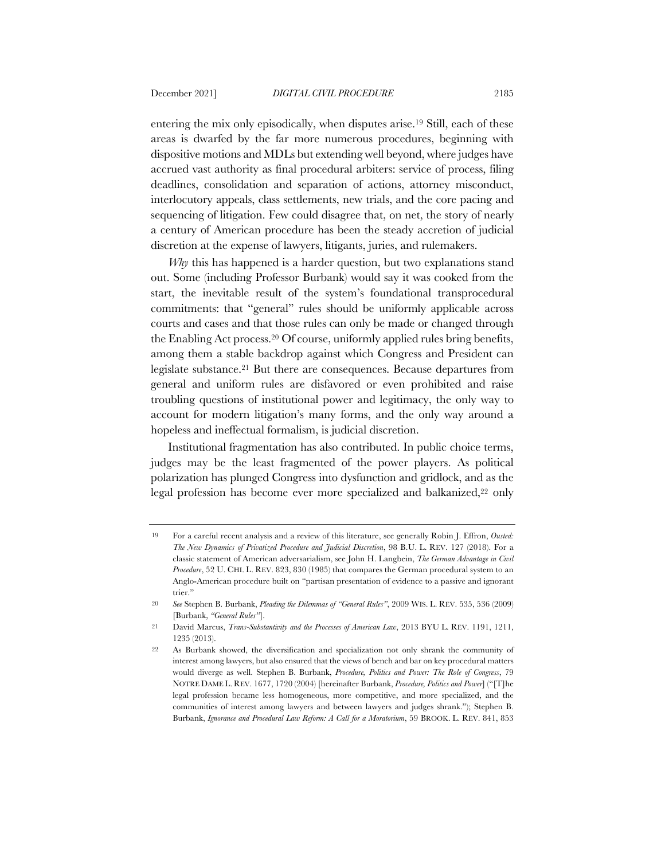entering the mix only episodically, when disputes arise.19 Still, each of these areas is dwarfed by the far more numerous procedures, beginning with dispositive motions and MDLs but extending well beyond, where judges have accrued vast authority as final procedural arbiters: service of process, filing deadlines, consolidation and separation of actions, attorney misconduct, interlocutory appeals, class settlements, new trials, and the core pacing and sequencing of litigation. Few could disagree that, on net, the story of nearly a century of American procedure has been the steady accretion of judicial discretion at the expense of lawyers, litigants, juries, and rulemakers.

*Why* this has happened is a harder question, but two explanations stand out. Some (including Professor Burbank) would say it was cooked from the start, the inevitable result of the system's foundational transprocedural commitments: that "general" rules should be uniformly applicable across courts and cases and that those rules can only be made or changed through the Enabling Act process.20 Of course, uniformly applied rules bring benefits, among them a stable backdrop against which Congress and President can legislate substance.21 But there are consequences. Because departures from general and uniform rules are disfavored or even prohibited and raise troubling questions of institutional power and legitimacy, the only way to account for modern litigation's many forms, and the only way around a hopeless and ineffectual formalism, is judicial discretion.

Institutional fragmentation has also contributed. In public choice terms, judges may be the least fragmented of the power players. As political polarization has plunged Congress into dysfunction and gridlock, and as the legal profession has become ever more specialized and balkanized,<sup>22</sup> only

<sup>19</sup> For a careful recent analysis and a review of this literature, see generally Robin J. Effron, *Ousted: The New Dynamics of Privatized Procedure and Judicial Discretion*, 98 B.U. L. REV. 127 (2018). For a classic statement of American adversarialism, see John H. Langbein, *The German Advantage in Civil Procedure*, 52 U. CHI. L. REV. 823, 830 (1985) that compares the German procedural system to an Anglo-American procedure built on "partisan presentation of evidence to a passive and ignorant trier."

<sup>20</sup> *See* Stephen B. Burbank, *Pleading the Dilemmas of "General Rules"*, 2009 WIS. L. REV. 535, 536 (2009) [Burbank, *"General Rules"*].

<sup>21</sup> David Marcus, *Trans-Substantivity and the Processes of American Law*, 2013 BYU L. REV. 1191, 1211, 1235 (2013).

<sup>22</sup> As Burbank showed, the diversification and specialization not only shrank the community of interest among lawyers, but also ensured that the views of bench and bar on key procedural matters would diverge as well. Stephen B. Burbank, *Procedure, Politics and Power: The Role of Congress*, 79 NOTRE DAME L. REV. 1677, 1720 (2004) [hereinafter Burbank, *Procedure, Politics and Power*] ("[T]he legal profession became less homogeneous, more competitive, and more specialized, and the communities of interest among lawyers and between lawyers and judges shrank."); Stephen B. Burbank, *Ignorance and Procedural Law Reform: A Call for a Moratorium*, 59 BROOK. L. REV. 841, 853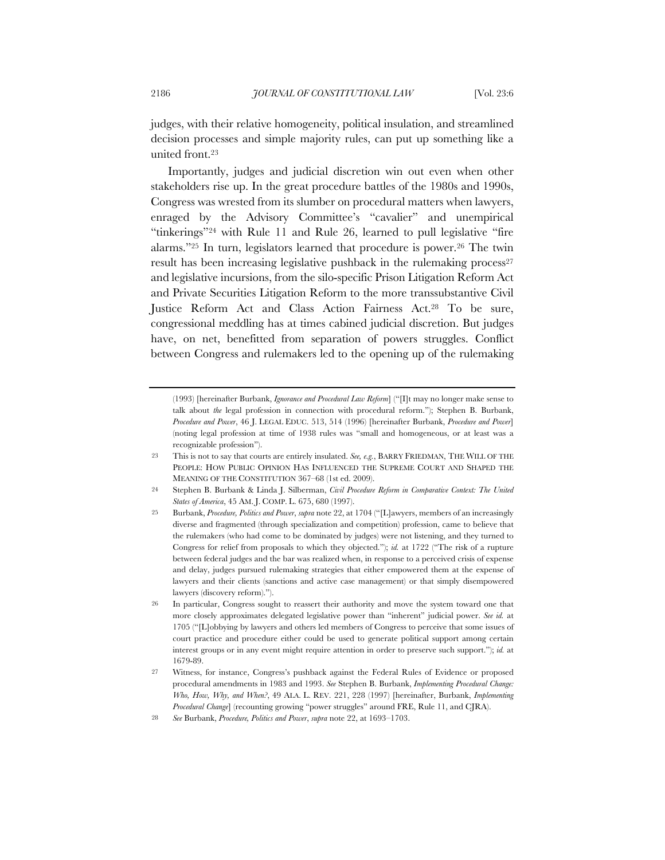judges, with their relative homogeneity, political insulation, and streamlined decision processes and simple majority rules, can put up something like a united front.23

Importantly, judges and judicial discretion win out even when other stakeholders rise up. In the great procedure battles of the 1980s and 1990s, Congress was wrested from its slumber on procedural matters when lawyers, enraged by the Advisory Committee's "cavalier" and unempirical "tinkerings"24 with Rule 11 and Rule 26, learned to pull legislative "fire alarms."25 In turn, legislators learned that procedure is power.26 The twin result has been increasing legislative pushback in the rulemaking process<sup>27</sup> and legislative incursions, from the silo-specific Prison Litigation Reform Act and Private Securities Litigation Reform to the more transsubstantive Civil Justice Reform Act and Class Action Fairness Act.28 To be sure, congressional meddling has at times cabined judicial discretion. But judges have, on net, benefitted from separation of powers struggles. Conflict between Congress and rulemakers led to the opening up of the rulemaking

<sup>(1993) [</sup>hereinafter Burbank, *Ignorance and Procedural Law Reform*] ("[I]t may no longer make sense to talk about *the* legal profession in connection with procedural reform."); Stephen B. Burbank, *Procedure and Power*, 46 J. LEGAL EDUC. 513, 514 (1996) [hereinafter Burbank, *Procedure and Power*] (noting legal profession at time of 1938 rules was "small and homogeneous, or at least was a recognizable profession").

<sup>23</sup> This is not to say that courts are entirely insulated. *See, e.g.*, BARRY FRIEDMAN, THE WILL OF THE PEOPLE: HOW PUBLIC OPINION HAS INFLUENCED THE SUPREME COURT AND SHAPED THE MEANING OF THE CONSTITUTION 367–68 (1st ed. 2009).

<sup>24</sup> Stephen B. Burbank & Linda J. Silberman, *Civil Procedure Reform in Comparative Context: The United States of America*, 45 AM. J. COMP. L. 675, 680 (1997).

<sup>25</sup> Burbank, *Procedure, Politics and Power*, *supra* note 22, at 1704 ("[L]awyers, members of an increasingly diverse and fragmented (through specialization and competition) profession, came to believe that the rulemakers (who had come to be dominated by judges) were not listening, and they turned to Congress for relief from proposals to which they objected."); *id.* at 1722 ("The risk of a rupture between federal judges and the bar was realized when, in response to a perceived crisis of expense and delay, judges pursued rulemaking strategies that either empowered them at the expense of lawyers and their clients (sanctions and active case management) or that simply disempowered lawyers (discovery reform).").

<sup>26</sup> In particular, Congress sought to reassert their authority and move the system toward one that more closely approximates delegated legislative power than "inherent" judicial power. *See id.* at 1705 ("[L]obbying by lawyers and others led members of Congress to perceive that some issues of court practice and procedure either could be used to generate political support among certain interest groups or in any event might require attention in order to preserve such support."); *id.* at 1679-89.

<sup>27</sup> Witness, for instance, Congress's pushback against the Federal Rules of Evidence or proposed procedural amendments in 1983 and 1993. *See* Stephen B. Burbank, *Implementing Procedural Change: Who, How, Why, and When?*, 49 ALA. L. REV. 221, 228 (1997) [hereinafter, Burbank, *Implementing Procedural Change*] (recounting growing "power struggles" around FRE, Rule 11, and CJRA).

<sup>28</sup> *See* Burbank, *Procedure, Politics and Power*, *supra* note 22, at 1693–1703.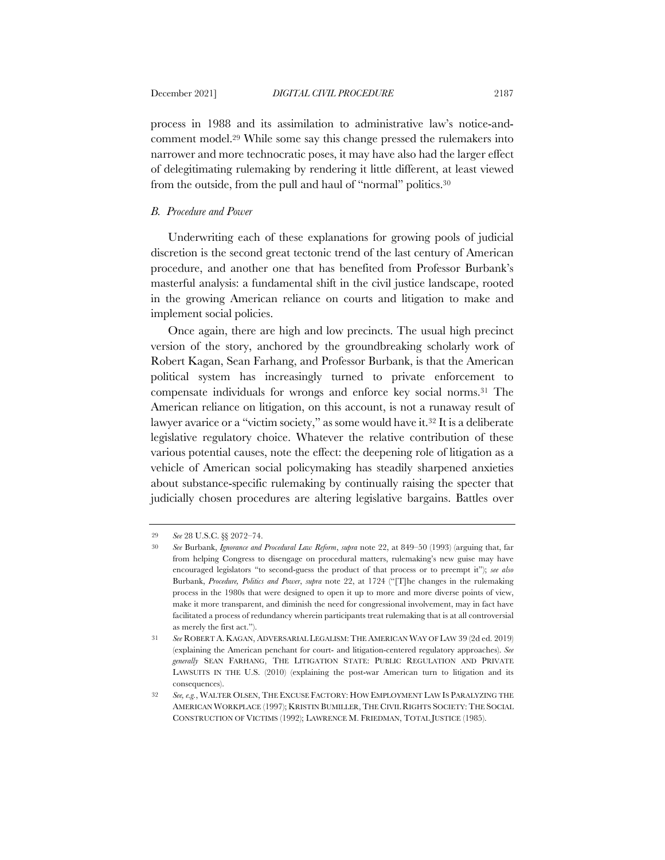process in 1988 and its assimilation to administrative law's notice-andcomment model.29 While some say this change pressed the rulemakers into narrower and more technocratic poses, it may have also had the larger effect of delegitimating rulemaking by rendering it little different, at least viewed from the outside, from the pull and haul of "normal" politics.30

## *B. Procedure and Power*

Underwriting each of these explanations for growing pools of judicial discretion is the second great tectonic trend of the last century of American procedure, and another one that has benefited from Professor Burbank's masterful analysis: a fundamental shift in the civil justice landscape, rooted in the growing American reliance on courts and litigation to make and implement social policies.

Once again, there are high and low precincts. The usual high precinct version of the story, anchored by the groundbreaking scholarly work of Robert Kagan, Sean Farhang, and Professor Burbank, is that the American political system has increasingly turned to private enforcement to compensate individuals for wrongs and enforce key social norms.31 The American reliance on litigation, on this account, is not a runaway result of lawyer avarice or a "victim society," as some would have it.<sup>32</sup> It is a deliberate legislative regulatory choice. Whatever the relative contribution of these various potential causes, note the effect: the deepening role of litigation as a vehicle of American social policymaking has steadily sharpened anxieties about substance-specific rulemaking by continually raising the specter that judicially chosen procedures are altering legislative bargains. Battles over

<sup>29</sup> *See* 28 U.S.C. §§ 2072–74.

<sup>30</sup> *See* Burbank, *Ignorance and Procedural Law Reform*, *supra* note 22, at 849–50 (1993) (arguing that, far from helping Congress to disengage on procedural matters, rulemaking's new guise may have encouraged legislators "to second-guess the product of that process or to preempt it"); *see also* Burbank, *Procedure, Politics and Power*, *supra* note 22, at 1724 ("[T]he changes in the rulemaking process in the 1980s that were designed to open it up to more and more diverse points of view, make it more transparent, and diminish the need for congressional involvement, may in fact have facilitated a process of redundancy wherein participants treat rulemaking that is at all controversial as merely the first act.").

<sup>31</sup> *See* ROBERT A. KAGAN, ADVERSARIAL LEGALISM: THE AMERICAN WAY OF LAW 39 (2d ed. 2019) (explaining the American penchant for court- and litigation-centered regulatory approaches). *See generally* SEAN FARHANG, THE LITIGATION STATE: PUBLIC REGULATION AND PRIVATE LAWSUITS IN THE U.S. (2010) (explaining the post-war American turn to litigation and its consequences).

<sup>32</sup> *See, e.g.*, WALTER OLSEN, THE EXCUSE FACTORY: HOW EMPLOYMENT LAW IS PARALYZING THE AMERICAN WORKPLACE (1997); KRISTIN BUMILLER, THE CIVIL RIGHTS SOCIETY: THE SOCIAL CONSTRUCTION OF VICTIMS (1992); LAWRENCE M. FRIEDMAN, TOTAL JUSTICE (1985).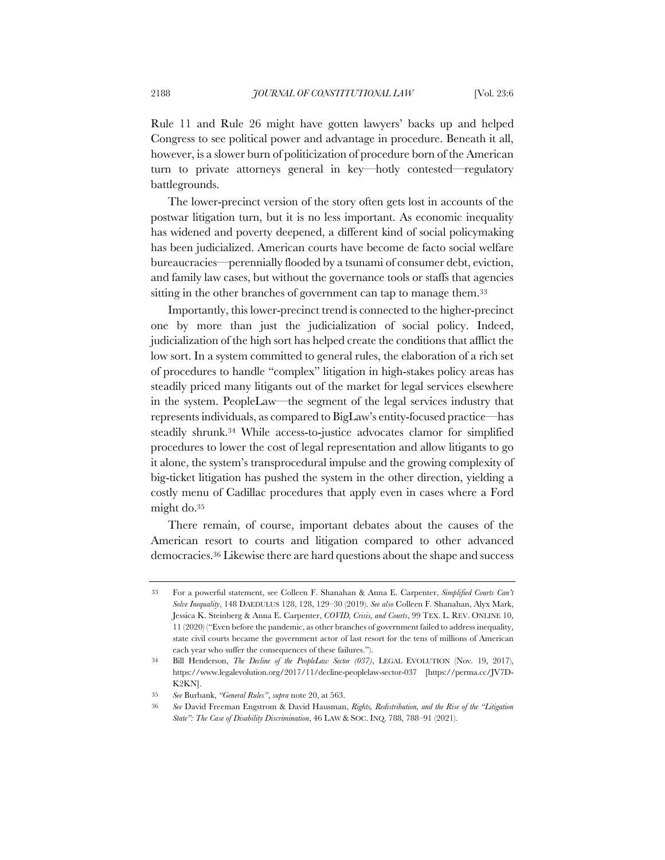Rule 11 and Rule 26 might have gotten lawyers' backs up and helped Congress to see political power and advantage in procedure. Beneath it all, however, is a slower burn of politicization of procedure born of the American turn to private attorneys general in key—hotly contested—regulatory battlegrounds.

The lower-precinct version of the story often gets lost in accounts of the postwar litigation turn, but it is no less important. As economic inequality has widened and poverty deepened, a different kind of social policymaking has been judicialized. American courts have become de facto social welfare bureaucracies—perennially flooded by a tsunami of consumer debt, eviction, and family law cases, but without the governance tools or staffs that agencies sitting in the other branches of government can tap to manage them.<sup>33</sup>

Importantly, this lower-precinct trend is connected to the higher-precinct one by more than just the judicialization of social policy. Indeed, judicialization of the high sort has helped create the conditions that afflict the low sort. In a system committed to general rules, the elaboration of a rich set of procedures to handle "complex" litigation in high-stakes policy areas has steadily priced many litigants out of the market for legal services elsewhere in the system. PeopleLaw—the segment of the legal services industry that represents individuals, as compared to BigLaw's entity-focused practice—has steadily shrunk.34 While access-to-justice advocates clamor for simplified procedures to lower the cost of legal representation and allow litigants to go it alone, the system's transprocedural impulse and the growing complexity of big-ticket litigation has pushed the system in the other direction, yielding a costly menu of Cadillac procedures that apply even in cases where a Ford might do.35

There remain, of course, important debates about the causes of the American resort to courts and litigation compared to other advanced democracies.36 Likewise there are hard questions about the shape and success

<sup>33</sup> For a powerful statement, see Colleen F. Shanahan & Anna E. Carpenter, *Simplified Courts Can't Solve Inequality*, 148 DAEDULUS 128, 128, 129–30 (2019). *See also* Colleen F. Shanahan, Alyx Mark, Jessica K. Steinberg & Anna E. Carpenter, *COVID, Crisis, and Courts*, 99 TEX. L. REV. ONLINE 10, 11 (2020) ("Even before the pandemic, as other branches of government failed to address inequality, state civil courts became the government actor of last resort for the tens of millions of American each year who suffer the consequences of these failures.").

<sup>34</sup> Bill Henderson, *The Decline of the PeopleLaw Sector (037)*, LEGAL EVOLUTION (Nov. 19, 2017), https://www.legalevolution.org/2017/11/decline-peoplelaw-sector-037 [https://perma.cc/JV7D-K2KN].

<sup>35</sup> *See* Burbank, *"General Rules"*, *supra* note 20, at 563.

<sup>36</sup> *See* David Freeman Engstrom & David Hausman, *Rights, Redistribution, and the Rise of the "Litigation State": The Case of Disability Discrimination*, 46 LAW & SOC. INQ. 788, 788–91 (2021).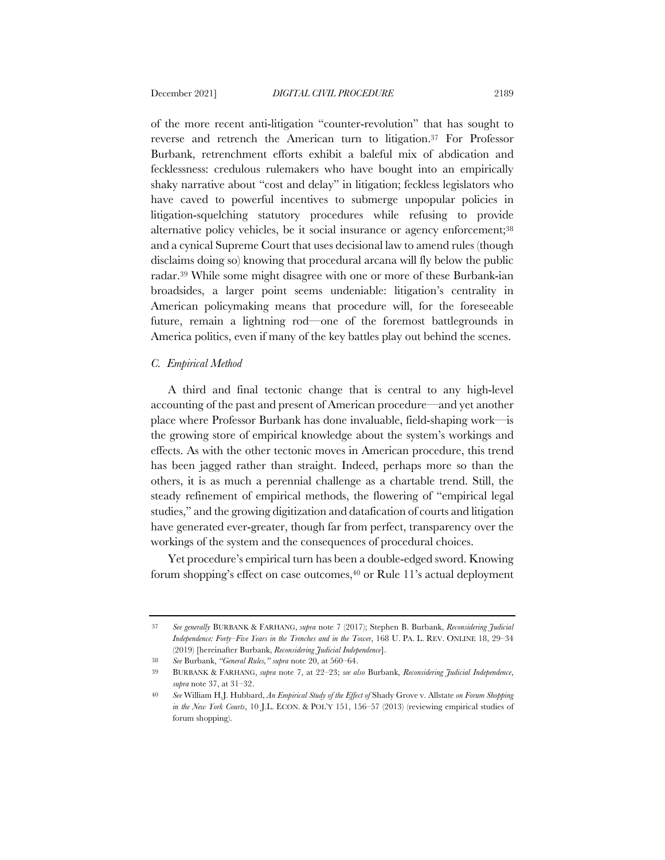of the more recent anti-litigation "counter-revolution" that has sought to reverse and retrench the American turn to litigation.37 For Professor Burbank, retrenchment efforts exhibit a baleful mix of abdication and fecklessness: credulous rulemakers who have bought into an empirically shaky narrative about "cost and delay" in litigation; feckless legislators who have caved to powerful incentives to submerge unpopular policies in litigation-squelching statutory procedures while refusing to provide alternative policy vehicles, be it social insurance or agency enforcement;38 and a cynical Supreme Court that uses decisional law to amend rules (though disclaims doing so) knowing that procedural arcana will fly below the public radar.39 While some might disagree with one or more of these Burbank-ian broadsides, a larger point seems undeniable: litigation's centrality in American policymaking means that procedure will, for the foreseeable future, remain a lightning rod—one of the foremost battlegrounds in America politics, even if many of the key battles play out behind the scenes.

## *C. Empirical Method*

A third and final tectonic change that is central to any high-level accounting of the past and present of American procedure—and yet another place where Professor Burbank has done invaluable, field-shaping work—is the growing store of empirical knowledge about the system's workings and effects. As with the other tectonic moves in American procedure, this trend has been jagged rather than straight. Indeed, perhaps more so than the others, it is as much a perennial challenge as a chartable trend. Still, the steady refinement of empirical methods, the flowering of "empirical legal studies," and the growing digitization and datafication of courts and litigation have generated ever-greater, though far from perfect, transparency over the workings of the system and the consequences of procedural choices.

Yet procedure's empirical turn has been a double-edged sword. Knowing forum shopping's effect on case outcomes,<sup>40</sup> or Rule 11's actual deployment

<sup>37</sup> *See generally* BURBANK & FARHANG, *supra* note 7 (2017); Stephen B. Burbank, *Reconsidering Judicial Independence: Forty–Five Years in the Trenches and in the Tower*, 168 U. PA. L. REV. ONLINE 18, 29–34 (2019) [hereinafter Burbank, *Reconsidering Judicial Independence*].

<sup>38</sup> *See* Burbank, *"General Rules," supra* note 20, at 560–64.

<sup>39</sup> BURBANK & FARHANG, *supra* note 7, at 22–23; *see also* Burbank, *Reconsidering Judicial Independence*, *supra* note 37, at 31–32.

<sup>40</sup> *See* William H.J. Hubbard, *An Empirical Study of the Effect of* Shady Grove v. Allstate *on Forum Shopping in the New York Courts*, 10 J.L. ECON. & POL'Y 151, 156–57 (2013) (reviewing empirical studies of forum shopping).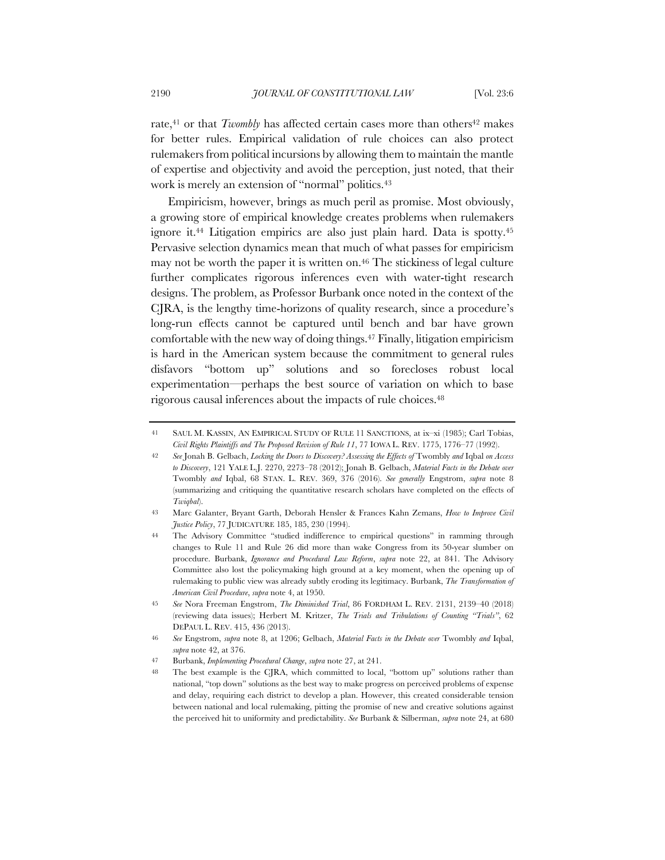rate, $41$  or that *Twombly* has affected certain cases more than others $42$  makes for better rules. Empirical validation of rule choices can also protect rulemakers from political incursions by allowing them to maintain the mantle of expertise and objectivity and avoid the perception, just noted, that their work is merely an extension of "normal" politics.<sup>43</sup>

Empiricism, however, brings as much peril as promise. Most obviously, a growing store of empirical knowledge creates problems when rulemakers ignore it.44 Litigation empirics are also just plain hard. Data is spotty.45 Pervasive selection dynamics mean that much of what passes for empiricism may not be worth the paper it is written on.<sup>46</sup> The stickiness of legal culture further complicates rigorous inferences even with water-tight research designs. The problem, as Professor Burbank once noted in the context of the CJRA, is the lengthy time-horizons of quality research, since a procedure's long-run effects cannot be captured until bench and bar have grown comfortable with the new way of doing things.47 Finally, litigation empiricism is hard in the American system because the commitment to general rules disfavors "bottom up" solutions and so forecloses robust local experimentation—perhaps the best source of variation on which to base rigorous causal inferences about the impacts of rule choices.48

<sup>41</sup> SAUL M. KASSIN, AN EMPIRICAL STUDY OF RULE 11 SANCTIONS, at ix–xi (1985); Carl Tobias, *Civil Rights Plaintiffs and The Proposed Revision of Rule 11*, 77 IOWA L. REV. 1775, 1776–77 (1992).

<sup>42</sup> *See* Jonah B. Gelbach, *Locking the Doors to Discovery? Assessing the Effects of* Twombly *and* Iqbal *on Access to Discovery*, 121 YALE L.J. 2270, 2273–78 (2012); Jonah B. Gelbach, *Material Facts in the Debate over*  Twombly *and* Iqbal, 68 STAN. L. REV. 369, 376 (2016). *See generally* Engstrom, *supra* note 8 (summarizing and critiquing the quantitative research scholars have completed on the effects of *Twiqbal*).

<sup>43</sup> Marc Galanter, Bryant Garth, Deborah Hensler & Frances Kahn Zemans, *How to Improve Civil Justice Policy*, 77 JUDICATURE 185, 185, 230 (1994).

<sup>44</sup> The Advisory Committee "studied indifference to empirical questions" in ramming through changes to Rule 11 and Rule 26 did more than wake Congress from its 50-year slumber on procedure. Burbank, *Ignorance and Procedural Law Reform*, *supra* note 22, at 841. The Advisory Committee also lost the policymaking high ground at a key moment, when the opening up of rulemaking to public view was already subtly eroding its legitimacy. Burbank, *The Transformation of American Civil Procedure*, *supra* note 4, at 1950.

<sup>45</sup> *See* Nora Freeman Engstrom, *The Diminished Trial*, 86 FORDHAM L. REV. 2131, 2139–40 (2018) (reviewing data issues); Herbert M. Kritzer, *The Trials and Tribulations of Counting "Trials"*, 62 DEPAUL L. REV. 415, 436 (2013).

<sup>46</sup> *See* Engstrom, *supra* note 8, at 1206; Gelbach, *Material Facts in the Debate over* Twombly *and* Iqbal, *supra* note 42, at 376.

<sup>47</sup> Burbank, *Implementing Procedural Change*, *supra* note 27, at 241.

<sup>48</sup> The best example is the CJRA, which committed to local, "bottom up" solutions rather than national, "top down" solutions as the best way to make progress on perceived problems of expense and delay, requiring each district to develop a plan. However, this created considerable tension between national and local rulemaking, pitting the promise of new and creative solutions against the perceived hit to uniformity and predictability. *See* Burbank & Silberman, *supra* note 24, at 680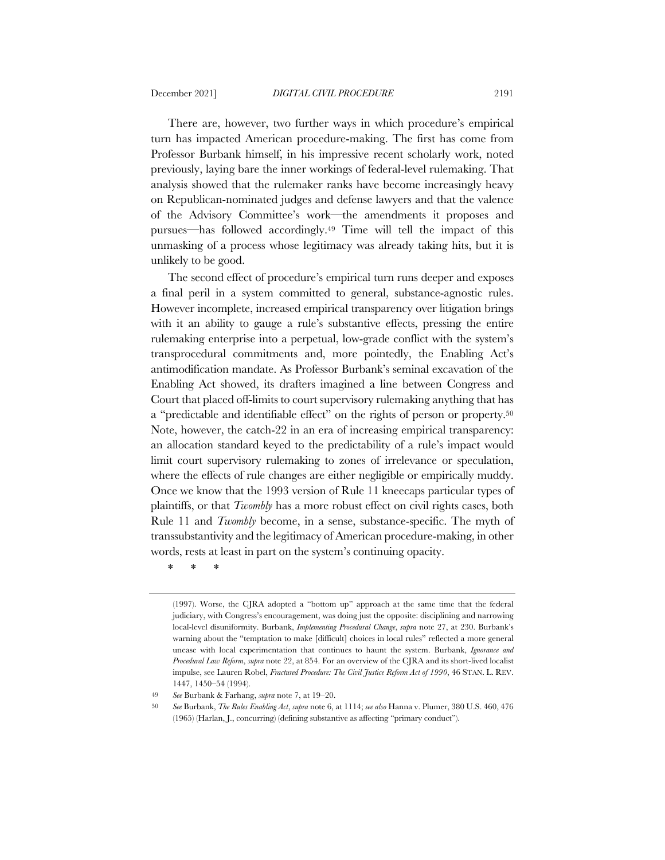There are, however, two further ways in which procedure's empirical turn has impacted American procedure-making. The first has come from Professor Burbank himself, in his impressive recent scholarly work, noted previously, laying bare the inner workings of federal-level rulemaking. That analysis showed that the rulemaker ranks have become increasingly heavy on Republican-nominated judges and defense lawyers and that the valence of the Advisory Committee's work—the amendments it proposes and pursues—has followed accordingly.49 Time will tell the impact of this unmasking of a process whose legitimacy was already taking hits, but it is unlikely to be good.

The second effect of procedure's empirical turn runs deeper and exposes a final peril in a system committed to general, substance-agnostic rules. However incomplete, increased empirical transparency over litigation brings with it an ability to gauge a rule's substantive effects, pressing the entire rulemaking enterprise into a perpetual, low-grade conflict with the system's transprocedural commitments and, more pointedly, the Enabling Act's antimodification mandate. As Professor Burbank's seminal excavation of the Enabling Act showed, its drafters imagined a line between Congress and Court that placed off-limits to court supervisory rulemaking anything that has a "predictable and identifiable effect" on the rights of person or property.50 Note, however, the catch-22 in an era of increasing empirical transparency: an allocation standard keyed to the predictability of a rule's impact would limit court supervisory rulemaking to zones of irrelevance or speculation, where the effects of rule changes are either negligible or empirically muddy. Once we know that the 1993 version of Rule 11 kneecaps particular types of plaintiffs, or that *Twombly* has a more robust effect on civil rights cases, both Rule 11 and *Twombly* become, in a sense, substance-specific. The myth of transsubstantivity and the legitimacy of American procedure-making, in other words, rests at least in part on the system's continuing opacity.

\* \* \*

<sup>(1997).</sup> Worse, the CJRA adopted a "bottom up" approach at the same time that the federal judiciary, with Congress's encouragement, was doing just the opposite: disciplining and narrowing local-level disuniformity. Burbank, *Implementing Procedural Change*, *supra* note 27, at 230. Burbank's warning about the "temptation to make [difficult] choices in local rules" reflected a more general unease with local experimentation that continues to haunt the system. Burbank, *Ignorance and Procedural Law Reform*, *supra* note 22, at 854. For an overview of the CJRA and its short-lived localist impulse, see Lauren Robel, *Fractured Procedure: The Civil Justice Reform Act of 1990*, 46 STAN. L. REV. 1447, 1450–54 (1994).

<sup>49</sup> *See* Burbank & Farhang, *supra* note 7, at 19–20.

<sup>50</sup> *See* Burbank, *The Rules Enabling Act*, *supra* note 6, at 1114; *see also* Hanna v. Plumer, 380 U.S. 460, 476 (1965) (Harlan, J., concurring) (defining substantive as affecting "primary conduct").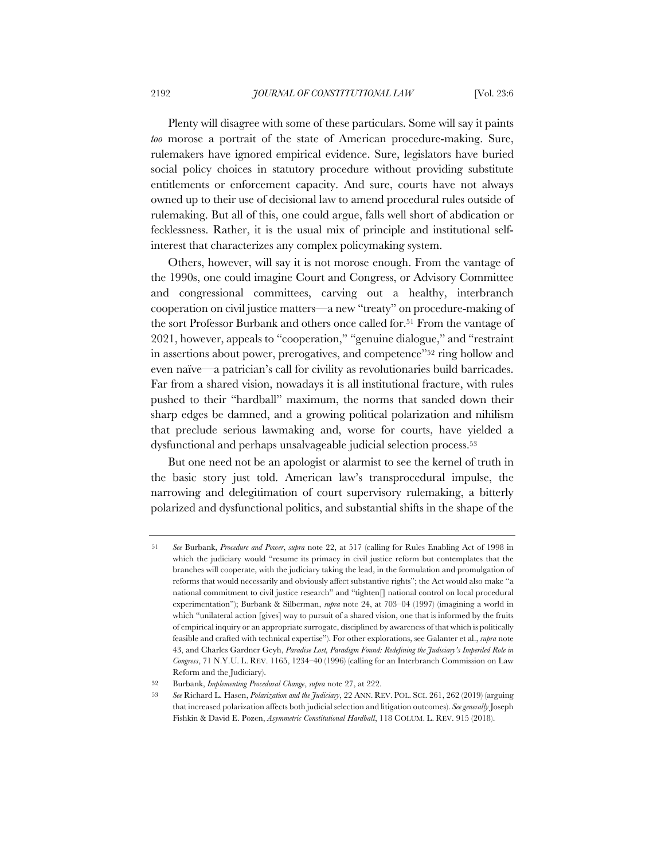Plenty will disagree with some of these particulars. Some will say it paints *too* morose a portrait of the state of American procedure-making. Sure, rulemakers have ignored empirical evidence. Sure, legislators have buried social policy choices in statutory procedure without providing substitute entitlements or enforcement capacity. And sure, courts have not always owned up to their use of decisional law to amend procedural rules outside of rulemaking. But all of this, one could argue, falls well short of abdication or fecklessness. Rather, it is the usual mix of principle and institutional selfinterest that characterizes any complex policymaking system.

Others, however, will say it is not morose enough. From the vantage of the 1990s, one could imagine Court and Congress, or Advisory Committee and congressional committees, carving out a healthy, interbranch cooperation on civil justice matters—a new "treaty" on procedure-making of the sort Professor Burbank and others once called for.51 From the vantage of 2021, however, appeals to "cooperation," "genuine dialogue," and "restraint in assertions about power, prerogatives, and competence"52 ring hollow and even naïve—a patrician's call for civility as revolutionaries build barricades. Far from a shared vision, nowadays it is all institutional fracture, with rules pushed to their "hardball" maximum, the norms that sanded down their sharp edges be damned, and a growing political polarization and nihilism that preclude serious lawmaking and, worse for courts, have yielded a dysfunctional and perhaps unsalvageable judicial selection process.53

But one need not be an apologist or alarmist to see the kernel of truth in the basic story just told. American law's transprocedural impulse, the narrowing and delegitimation of court supervisory rulemaking, a bitterly polarized and dysfunctional politics, and substantial shifts in the shape of the

<sup>51</sup> *See* Burbank, *Procedure and Power*, *supra* note 22, at 517 (calling for Rules Enabling Act of 1998 in which the judiciary would "resume its primacy in civil justice reform but contemplates that the branches will cooperate, with the judiciary taking the lead, in the formulation and promulgation of reforms that would necessarily and obviously affect substantive rights"; the Act would also make "a national commitment to civil justice research" and "tighten[] national control on local procedural experimentation"); Burbank & Silberman, *supra* note 24, at 703–04 (1997) (imagining a world in which "unilateral action [gives] way to pursuit of a shared vision, one that is informed by the fruits of empirical inquiry or an appropriate surrogate, disciplined by awareness of that which is politically feasible and crafted with technical expertise"). For other explorations, see Galanter et al., *supra* note 43, and Charles Gardner Geyh, *Paradise Lost, Paradigm Found: Redefining the Judiciary's Imperiled Role in Congress*, 71 N.Y.U. L. REV. 1165, 1234–40 (1996) (calling for an Interbranch Commission on Law Reform and the Judiciary).

<sup>52</sup> Burbank, *Implementing Procedural Change*, *supra* note 27, at 222.

<sup>53</sup> *See* Richard L. Hasen, *Polarization and the Judiciary*, 22 ANN. REV. POL. SCI. 261, 262 (2019) (arguing that increased polarization affects both judicial selection and litigation outcomes). *See generally* Joseph Fishkin & David E. Pozen, *Asymmetric Constitutional Hardball*, 118 COLUM. L. REV. 915 (2018).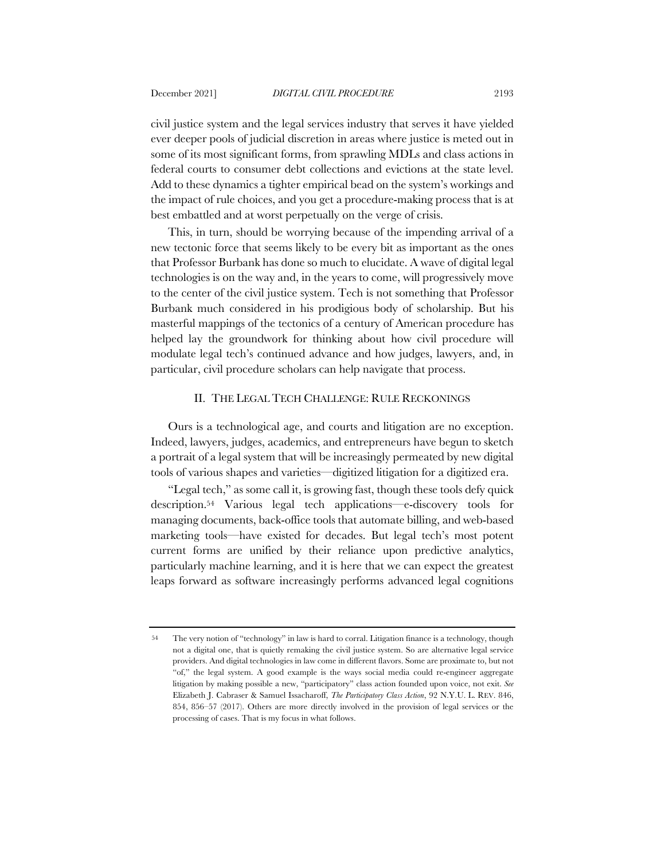civil justice system and the legal services industry that serves it have yielded ever deeper pools of judicial discretion in areas where justice is meted out in some of its most significant forms, from sprawling MDLs and class actions in federal courts to consumer debt collections and evictions at the state level. Add to these dynamics a tighter empirical bead on the system's workings and the impact of rule choices, and you get a procedure-making process that is at best embattled and at worst perpetually on the verge of crisis.

This, in turn, should be worrying because of the impending arrival of a new tectonic force that seems likely to be every bit as important as the ones that Professor Burbank has done so much to elucidate. A wave of digital legal technologies is on the way and, in the years to come, will progressively move to the center of the civil justice system. Tech is not something that Professor Burbank much considered in his prodigious body of scholarship. But his masterful mappings of the tectonics of a century of American procedure has helped lay the groundwork for thinking about how civil procedure will modulate legal tech's continued advance and how judges, lawyers, and, in particular, civil procedure scholars can help navigate that process.

## II. THE LEGAL TECH CHALLENGE: RULE RECKONINGS

Ours is a technological age, and courts and litigation are no exception. Indeed, lawyers, judges, academics, and entrepreneurs have begun to sketch a portrait of a legal system that will be increasingly permeated by new digital tools of various shapes and varieties—digitized litigation for a digitized era.

"Legal tech," as some call it, is growing fast, though these tools defy quick description.54 Various legal tech applications—e-discovery tools for managing documents, back-office tools that automate billing, and web-based marketing tools—have existed for decades. But legal tech's most potent current forms are unified by their reliance upon predictive analytics, particularly machine learning, and it is here that we can expect the greatest leaps forward as software increasingly performs advanced legal cognitions

<sup>54</sup> The very notion of "technology" in law is hard to corral. Litigation finance is a technology, though not a digital one, that is quietly remaking the civil justice system. So are alternative legal service providers. And digital technologies in law come in different flavors. Some are proximate to, but not "of," the legal system. A good example is the ways social media could re-engineer aggregate litigation by making possible a new, "participatory" class action founded upon voice, not exit. *See* Elizabeth J. Cabraser & Samuel Issacharoff, *The Participatory Class Action*, 92 N.Y.U. L. REV. 846, 854, 856–57 (2017). Others are more directly involved in the provision of legal services or the processing of cases. That is my focus in what follows.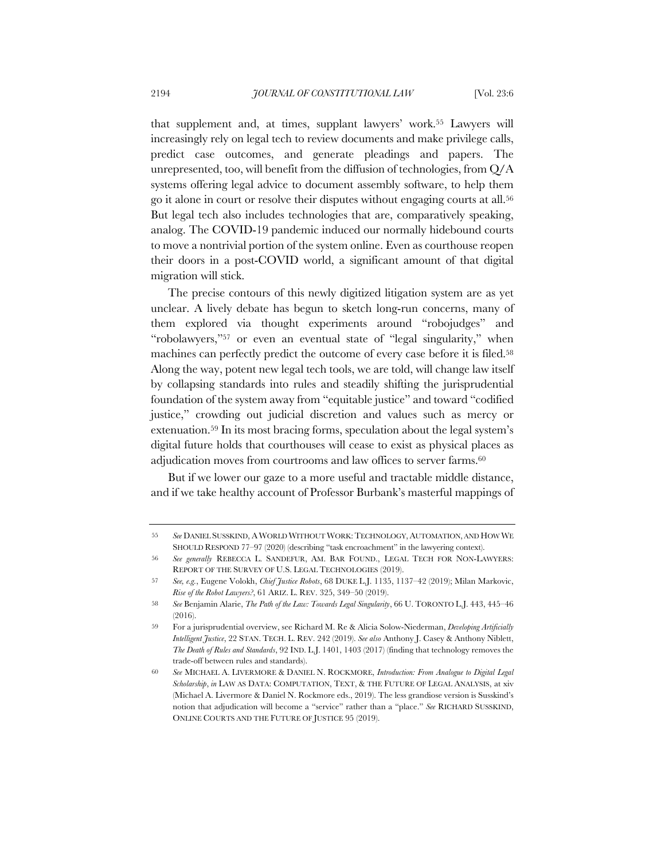that supplement and, at times, supplant lawyers' work.55 Lawyers will increasingly rely on legal tech to review documents and make privilege calls, predict case outcomes, and generate pleadings and papers. The unrepresented, too, will benefit from the diffusion of technologies, from Q/A systems offering legal advice to document assembly software, to help them go it alone in court or resolve their disputes without engaging courts at all.56 But legal tech also includes technologies that are, comparatively speaking, analog. The COVID-19 pandemic induced our normally hidebound courts to move a nontrivial portion of the system online. Even as courthouse reopen their doors in a post-COVID world, a significant amount of that digital migration will stick.

The precise contours of this newly digitized litigation system are as yet unclear. A lively debate has begun to sketch long-run concerns, many of them explored via thought experiments around "robojudges" and "robolawyers,"57 or even an eventual state of "legal singularity," when machines can perfectly predict the outcome of every case before it is filed.<sup>58</sup> Along the way, potent new legal tech tools, we are told, will change law itself by collapsing standards into rules and steadily shifting the jurisprudential foundation of the system away from "equitable justice" and toward "codified justice," crowding out judicial discretion and values such as mercy or extenuation.59 In its most bracing forms, speculation about the legal system's digital future holds that courthouses will cease to exist as physical places as adjudication moves from courtrooms and law offices to server farms.<sup>60</sup>

But if we lower our gaze to a more useful and tractable middle distance, and if we take healthy account of Professor Burbank's masterful mappings of

<sup>55</sup> *See* DANIEL SUSSKIND, A WORLD WITHOUT WORK:TECHNOLOGY,AUTOMATION, AND HOW WE SHOULD RESPOND 77–97 (2020) (describing "task encroachment" in the lawyering context).

<sup>56</sup> *See generally* REBECCA L. SANDEFUR, AM. BAR FOUND., LEGAL TECH FOR NON-LAWYERS: REPORT OF THE SURVEY OF U.S. LEGAL TECHNOLOGIES (2019).

<sup>57</sup> *See, e.g.*, Eugene Volokh, *Chief Justice Robots*, 68 DUKE L.J. 1135, 1137–42 (2019); Milan Markovic, *Rise of the Robot Lawyers?*, 61 ARIZ. L. REV. 325, 349–50 (2019).

<sup>58</sup> *See* Benjamin Alarie, *The Path of the Law: Towards Legal Singularity*, 66 U. TORONTO L.J. 443, 445–46 (2016).

<sup>59</sup> For a jurisprudential overview, see Richard M. Re & Alicia Solow-Niederman, *Developing Artificially Intelligent Justice*, 22 STAN. TECH. L. REV. 242 (2019). *See also* Anthony J. Casey & Anthony Niblett, *The Death of Rules and Standards*, 92 IND. L.J. 1401, 1403 (2017) (finding that technology removes the trade-off between rules and standards).

<sup>60</sup> *See* MICHAEL A. LIVERMORE & DANIEL N. ROCKMORE, *Introduction: From Analogue to Digital Legal Scholarship*, *in* LAW AS DATA: COMPUTATION, TEXT, & THE FUTURE OF LEGAL ANALYSIS, at xiv (Michael A. Livermore & Daniel N. Rockmore eds., 2019). The less grandiose version is Susskind's notion that adjudication will become a "service" rather than a "place." *See* RICHARD SUSSKIND, ONLINE COURTS AND THE FUTURE OF JUSTICE 95 (2019).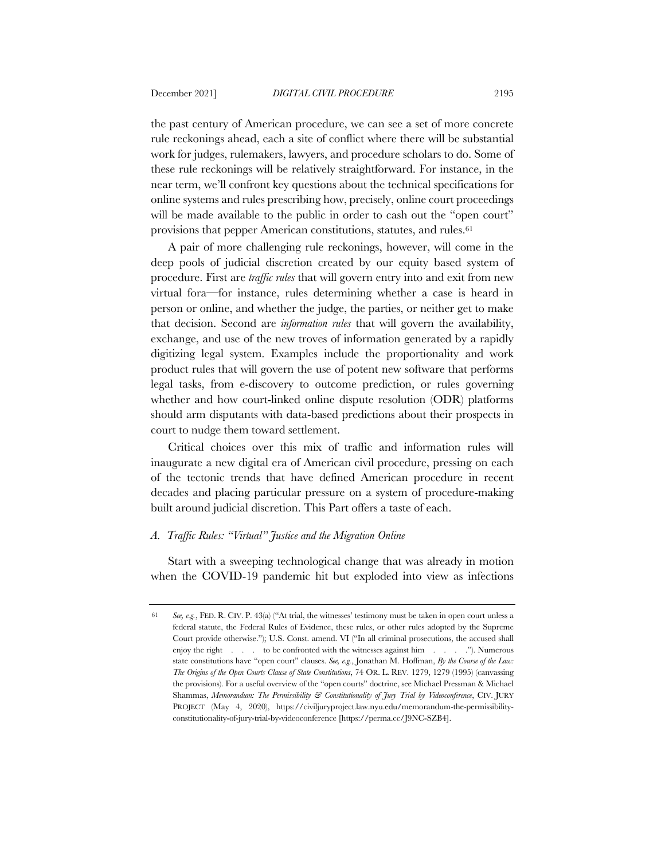the past century of American procedure, we can see a set of more concrete rule reckonings ahead, each a site of conflict where there will be substantial work for judges, rulemakers, lawyers, and procedure scholars to do. Some of these rule reckonings will be relatively straightforward. For instance, in the near term, we'll confront key questions about the technical specifications for online systems and rules prescribing how, precisely, online court proceedings will be made available to the public in order to cash out the "open court" provisions that pepper American constitutions, statutes, and rules.61

A pair of more challenging rule reckonings, however, will come in the deep pools of judicial discretion created by our equity based system of procedure. First are *traffic rules* that will govern entry into and exit from new virtual fora—for instance, rules determining whether a case is heard in person or online, and whether the judge, the parties, or neither get to make that decision. Second are *information rules* that will govern the availability, exchange, and use of the new troves of information generated by a rapidly digitizing legal system. Examples include the proportionality and work product rules that will govern the use of potent new software that performs legal tasks, from e-discovery to outcome prediction, or rules governing whether and how court-linked online dispute resolution (ODR) platforms should arm disputants with data-based predictions about their prospects in court to nudge them toward settlement.

Critical choices over this mix of traffic and information rules will inaugurate a new digital era of American civil procedure, pressing on each of the tectonic trends that have defined American procedure in recent decades and placing particular pressure on a system of procedure-making built around judicial discretion. This Part offers a taste of each.

## *A. Traffic Rules: "Virtual" Justice and the Migration Online*

Start with a sweeping technological change that was already in motion when the COVID-19 pandemic hit but exploded into view as infections

<sup>61</sup> *See, e.g.*, FED. R. CIV. P. 43(a) ("At trial, the witnesses' testimony must be taken in open court unless a federal statute, the Federal Rules of Evidence, these rules, or other rules adopted by the Supreme Court provide otherwise."); U.S. Const. amend. VI ("In all criminal prosecutions, the accused shall enjoy the right . . . to be confronted with the witnesses against him . . . ."). Numerous state constitutions have "open court" clauses. *See, e.g.*, Jonathan M. Hoffman, *By the Course of the Law: The Origins of the Open Courts Clause of State Constitutions*, 74 OR. L. REV. 1279, 1279 (1995) (canvassing the provisions). For a useful overview of the "open courts" doctrine, see Michael Pressman & Michael Shammas, *Memorandum: The Permissibility & Constitutionality of Jury Trial by Videoconference*, CIV. JURY PROJECT (May 4, 2020), https://civiljuryproject.law.nyu.edu/memorandum-the-permissibilityconstitutionality-of-jury-trial-by-videoconference [https://perma.cc/J9NC-SZB4].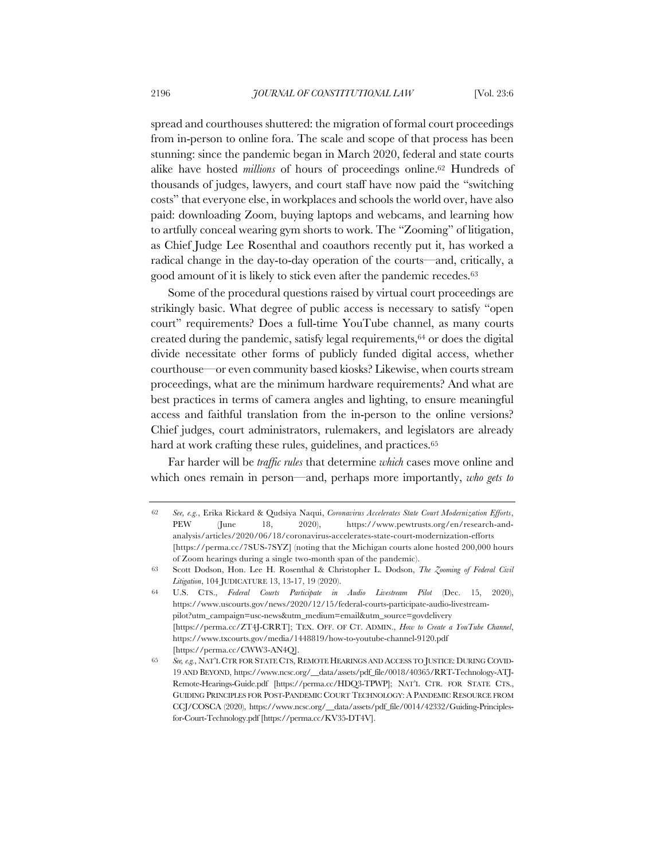spread and courthouses shuttered: the migration of formal court proceedings from in-person to online fora. The scale and scope of that process has been stunning: since the pandemic began in March 2020, federal and state courts alike have hosted *millions* of hours of proceedings online.62 Hundreds of thousands of judges, lawyers, and court staff have now paid the "switching costs" that everyone else, in workplaces and schools the world over, have also paid: downloading Zoom, buying laptops and webcams, and learning how to artfully conceal wearing gym shorts to work. The "Zooming" of litigation, as Chief Judge Lee Rosenthal and coauthors recently put it, has worked a radical change in the day-to-day operation of the courts—and, critically, a good amount of it is likely to stick even after the pandemic recedes.63

Some of the procedural questions raised by virtual court proceedings are strikingly basic. What degree of public access is necessary to satisfy "open court" requirements? Does a full-time YouTube channel, as many courts created during the pandemic, satisfy legal requirements,64 or does the digital divide necessitate other forms of publicly funded digital access, whether courthouse—or even community based kiosks? Likewise, when courts stream proceedings, what are the minimum hardware requirements? And what are best practices in terms of camera angles and lighting, to ensure meaningful access and faithful translation from the in-person to the online versions? Chief judges, court administrators, rulemakers, and legislators are already hard at work crafting these rules, guidelines, and practices.<sup>65</sup>

Far harder will be *traffic rules* that determine *which* cases move online and which ones remain in person—and, perhaps more importantly, *who gets to* 

<sup>62</sup> *See, e.g.*, Erika Rickard & Qudsiya Naqui, *Coronavirus Accelerates State Court Modernization Efforts*, PEW (June 18, 2020), https://www.pewtrusts.org/en/research-andanalysis/articles/2020/06/18/coronavirus-accelerates-state-court-modernization-efforts [https://perma.cc/7SUS-7SYZ] (noting that the Michigan courts alone hosted 200,000 hours of Zoom hearings during a single two-month span of the pandemic).

<sup>63</sup> Scott Dodson, Hon. Lee H. Rosenthal & Christopher L. Dodson, *The Zooming of Federal Civil Litigation*, 104 JUDICATURE 13, 13-17, 19 (2020).

<sup>64</sup> U.S. CTS., *Federal Courts Participate in Audio Livestream Pilot* (Dec. 15, 2020), https://www.uscourts.gov/news/2020/12/15/federal-courts-participate-audio-livestreampilot?utm\_campaign=usc-news&utm\_medium=email&utm\_source=govdelivery [https://perma.cc/ZT4J-CRRT]; TEX. OFF. OF CT. ADMIN., *How to Create a YouTube Channel*, https://www.txcourts.gov/media/1448819/how-to-youtube-channel-9120.pdf [https://perma.cc/CWW3-AN4Q].

<sup>65</sup> *See, e.g.*, NAT'L CTR FOR STATE CTS, REMOTE HEARINGS AND ACCESS TO JUSTICE: DURING COVID-19 AND BEYOND, https://www.ncsc.org/\_\_data/assets/pdf\_file/0018/40365/RRT-Technology-ATJ-Remote-Hearings-Guide.pdf [https://perma.cc/HDQ3-TPWP]; NAT'L CTR. FOR STATE CTS., GUIDING PRINCIPLES FOR POST-PANDEMIC COURT TECHNOLOGY: A PANDEMIC RESOURCE FROM CCJ/COSCA (2020), https://www.ncsc.org/\_\_data/assets/pdf\_file/0014/42332/Guiding-Principlesfor-Court-Technology.pdf [https://perma.cc/KV35-DT4V].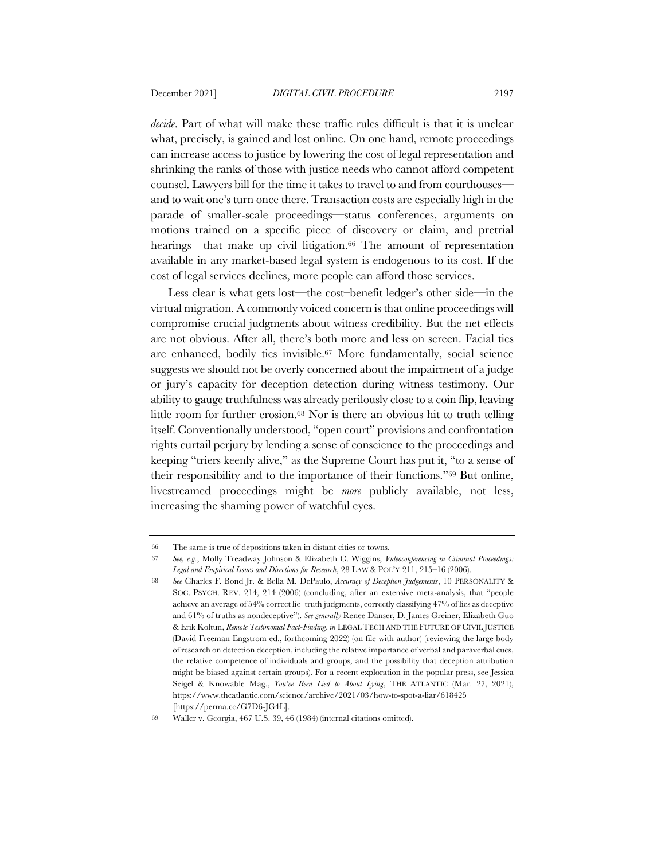*decide*. Part of what will make these traffic rules difficult is that it is unclear what, precisely, is gained and lost online. On one hand, remote proceedings can increase access to justice by lowering the cost of legal representation and shrinking the ranks of those with justice needs who cannot afford competent counsel. Lawyers bill for the time it takes to travel to and from courthouses and to wait one's turn once there. Transaction costs are especially high in the parade of smaller-scale proceedings—status conferences, arguments on motions trained on a specific piece of discovery or claim, and pretrial hearings—that make up civil litigation.<sup>66</sup> The amount of representation available in any market-based legal system is endogenous to its cost. If the cost of legal services declines, more people can afford those services.

Less clear is what gets lost—the cost–benefit ledger's other side—in the virtual migration. A commonly voiced concern is that online proceedings will compromise crucial judgments about witness credibility. But the net effects are not obvious. After all, there's both more and less on screen. Facial tics are enhanced, bodily tics invisible.67 More fundamentally, social science suggests we should not be overly concerned about the impairment of a judge or jury's capacity for deception detection during witness testimony. Our ability to gauge truthfulness was already perilously close to a coin flip, leaving little room for further erosion.68 Nor is there an obvious hit to truth telling itself. Conventionally understood, "open court" provisions and confrontation rights curtail perjury by lending a sense of conscience to the proceedings and keeping "triers keenly alive," as the Supreme Court has put it, "to a sense of their responsibility and to the importance of their functions."69 But online, livestreamed proceedings might be *more* publicly available, not less, increasing the shaming power of watchful eyes.

<sup>66</sup> The same is true of depositions taken in distant cities or towns.

<sup>67</sup> *See, e.g.*, Molly Treadway Johnson & Elizabeth C. Wiggins, *Videoconferencing in Criminal Proceedings: Legal and Empirical Issues and Directions for Research*, 28 LAW & POL'Y 211, 215–16 (2006).

<sup>68</sup> *See* Charles F. Bond Jr. & Bella M. DePaulo, *Accuracy of Deception Judgements*, 10 PERSONALITY & SOC. PSYCH. REV. 214, 214 (2006) (concluding, after an extensive meta-analysis, that "people achieve an average of 54% correct lie–truth judgments, correctly classifying 47% of lies as deceptive and 61% of truths as nondeceptive"). *See generally* Renee Danser, D. James Greiner, Elizabeth Guo & Erik Koltun, *Remote Testimonial Fact-Finding*, *in* LEGAL TECH AND THE FUTURE OF CIVIL JUSTICE (David Freeman Engstrom ed., forthcoming 2022) (on file with author) (reviewing the large body of research on detection deception, including the relative importance of verbal and paraverbal cues, the relative competence of individuals and groups, and the possibility that deception attribution might be biased against certain groups). For a recent exploration in the popular press, see Jessica Seigel & Knowable Mag., *You've Been Lied to About Lying*, THE ATLANTIC (Mar. 27, 2021), https://www.theatlantic.com/science/archive/2021/03/how-to-spot-a-liar/618425 [https://perma.cc/G7D6-JG4L].

<sup>69</sup> Waller v. Georgia, 467 U.S. 39, 46 (1984) (internal citations omitted).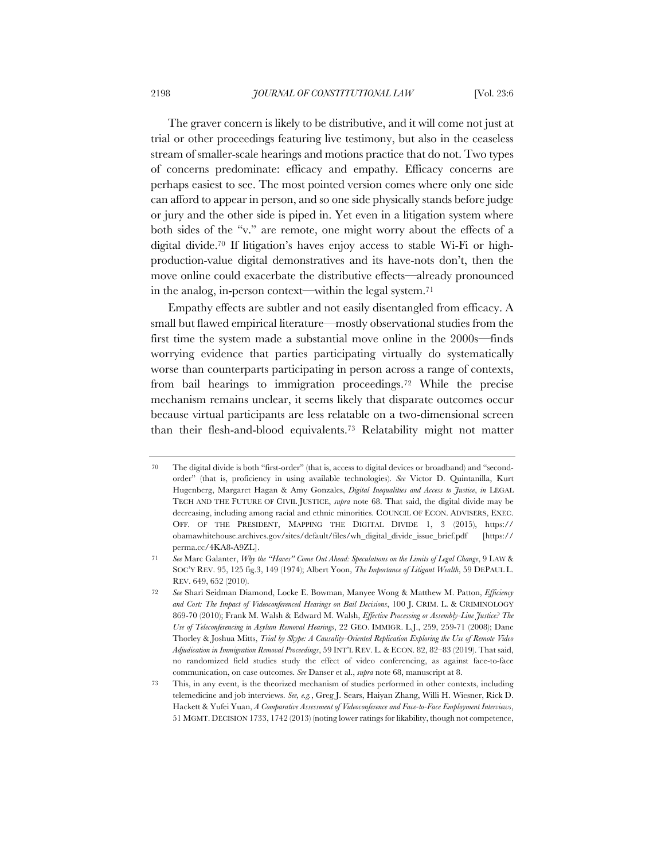The graver concern is likely to be distributive, and it will come not just at trial or other proceedings featuring live testimony, but also in the ceaseless stream of smaller-scale hearings and motions practice that do not. Two types of concerns predominate: efficacy and empathy. Efficacy concerns are perhaps easiest to see. The most pointed version comes where only one side can afford to appear in person, and so one side physically stands before judge or jury and the other side is piped in. Yet even in a litigation system where both sides of the "v." are remote, one might worry about the effects of a digital divide.70 If litigation's haves enjoy access to stable Wi-Fi or highproduction-value digital demonstratives and its have-nots don't, then the move online could exacerbate the distributive effects—already pronounced in the analog, in-person context—within the legal system.71

Empathy effects are subtler and not easily disentangled from efficacy. A small but flawed empirical literature—mostly observational studies from the first time the system made a substantial move online in the 2000s—finds worrying evidence that parties participating virtually do systematically worse than counterparts participating in person across a range of contexts, from bail hearings to immigration proceedings.72 While the precise mechanism remains unclear, it seems likely that disparate outcomes occur because virtual participants are less relatable on a two-dimensional screen than their flesh-and-blood equivalents.73 Relatability might not matter

<sup>70</sup> The digital divide is both "first-order" (that is, access to digital devices or broadband) and "secondorder" (that is, proficiency in using available technologies). *See* Victor D. Quintanilla, Kurt Hugenberg, Margaret Hagan & Amy Gonzales, *Digital Inequalities and Access to Justice*, *in* LEGAL TECH AND THE FUTURE OF CIVIL JUSTICE, *supra* note 68. That said, the digital divide may be decreasing, including among racial and ethnic minorities. COUNCIL OF ECON. ADVISERS, EXEC. OFF. OF THE PRESIDENT, MAPPING THE DIGITAL DIVIDE 1, 3 (2015), https:// obamawhitehouse.archives.gov/sites/default/files/wh\_digital\_divide\_issue\_brief.pdf [https:// perma.cc/4KA8-A9ZL].

<sup>71</sup> *See* Marc Galanter, *Why the "Haves" Come Out Ahead: Speculations on the Limits of Legal Change*, 9 LAW & SOC'Y REV. 95, 125 fig.3, 149 (1974); Albert Yoon, *The Importance of Litigant Wealth*, 59 DEPAUL L. REV. 649, 652 (2010).

<sup>72</sup> *See* Shari Seidman Diamond, Locke E. Bowman, Manyee Wong & Matthew M. Patton, *Efficiency and Cost: The Impact of Videoconferenced Hearings on Bail Decisions*, 100 J. CRIM. L. & CRIMINOLOGY 869-70 (2010); Frank M. Walsh & Edward M. Walsh, *Effective Processing or Assembly-Line Justice? The Use of Teleconferencing in Asylum Removal Hearings*, 22 GEO. IMMIGR. L.J., 259, 259-71 (2008); Dane Thorley & Joshua Mitts, *Trial by Skype: A Causality-Oriented Replication Exploring the Use of Remote Video Adjudication in Immigration Removal Proceedings*, 59 INT'L REV. L. & ECON. 82, 82–83 (2019). That said, no randomized field studies study the effect of video conferencing, as against face-to-face communication, on case outcomes. *See* Danser et al., *supra* note 68, manuscript at 8.

<sup>73</sup> This, in any event, is the theorized mechanism of studies performed in other contexts, including telemedicine and job interviews. *See, e.g.*, Greg J. Sears, Haiyan Zhang, Willi H. Wiesner, Rick D. Hackett & Yufei Yuan, *A Comparative Assessment of Videoconference and Face-to-Face Employment Interviews*, 51 MGMT. DECISION 1733, 1742 (2013) (noting lower ratings for likability, though not competence,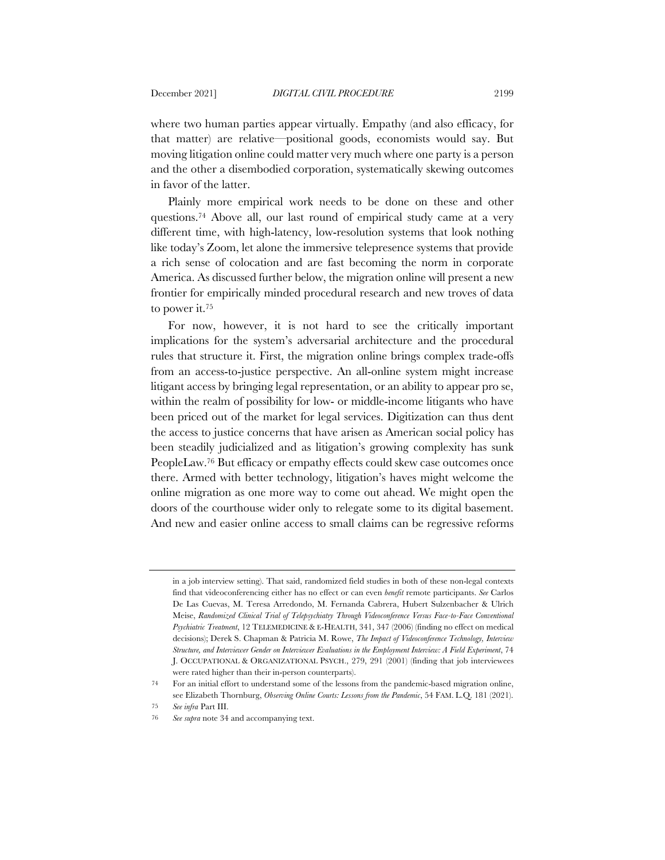where two human parties appear virtually. Empathy (and also efficacy, for that matter) are relative—positional goods, economists would say. But moving litigation online could matter very much where one party is a person and the other a disembodied corporation, systematically skewing outcomes in favor of the latter.

Plainly more empirical work needs to be done on these and other questions.74 Above all, our last round of empirical study came at a very different time, with high-latency, low-resolution systems that look nothing like today's Zoom, let alone the immersive telepresence systems that provide a rich sense of colocation and are fast becoming the norm in corporate America. As discussed further below, the migration online will present a new frontier for empirically minded procedural research and new troves of data to power it.75

For now, however, it is not hard to see the critically important implications for the system's adversarial architecture and the procedural rules that structure it. First, the migration online brings complex trade-offs from an access-to-justice perspective. An all-online system might increase litigant access by bringing legal representation, or an ability to appear pro se, within the realm of possibility for low- or middle-income litigants who have been priced out of the market for legal services. Digitization can thus dent the access to justice concerns that have arisen as American social policy has been steadily judicialized and as litigation's growing complexity has sunk PeopleLaw.76 But efficacy or empathy effects could skew case outcomes once there. Armed with better technology, litigation's haves might welcome the online migration as one more way to come out ahead. We might open the doors of the courthouse wider only to relegate some to its digital basement. And new and easier online access to small claims can be regressive reforms

in a job interview setting). That said, randomized field studies in both of these non-legal contexts find that videoconferencing either has no effect or can even *benefit* remote participants. *See* Carlos De Las Cuevas, M. Teresa Arredondo, M. Fernanda Cabrera, Hubert Sulzenbacher & Ulrich Meise, *Randomized Clinical Trial of Telepsychiatry Through Videoconference Versus Face-to-Face Conventional Psychiatric Treatment*, 12 TELEMEDICINE & E-HEALTH, 341, 347 (2006) (finding no effect on medical decisions); Derek S. Chapman & Patricia M. Rowe, *The Impact of Videoconference Technology, Interview Structure, and Interviewer Gender on Interviewer Evaluations in the Employment Interview: A Field Experiment*, 74 J. OCCUPATIONAL & ORGANIZATIONAL PSYCH., 279, 291 (2001) (finding that job interviewees were rated higher than their in-person counterparts).

<sup>74</sup> For an initial effort to understand some of the lessons from the pandemic-based migration online, see Elizabeth Thornburg, *Observing Online Courts: Lessons from the Pandemic*, 54 FAM. L.Q. 181 (2021).

<sup>75</sup> *See infra* Part III.

<sup>76</sup> *See supra* note 34 and accompanying text.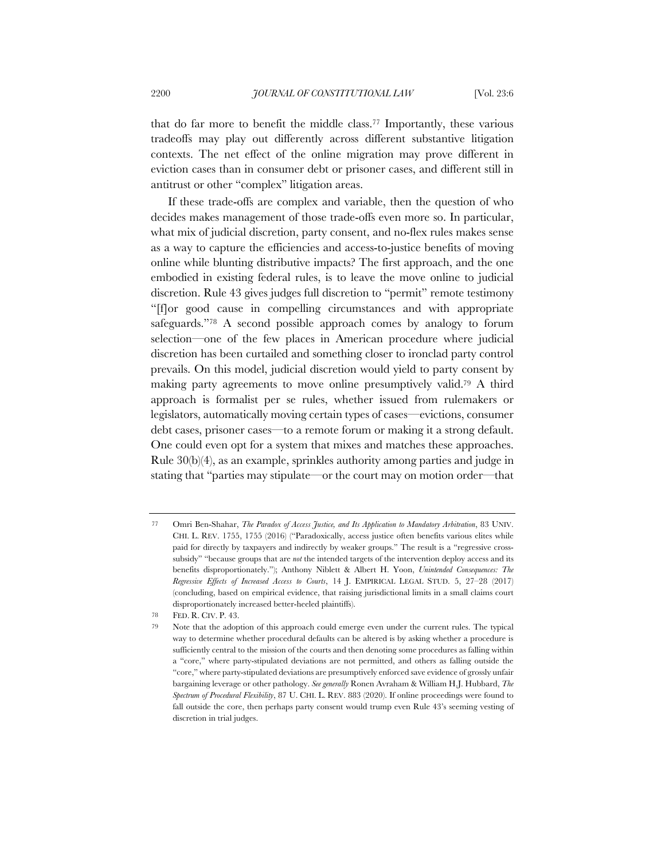that do far more to benefit the middle class.77 Importantly, these various tradeoffs may play out differently across different substantive litigation contexts. The net effect of the online migration may prove different in eviction cases than in consumer debt or prisoner cases, and different still in antitrust or other "complex" litigation areas.

If these trade-offs are complex and variable, then the question of who decides makes management of those trade-offs even more so. In particular, what mix of judicial discretion, party consent, and no-flex rules makes sense as a way to capture the efficiencies and access-to-justice benefits of moving online while blunting distributive impacts? The first approach, and the one embodied in existing federal rules, is to leave the move online to judicial discretion. Rule 43 gives judges full discretion to "permit" remote testimony "[f]or good cause in compelling circumstances and with appropriate safeguards."78 A second possible approach comes by analogy to forum selection—one of the few places in American procedure where judicial discretion has been curtailed and something closer to ironclad party control prevails. On this model, judicial discretion would yield to party consent by making party agreements to move online presumptively valid.79 A third approach is formalist per se rules, whether issued from rulemakers or legislators, automatically moving certain types of cases—evictions, consumer debt cases, prisoner cases—to a remote forum or making it a strong default. One could even opt for a system that mixes and matches these approaches. Rule 30(b)(4), as an example, sprinkles authority among parties and judge in stating that "parties may stipulate—or the court may on motion order—that

<sup>77</sup> Omri Ben-Shahar, *The Paradox of Access Justice, and Its Application to Mandatory Arbitration*, 83 UNIV. CHI. L. REV. 1755, 1755 (2016) ("Paradoxically, access justice often benefits various elites while paid for directly by taxpayers and indirectly by weaker groups." The result is a "regressive crosssubsidy" "because groups that are *not* the intended targets of the intervention deploy access and its benefits disproportionately."); Anthony Niblett & Albert H. Yoon, *Unintended Consequences: The Regressive Effects of Increased Access to Courts*, 14 J. EMPIRICAL LEGAL STUD. 5, 27–28 (2017) (concluding, based on empirical evidence, that raising jurisdictional limits in a small claims court disproportionately increased better-heeled plaintiffs).

<sup>78</sup> FED. R. CIV. P. 43.

<sup>79</sup> Note that the adoption of this approach could emerge even under the current rules. The typical way to determine whether procedural defaults can be altered is by asking whether a procedure is sufficiently central to the mission of the courts and then denoting some procedures as falling within a "core," where party-stipulated deviations are not permitted, and others as falling outside the "core," where party-stipulated deviations are presumptively enforced save evidence of grossly unfair bargaining leverage or other pathology. *See generally* Ronen Avraham & William H.J. Hubbard, *The Spectrum of Procedural Flexibility*, 87 U. CHI. L. REV. 883 (2020). If online proceedings were found to fall outside the core, then perhaps party consent would trump even Rule 43's seeming vesting of discretion in trial judges.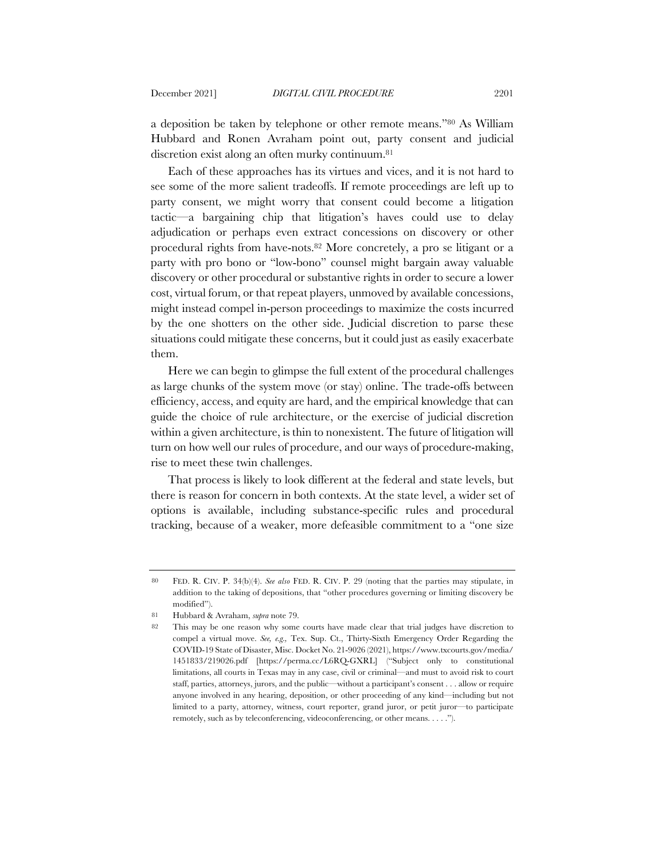a deposition be taken by telephone or other remote means."80 As William Hubbard and Ronen Avraham point out, party consent and judicial discretion exist along an often murky continuum.81

Each of these approaches has its virtues and vices, and it is not hard to see some of the more salient tradeoffs. If remote proceedings are left up to party consent, we might worry that consent could become a litigation tactic—a bargaining chip that litigation's haves could use to delay adjudication or perhaps even extract concessions on discovery or other procedural rights from have-nots.82 More concretely, a pro se litigant or a party with pro bono or "low-bono" counsel might bargain away valuable discovery or other procedural or substantive rights in order to secure a lower cost, virtual forum, or that repeat players, unmoved by available concessions, might instead compel in-person proceedings to maximize the costs incurred by the one shotters on the other side. Judicial discretion to parse these situations could mitigate these concerns, but it could just as easily exacerbate them.

Here we can begin to glimpse the full extent of the procedural challenges as large chunks of the system move (or stay) online. The trade-offs between efficiency, access, and equity are hard, and the empirical knowledge that can guide the choice of rule architecture, or the exercise of judicial discretion within a given architecture, is thin to nonexistent. The future of litigation will turn on how well our rules of procedure, and our ways of procedure-making, rise to meet these twin challenges.

That process is likely to look different at the federal and state levels, but there is reason for concern in both contexts. At the state level, a wider set of options is available, including substance-specific rules and procedural tracking, because of a weaker, more defeasible commitment to a "one size

<sup>80</sup> FED. R. CIV. P. 34(b)(4). *See also* FED. R. CIV. P. 29 (noting that the parties may stipulate, in addition to the taking of depositions, that "other procedures governing or limiting discovery be modified").

<sup>81</sup> Hubbard & Avraham, *supra* note 79.

<sup>82</sup> This may be one reason why some courts have made clear that trial judges have discretion to compel a virtual move. *See, e.g.,* Tex. Sup. Ct., Thirty-Sixth Emergency Order Regarding the COVID-19 State of Disaster, Misc. Docket No. 21-9026 (2021), https://www.txcourts.gov/media/ 1451833/219026.pdf [https://perma.cc/L6RQ-GXRL] ("Subject only to constitutional limitations, all courts in Texas may in any case, civil or criminal—and must to avoid risk to court staff, parties, attorneys, jurors, and the public—without a participant's consent . . . allow or require anyone involved in any hearing, deposition, or other proceeding of any kind—including but not limited to a party, attorney, witness, court reporter, grand juror, or petit juror—to participate remotely, such as by teleconferencing, videoconferencing, or other means. . . . .").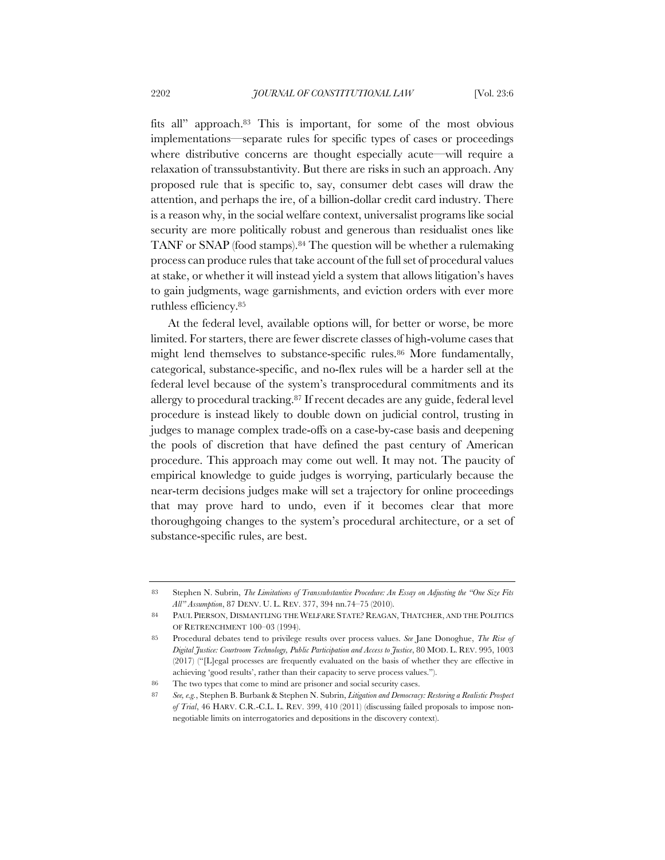fits all" approach.83 This is important, for some of the most obvious implementations—separate rules for specific types of cases or proceedings where distributive concerns are thought especially acute—will require a relaxation of transsubstantivity. But there are risks in such an approach. Any proposed rule that is specific to, say, consumer debt cases will draw the attention, and perhaps the ire, of a billion-dollar credit card industry. There is a reason why, in the social welfare context, universalist programs like social security are more politically robust and generous than residualist ones like TANF or SNAP (food stamps).84 The question will be whether a rulemaking process can produce rules that take account of the full set of procedural values at stake, or whether it will instead yield a system that allows litigation's haves to gain judgments, wage garnishments, and eviction orders with ever more ruthless efficiency.85

At the federal level, available options will, for better or worse, be more limited. For starters, there are fewer discrete classes of high-volume cases that might lend themselves to substance-specific rules.<sup>86</sup> More fundamentally, categorical, substance-specific, and no-flex rules will be a harder sell at the federal level because of the system's transprocedural commitments and its allergy to procedural tracking.87 If recent decades are any guide, federal level procedure is instead likely to double down on judicial control, trusting in judges to manage complex trade-offs on a case-by-case basis and deepening the pools of discretion that have defined the past century of American procedure. This approach may come out well. It may not. The paucity of empirical knowledge to guide judges is worrying, particularly because the near-term decisions judges make will set a trajectory for online proceedings that may prove hard to undo, even if it becomes clear that more thoroughgoing changes to the system's procedural architecture, or a set of substance-specific rules, are best.

<sup>83</sup> Stephen N. Subrin, *The Limitations of Transsubstantive Procedure: An Essay on Adjusting the "One Size Fits All" Assumption*, 87 DENV. U. L. REV. 377, 394 nn.74–75 (2010).

<sup>84</sup> PAUL PIERSON, DISMANTLING THE WELFARE STATE? REAGAN, THATCHER, AND THE POLITICS OF RETRENCHMENT 100–03 (1994).

<sup>85</sup> Procedural debates tend to privilege results over process values. *See* Jane Donoghue, *The Rise of Digital Justice: Courtroom Technology, Public Participation and Access to Justice*, 80 MOD. L. REV. 995, 1003 (2017) ("[L]egal processes are frequently evaluated on the basis of whether they are effective in achieving 'good results', rather than their capacity to serve process values.").

<sup>86</sup> The two types that come to mind are prisoner and social security cases.

<sup>87</sup> *See, e.g.*, Stephen B. Burbank & Stephen N. Subrin, *Litigation and Democracy: Restoring a Realistic Prospect of Trial*, 46 HARV. C.R.-C.L. L. REV. 399, 410 (2011) (discussing failed proposals to impose nonnegotiable limits on interrogatories and depositions in the discovery context).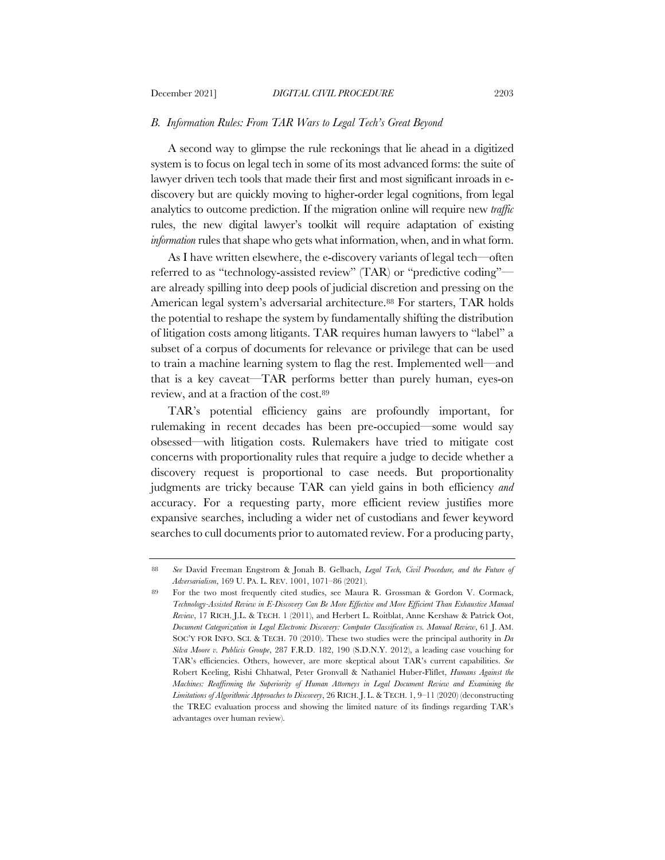### *B. Information Rules: From TAR Wars to Legal Tech's Great Beyond*

A second way to glimpse the rule reckonings that lie ahead in a digitized system is to focus on legal tech in some of its most advanced forms: the suite of lawyer driven tech tools that made their first and most significant inroads in ediscovery but are quickly moving to higher-order legal cognitions, from legal analytics to outcome prediction. If the migration online will require new *traffic* rules, the new digital lawyer's toolkit will require adaptation of existing *information* rules that shape who gets what information, when, and in what form.

As I have written elsewhere, the e-discovery variants of legal tech—often referred to as "technology-assisted review" (TAR) or "predictive coding" are already spilling into deep pools of judicial discretion and pressing on the American legal system's adversarial architecture.<sup>88</sup> For starters, TAR holds the potential to reshape the system by fundamentally shifting the distribution of litigation costs among litigants. TAR requires human lawyers to "label" a subset of a corpus of documents for relevance or privilege that can be used to train a machine learning system to flag the rest. Implemented well—and that is a key caveat—TAR performs better than purely human, eyes-on review, and at a fraction of the cost.89

TAR's potential efficiency gains are profoundly important, for rulemaking in recent decades has been pre-occupied—some would say obsessed—with litigation costs. Rulemakers have tried to mitigate cost concerns with proportionality rules that require a judge to decide whether a discovery request is proportional to case needs. But proportionality judgments are tricky because TAR can yield gains in both efficiency *and* accuracy. For a requesting party, more efficient review justifies more expansive searches, including a wider net of custodians and fewer keyword searches to cull documents prior to automated review. For a producing party,

<sup>88</sup> *See* David Freeman Engstrom & Jonah B. Gelbach, *Legal Tech, Civil Procedure, and the Future of Adversarialism*, 169 U. PA. L. REV. 1001, 1071–86 (2021).

<sup>89</sup> For the two most frequently cited studies, see Maura R. Grossman & Gordon V. Cormack, *Technology-Assisted Review in E-Discovery Can Be More Effective and More Efficient Than Exhaustive Manual Review*, 17 RICH. J.L. & TECH. 1 (2011), and Herbert L. Roitblat, Anne Kershaw & Patrick Oot, *Document Categorization in Legal Electronic Discovery: Computer Classification vs. Manual Review*, 61 J. AM. SOC'Y FOR INFO. SCI. & TECH. 70 (2010). These two studies were the principal authority in *Da Silva Moore v. Publicis Groupe*, 287 F.R.D. 182, 190 (S.D.N.Y. 2012), a leading case vouching for TAR's efficiencies. Others, however, are more skeptical about TAR's current capabilities. *See* Robert Keeling, Rishi Chhatwal, Peter Gronvall & Nathaniel Huber-Fliflet, *Humans Against the Machines: Reaffirming the Superiority of Human Attorneys in Legal Document Review and Examining the Limitations of Algorithmic Approaches to Discovery*, 26 RICH. J. L. & TECH. 1, 9–11 (2020) (deconstructing the TREC evaluation process and showing the limited nature of its findings regarding TAR's advantages over human review).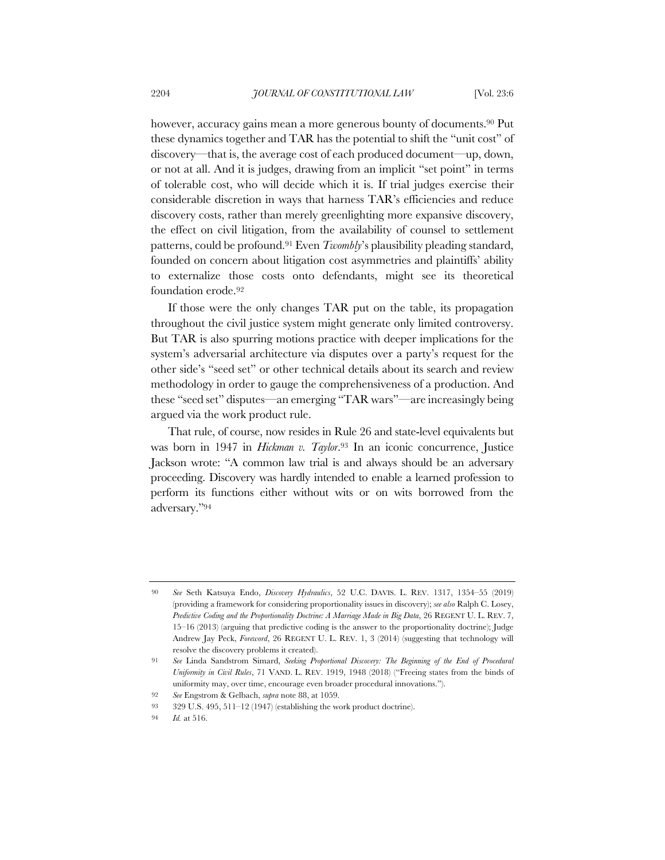however, accuracy gains mean a more generous bounty of documents.<sup>90</sup> Put these dynamics together and TAR has the potential to shift the "unit cost" of discovery—that is, the average cost of each produced document—up, down, or not at all. And it is judges, drawing from an implicit "set point" in terms of tolerable cost, who will decide which it is. If trial judges exercise their considerable discretion in ways that harness TAR's efficiencies and reduce discovery costs, rather than merely greenlighting more expansive discovery, the effect on civil litigation, from the availability of counsel to settlement patterns, could be profound.91 Even *Twombly*'s plausibility pleading standard, founded on concern about litigation cost asymmetries and plaintiffs' ability to externalize those costs onto defendants, might see its theoretical foundation erode.92

If those were the only changes TAR put on the table, its propagation throughout the civil justice system might generate only limited controversy. But TAR is also spurring motions practice with deeper implications for the system's adversarial architecture via disputes over a party's request for the other side's "seed set" or other technical details about its search and review methodology in order to gauge the comprehensiveness of a production. And these "seed set" disputes—an emerging "TAR wars"—are increasingly being argued via the work product rule.

That rule, of course, now resides in Rule 26 and state-level equivalents but was born in 1947 in *Hickman v. Taylor*.93 In an iconic concurrence, Justice Jackson wrote: "A common law trial is and always should be an adversary proceeding. Discovery was hardly intended to enable a learned profession to perform its functions either without wits or on wits borrowed from the adversary."94

<sup>90</sup> *See* Seth Katsuya Endo, *Discovery Hydraulics*, 52 U.C. DAVIS. L. REV. 1317, 1354–55 (2019) (providing a framework for considering proportionality issues in discovery); *see also* Ralph C. Losey, *Predictive Coding and the Proportionality Doctrine: A Marriage Made in Big Data*, 26 REGENT U. L. REV. 7, 15–16 (2013) (arguing that predictive coding is the answer to the proportionality doctrine); Judge Andrew Jay Peck, *Foreword*, 26 REGENT U. L. REV. 1, 3 (2014) (suggesting that technology will resolve the discovery problems it created).

<sup>91</sup> *See* Linda Sandstrom Simard, *Seeking Proportional Discovery: The Beginning of the End of Procedural Uniformity in Civil Rules*, 71 VAND. L. REV. 1919, 1948 (2018) ("Freeing states from the binds of uniformity may, over time, encourage even broader procedural innovations.").

<sup>92</sup> *See* Engstrom & Gelbach, *supra* note 88, at 1059.

<sup>93</sup> 329 U.S. 495, 511–12 (1947) (establishing the work product doctrine).

<sup>94</sup> *Id.* at 516.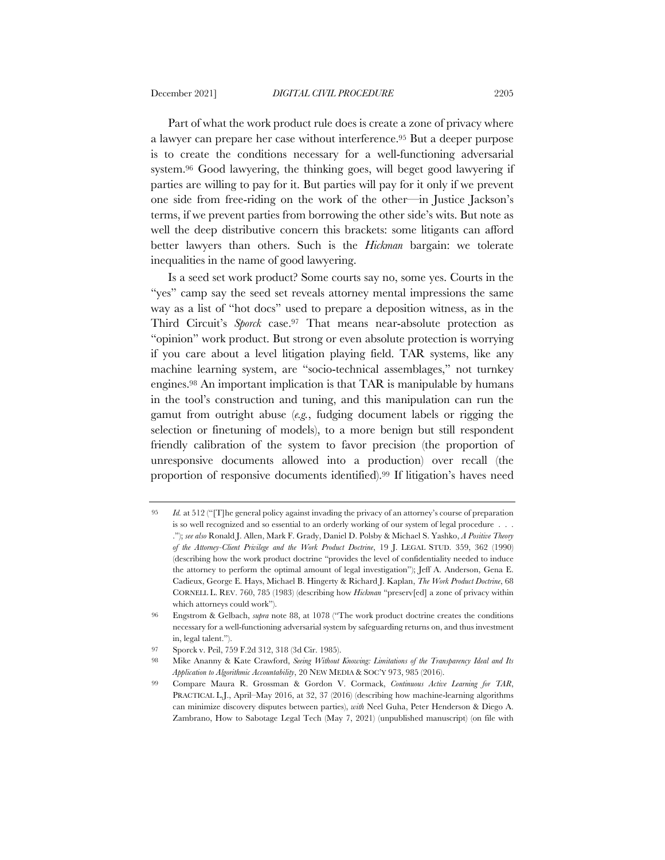Part of what the work product rule does is create a zone of privacy where a lawyer can prepare her case without interference.95 But a deeper purpose is to create the conditions necessary for a well-functioning adversarial system.96 Good lawyering, the thinking goes, will beget good lawyering if parties are willing to pay for it. But parties will pay for it only if we prevent one side from free-riding on the work of the other—in Justice Jackson's terms, if we prevent parties from borrowing the other side's wits. But note as well the deep distributive concern this brackets: some litigants can afford better lawyers than others. Such is the *Hickman* bargain: we tolerate inequalities in the name of good lawyering.

Is a seed set work product? Some courts say no, some yes. Courts in the "yes" camp say the seed set reveals attorney mental impressions the same way as a list of "hot docs" used to prepare a deposition witness, as in the Third Circuit's *Sporck* case.97 That means near-absolute protection as "opinion" work product. But strong or even absolute protection is worrying if you care about a level litigation playing field. TAR systems, like any machine learning system, are "socio-technical assemblages," not turnkey engines.98 An important implication is that TAR is manipulable by humans in the tool's construction and tuning, and this manipulation can run the gamut from outright abuse (*e.g.*, fudging document labels or rigging the selection or finetuning of models), to a more benign but still respondent friendly calibration of the system to favor precision (the proportion of unresponsive documents allowed into a production) over recall (the proportion of responsive documents identified).99 If litigation's haves need

<sup>95</sup> *Id.* at 512 ("[T]he general policy against invading the privacy of an attorney's course of preparation is so well recognized and so essential to an orderly working of our system of legal procedure . . . ."); *see also* Ronald J. Allen, Mark F. Grady, Daniel D. Polsby & Michael S. Yashko, *A Positive Theory of the Attorney-Client Privilege and the Work Product Doctrine*, 19 J. LEGAL STUD. 359, 362 (1990) (describing how the work product doctrine "provides the level of confidentiality needed to induce the attorney to perform the optimal amount of legal investigation"); Jeff A. Anderson, Gena E. Cadieux, George E. Hays, Michael B. Hingerty & Richard J. Kaplan, *The Work Product Doctrine*, 68 CORNELL L. REV. 760, 785 (1983) (describing how *Hickman* "preserv[ed] a zone of privacy within which attorneys could work").

<sup>96</sup> Engstrom & Gelbach, *supra* note 88, at 1078 ("The work product doctrine creates the conditions necessary for a well-functioning adversarial system by safeguarding returns on, and thus investment in, legal talent.").

<sup>97</sup> Sporck v. Peil, 759 F.2d 312, 318 (3d Cir. 1985).

<sup>98</sup> Mike Ananny & Kate Crawford, *Seeing Without Knowing: Limitations of the Transparency Ideal and Its Application to Algorithmic Accountability*, 20 NEW MEDIA & SOC'Y 973, 985 (2016).

<sup>99</sup> Compare Maura R. Grossman & Gordon V. Cormack, *Continuous Active Learning for TAR*, PRACTICAL L.J., April–May 2016, at 32, 37 (2016) (describing how machine-learning algorithms can minimize discovery disputes between parties), *with* Neel Guha, Peter Henderson & Diego A. Zambrano, How to Sabotage Legal Tech (May 7, 2021) (unpublished manuscript) (on file with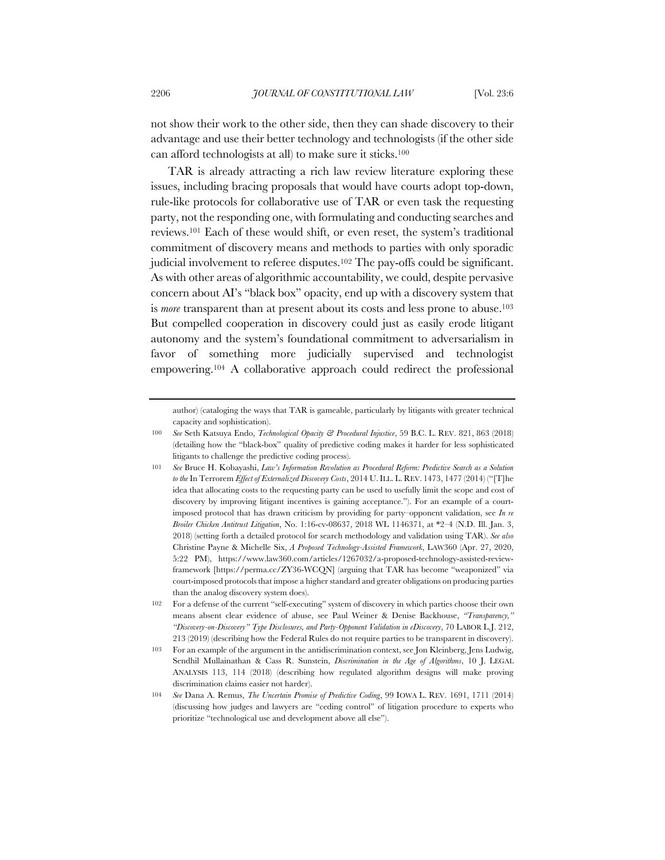not show their work to the other side, then they can shade discovery to their advantage and use their better technology and technologists (if the other side can afford technologists at all) to make sure it sticks.100

TAR is already attracting a rich law review literature exploring these issues, including bracing proposals that would have courts adopt top-down, rule-like protocols for collaborative use of TAR or even task the requesting party, not the responding one, with formulating and conducting searches and reviews.101 Each of these would shift, or even reset, the system's traditional commitment of discovery means and methods to parties with only sporadic judicial involvement to referee disputes.102 The pay-offs could be significant. As with other areas of algorithmic accountability, we could, despite pervasive concern about AI's "black box" opacity, end up with a discovery system that is *more* transparent than at present about its costs and less prone to abuse.<sup>103</sup> But compelled cooperation in discovery could just as easily erode litigant autonomy and the system's foundational commitment to adversarialism in favor of something more judicially supervised and technologist empowering.104 A collaborative approach could redirect the professional

author) (cataloging the ways that TAR is gameable, particularly by litigants with greater technical capacity and sophistication).

<sup>100</sup> *See* Seth Katsuya Endo, *Technological Opacity & Procedural Injustice*, 59 B.C. L. REV. 821, 863 (2018) (detailing how the "black-box" quality of predictive coding makes it harder for less sophisticated litigants to challenge the predictive coding process).

<sup>101</sup> *See* Bruce H. Kobayashi, *Law's Information Revolution as Procedural Reform: Predictive Search as a Solution to the* In Terrorem *Effect of Externalized Discovery Costs*, 2014 U.ILL. L. REV. 1473, 1477 (2014) ("[T]he idea that allocating costs to the requesting party can be used to usefully limit the scope and cost of discovery by improving litigant incentives is gaining acceptance."). For an example of a courtimposed protocol that has drawn criticism by providing for party–opponent validation, see *In re Broiler Chicken Antitrust Litigation*, No. 1:16-cv-08637, 2018 WL 1146371, at \*2–4 (N.D. Ill. Jan. 3, 2018) (setting forth a detailed protocol for search methodology and validation using TAR). *See also* Christine Payne & Michelle Six, *A Proposed Technology-Assisted Framework*, LAW360 (Apr. 27, 2020, 5:22 PM), https://www.law360.com/articles/1267032/a-proposed-technology-assisted-reviewframework [https://perma.cc/ZY36-WCQN] (arguing that TAR has become "weaponized" via court-imposed protocols that impose a higher standard and greater obligations on producing parties than the analog discovery system does).

<sup>102</sup> For a defense of the current "self-executing" system of discovery in which parties choose their own means absent clear evidence of abuse, see Paul Weiner & Denise Backhouse, *"Transparency," "Discovery-on-Discovery" Type Disclosures, and Party-Opponent Validation in eDiscovery*, 70 LABOR L.J. 212, 213 (2019) (describing how the Federal Rules do not require parties to be transparent in discovery).

<sup>103</sup> For an example of the argument in the antidiscrimination context, see Jon Kleinberg, Jens Ludwig, Sendhil Mullainathan & Cass R. Sunstein, *Discrimination in the Age of Algorithms*, 10 J. LEGAL ANALYSIS 113, 114 (2018) (describing how regulated algorithm designs will make proving discrimination claims easier not harder).

<sup>104</sup> *See* Dana A. Remus, *The Uncertain Promise of Predictive Coding*, 99 IOWA L. REV. 1691, 1711 (2014) (discussing how judges and lawyers are "ceding control" of litigation procedure to experts who prioritize "technological use and development above all else").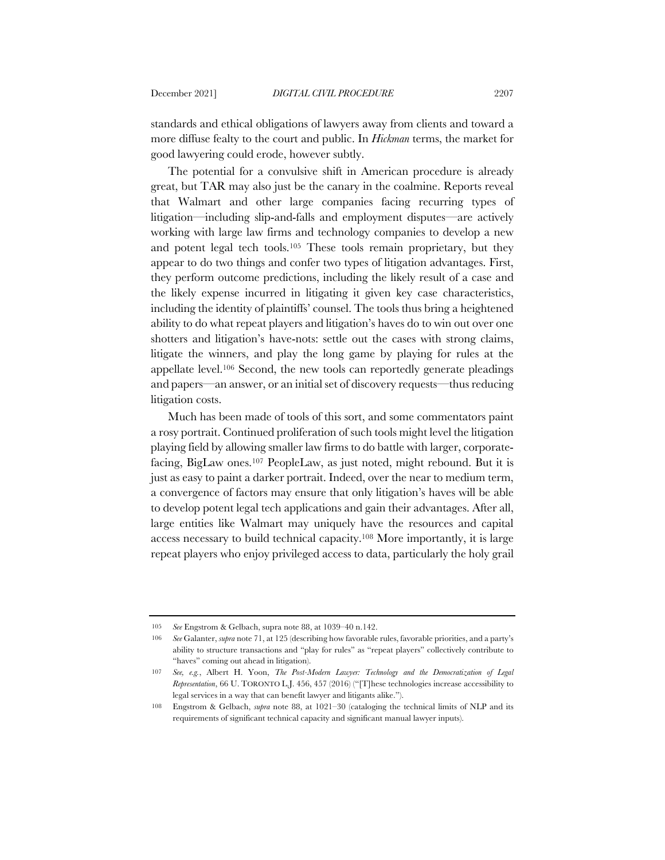standards and ethical obligations of lawyers away from clients and toward a more diffuse fealty to the court and public. In *Hickman* terms, the market for good lawyering could erode, however subtly.

The potential for a convulsive shift in American procedure is already great, but TAR may also just be the canary in the coalmine. Reports reveal that Walmart and other large companies facing recurring types of litigation—including slip-and-falls and employment disputes—are actively working with large law firms and technology companies to develop a new and potent legal tech tools.105 These tools remain proprietary, but they appear to do two things and confer two types of litigation advantages. First, they perform outcome predictions, including the likely result of a case and the likely expense incurred in litigating it given key case characteristics, including the identity of plaintiffs' counsel. The tools thus bring a heightened ability to do what repeat players and litigation's haves do to win out over one shotters and litigation's have-nots: settle out the cases with strong claims, litigate the winners, and play the long game by playing for rules at the appellate level.106 Second, the new tools can reportedly generate pleadings and papers—an answer, or an initial set of discovery requests—thus reducing litigation costs.

Much has been made of tools of this sort, and some commentators paint a rosy portrait. Continued proliferation of such tools might level the litigation playing field by allowing smaller law firms to do battle with larger, corporatefacing, BigLaw ones.107 PeopleLaw, as just noted, might rebound. But it is just as easy to paint a darker portrait. Indeed, over the near to medium term, a convergence of factors may ensure that only litigation's haves will be able to develop potent legal tech applications and gain their advantages. After all, large entities like Walmart may uniquely have the resources and capital access necessary to build technical capacity.108 More importantly, it is large repeat players who enjoy privileged access to data, particularly the holy grail

<sup>105</sup> *See* Engstrom & Gelbach, supra note 88, at 1039–40 n.142.

<sup>106</sup> *See* Galanter, *supra* note 71, at 125 (describing how favorable rules, favorable priorities, and a party's ability to structure transactions and "play for rules" as "repeat players" collectively contribute to "haves" coming out ahead in litigation).

<sup>107</sup> *See, e.g.*, Albert H. Yoon, *The Post-Modern Lawyer: Technology and the Democratization of Legal Representation*, 66 U. TORONTO L.J. 456, 457 (2016) ("[T]hese technologies increase accessibility to legal services in a way that can benefit lawyer and litigants alike.").

<sup>108</sup> Engstrom & Gelbach, *supra* note 88, at 1021–30 (cataloging the technical limits of NLP and its requirements of significant technical capacity and significant manual lawyer inputs).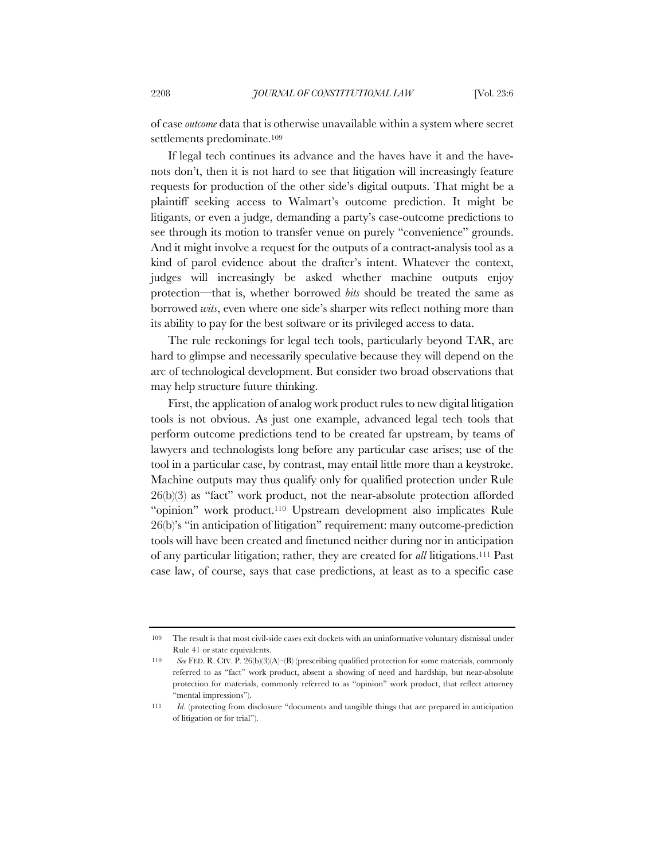of case *outcome* data that is otherwise unavailable within a system where secret settlements predominate.109

If legal tech continues its advance and the haves have it and the havenots don't, then it is not hard to see that litigation will increasingly feature requests for production of the other side's digital outputs. That might be a plaintiff seeking access to Walmart's outcome prediction. It might be litigants, or even a judge, demanding a party's case-outcome predictions to see through its motion to transfer venue on purely "convenience" grounds. And it might involve a request for the outputs of a contract-analysis tool as a kind of parol evidence about the drafter's intent. Whatever the context, judges will increasingly be asked whether machine outputs enjoy protection—that is, whether borrowed *bits* should be treated the same as borrowed *wits*, even where one side's sharper wits reflect nothing more than its ability to pay for the best software or its privileged access to data.

The rule reckonings for legal tech tools, particularly beyond TAR, are hard to glimpse and necessarily speculative because they will depend on the arc of technological development. But consider two broad observations that may help structure future thinking.

First, the application of analog work product rules to new digital litigation tools is not obvious. As just one example, advanced legal tech tools that perform outcome predictions tend to be created far upstream, by teams of lawyers and technologists long before any particular case arises; use of the tool in a particular case, by contrast, may entail little more than a keystroke. Machine outputs may thus qualify only for qualified protection under Rule 26(b)(3) as "fact" work product, not the near-absolute protection afforded "opinion" work product.110 Upstream development also implicates Rule 26(b)'s "in anticipation of litigation" requirement: many outcome-prediction tools will have been created and finetuned neither during nor in anticipation of any particular litigation; rather, they are created for *all* litigations.111 Past case law, of course, says that case predictions, at least as to a specific case

<sup>109</sup> The result is that most civil-side cases exit dockets with an uninformative voluntary dismissal under Rule 41 or state equivalents.

<sup>110</sup> *See* FED. R. CIV. P. 26(b)(3)(A)–(B) (prescribing qualified protection for some materials, commonly referred to as "fact" work product, absent a showing of need and hardship, but near-absolute protection for materials, commonly referred to as "opinion" work product, that reflect attorney "mental impressions").

<sup>111</sup> *Id.* (protecting from disclosure "documents and tangible things that are prepared in anticipation of litigation or for trial").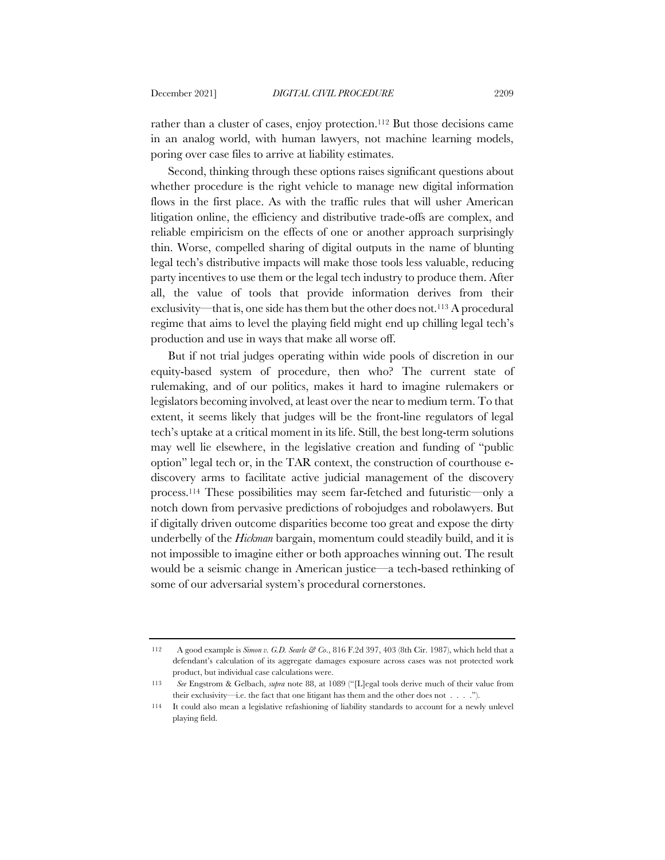rather than a cluster of cases, enjoy protection.112 But those decisions came in an analog world, with human lawyers, not machine learning models, poring over case files to arrive at liability estimates.

Second, thinking through these options raises significant questions about whether procedure is the right vehicle to manage new digital information flows in the first place. As with the traffic rules that will usher American litigation online, the efficiency and distributive trade-offs are complex, and reliable empiricism on the effects of one or another approach surprisingly thin. Worse, compelled sharing of digital outputs in the name of blunting legal tech's distributive impacts will make those tools less valuable, reducing party incentives to use them or the legal tech industry to produce them. After all, the value of tools that provide information derives from their exclusivity—that is, one side has them but the other does not.113 A procedural regime that aims to level the playing field might end up chilling legal tech's production and use in ways that make all worse off.

But if not trial judges operating within wide pools of discretion in our equity-based system of procedure, then who? The current state of rulemaking, and of our politics, makes it hard to imagine rulemakers or legislators becoming involved, at least over the near to medium term. To that extent, it seems likely that judges will be the front-line regulators of legal tech's uptake at a critical moment in its life. Still, the best long-term solutions may well lie elsewhere, in the legislative creation and funding of "public option" legal tech or, in the TAR context, the construction of courthouse ediscovery arms to facilitate active judicial management of the discovery process.114 These possibilities may seem far-fetched and futuristic—only a notch down from pervasive predictions of robojudges and robolawyers. But if digitally driven outcome disparities become too great and expose the dirty underbelly of the *Hickman* bargain, momentum could steadily build, and it is not impossible to imagine either or both approaches winning out. The result would be a seismic change in American justice—a tech-based rethinking of some of our adversarial system's procedural cornerstones.

<sup>112</sup> A good example is *Simon v. G.D. Searle & Co*., 816 F.2d 397, 403 (8th Cir. 1987), which held that a defendant's calculation of its aggregate damages exposure across cases was not protected work product, but individual case calculations were.

<sup>113</sup> *See* Engstrom & Gelbach, *supra* note 88, at 1089 ("[L]egal tools derive much of their value from their exclusivity—i.e. the fact that one litigant has them and the other does not . . . .").

<sup>114</sup> It could also mean a legislative refashioning of liability standards to account for a newly unlevel playing field.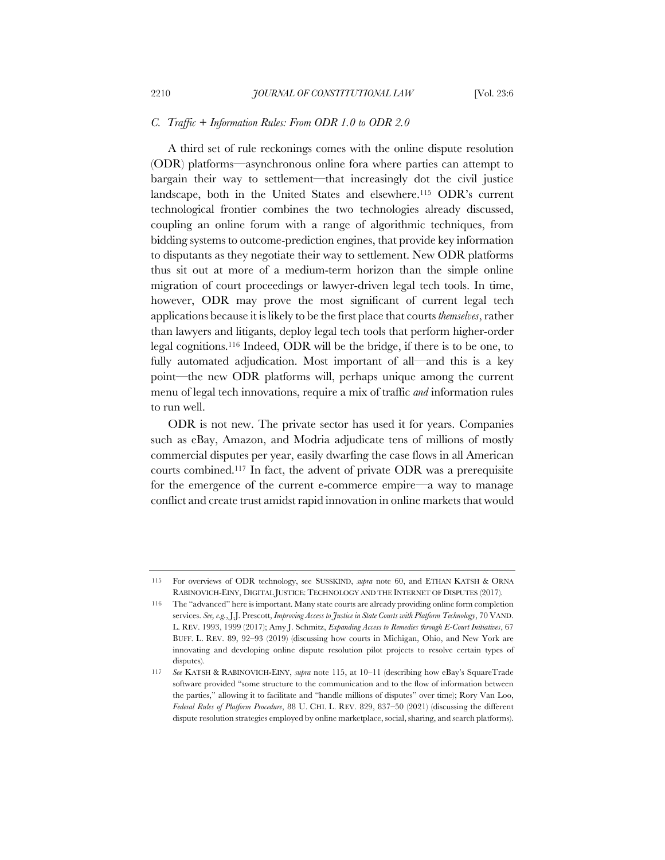### *C. Traffic + Information Rules: From ODR 1.0 to ODR 2.0*

A third set of rule reckonings comes with the online dispute resolution (ODR) platforms—asynchronous online fora where parties can attempt to bargain their way to settlement—that increasingly dot the civil justice landscape, both in the United States and elsewhere.115 ODR's current technological frontier combines the two technologies already discussed, coupling an online forum with a range of algorithmic techniques, from bidding systems to outcome-prediction engines, that provide key information to disputants as they negotiate their way to settlement. New ODR platforms thus sit out at more of a medium-term horizon than the simple online migration of court proceedings or lawyer-driven legal tech tools. In time, however, ODR may prove the most significant of current legal tech applications because it is likely to be the first place that courts *themselves*, rather than lawyers and litigants, deploy legal tech tools that perform higher-order legal cognitions.116 Indeed, ODR will be the bridge, if there is to be one, to fully automated adjudication. Most important of all—and this is a key point—the new ODR platforms will, perhaps unique among the current menu of legal tech innovations, require a mix of traffic *and* information rules to run well.

ODR is not new. The private sector has used it for years. Companies such as eBay, Amazon, and Modria adjudicate tens of millions of mostly commercial disputes per year, easily dwarfing the case flows in all American courts combined.117 In fact, the advent of private ODR was a prerequisite for the emergence of the current e-commerce empire—a way to manage conflict and create trust amidst rapid innovation in online markets that would

<sup>115</sup> For overviews of ODR technology, see SUSSKIND, *supra* note 60, and ETHAN KATSH & ORNA RABINOVICH-EINY, DIGITAL JUSTICE: TECHNOLOGY AND THE INTERNET OF DISPUTES (2017).

<sup>116</sup> The "advanced" here is important. Many state courts are already providing online form completion services. *See, e.g.*, J.J. Prescott, *Improving Access to Justice in State Courts with Platform Technology*, 70 VAND. L. REV. 1993, 1999 (2017); Amy J. Schmitz, *Expanding Access to Remedies through E-Court Initiatives*, 67 BUFF. L. REV. 89, 92–93 (2019) (discussing how courts in Michigan, Ohio, and New York are innovating and developing online dispute resolution pilot projects to resolve certain types of disputes).

<sup>117</sup> *See* KATSH & RABINOVICH-EINY, *supra* note 115, at 10–11 (describing how eBay's SquareTrade software provided "some structure to the communication and to the flow of information between the parties," allowing it to facilitate and "handle millions of disputes" over time); Rory Van Loo, *Federal Rules of Platform Procedure*, 88 U. CHI. L. REV. 829, 837–50 (2021) (discussing the different dispute resolution strategies employed by online marketplace, social, sharing, and search platforms).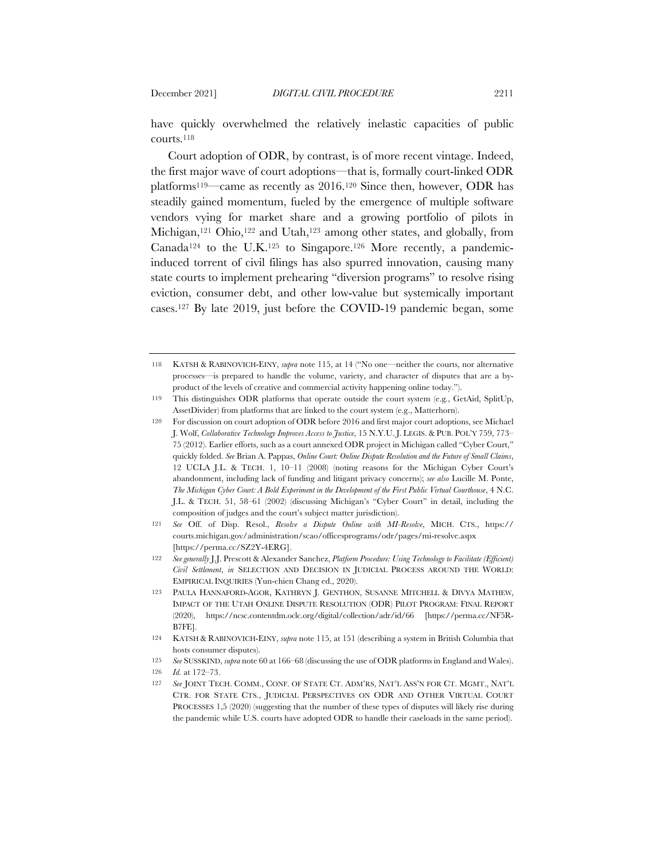have quickly overwhelmed the relatively inelastic capacities of public courts.118

Court adoption of ODR, by contrast, is of more recent vintage. Indeed, the first major wave of court adoptions—that is, formally court-linked ODR platforms119—came as recently as 2016.120 Since then, however, ODR has steadily gained momentum, fueled by the emergence of multiple software vendors vying for market share and a growing portfolio of pilots in Michigan,<sup>121</sup> Ohio,<sup>122</sup> and Utah,<sup>123</sup> among other states, and globally, from Canada<sup>124</sup> to the U.K.<sup>125</sup> to Singapore.<sup>126</sup> More recently, a pandemicinduced torrent of civil filings has also spurred innovation, causing many state courts to implement prehearing "diversion programs" to resolve rising eviction, consumer debt, and other low-value but systemically important cases.127 By late 2019, just before the COVID-19 pandemic began, some

<sup>118</sup> KATSH & RABINOVICH-EINY, *supra* note 115, at 14 ("No one—neither the courts, nor alternative processes—is prepared to handle the volume, variety, and character of disputes that are a byproduct of the levels of creative and commercial activity happening online today.").

<sup>119</sup> This distinguishes ODR platforms that operate outside the court system (e.g*.*, GetAid, SplitUp, AssetDivider) from platforms that are linked to the court system (e.g., Matterhorn).

<sup>120</sup> For discussion on court adoption of ODR before 2016 and first major court adoptions, see Michael J. Wolf, *Collaborative Technology Improves Access to Justice*, 15 N.Y.U. J. LEGIS. & PUB. POL'Y 759, 773– 75 (2012). Earlier efforts, such as a court annexed ODR project in Michigan called "Cyber Court," quickly folded. *See* Brian A. Pappas, *Online Court: Online Dispute Resolution and the Future of Small Claims*, 12 UCLA J.L. & TECH. 1, 10–11 (2008) (noting reasons for the Michigan Cyber Court's abandonment, including lack of funding and litigant privacy concerns); *see also* Lucille M. Ponte, *The Michigan Cyber Court: A Bold Experiment in the Development of the First Public Virtual Courthouse*, 4 N.C. J.L. & TECH. 51, 58–61 (2002) (discussing Michigan's "Cyber Court" in detail, including the composition of judges and the court's subject matter jurisdiction).

<sup>121</sup> *See* Off. of Disp. Resol., *Resolve a Dispute Online with MI-Resolve*, MICH. CTS., https:// courts.michigan.gov/administration/scao/officesprograms/odr/pages/mi-resolve.aspx [https://perma.cc/SZ2Y-4ERG].

<sup>122</sup> *See generally* J.J. Prescott & Alexander Sanchez, *Platform Procedure: Using Technology to Facilitate (Efficient) Civil Settlement*, *in* SELECTION AND DECISION IN JUDICIAL PROCESS AROUND THE WORLD: EMPIRICAL INQUIRIES (Yun-chien Chang ed., 2020).

<sup>123</sup> PAULA HANNAFORD-AGOR, KATHRYN J. GENTHON, SUSANNE MITCHELL & DIVYA MATHEW, IMPACT OF THE UTAH ONLINE DISPUTE RESOLUTION (ODR) PILOT PROGRAM: FINAL REPORT (2020), https://ncsc.contentdm.oclc.org/digital/collection/adr/id/66 [https://perma.cc/NF5R-B7FE].

<sup>124</sup> KATSH & RABINOVICH-EINY, *supra* note 115, at 151 (describing a system in British Columbia that hosts consumer disputes).

<sup>125</sup> *See* SUSSKIND, *supra* note 60 at 166–68 (discussing the use of ODR platforms in England and Wales).

<sup>126</sup> *Id.* at 172–73.

<sup>127</sup> *See* JOINT TECH. COMM., CONF. OF STATE CT. ADM'RS, NAT'L ASS'N FOR CT. MGMT., NAT'L CTR. FOR STATE CTS., JUDICIAL PERSPECTIVES ON ODR AND OTHER VIRTUAL COURT PROCESSES 1,5 (2020) (suggesting that the number of these types of disputes will likely rise during the pandemic while U.S. courts have adopted ODR to handle their caseloads in the same period).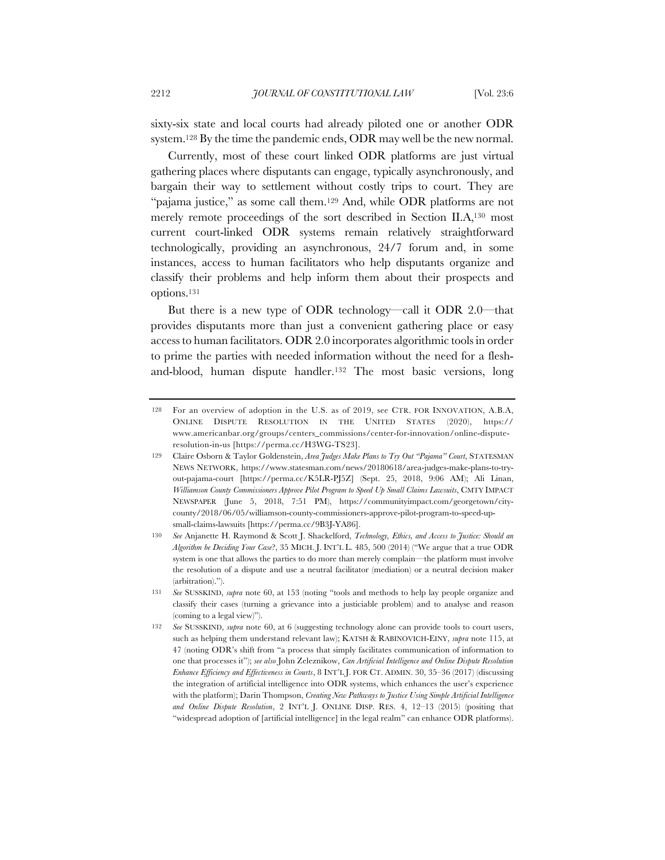sixty-six state and local courts had already piloted one or another ODR system.128 By the time the pandemic ends, ODR may well be the new normal.

Currently, most of these court linked ODR platforms are just virtual gathering places where disputants can engage, typically asynchronously, and bargain their way to settlement without costly trips to court. They are "pajama justice," as some call them.129 And, while ODR platforms are not merely remote proceedings of the sort described in Section II.A,130 most current court-linked ODR systems remain relatively straightforward technologically, providing an asynchronous, 24/7 forum and, in some instances, access to human facilitators who help disputants organize and classify their problems and help inform them about their prospects and options.131

But there is a new type of ODR technology—call it ODR 2.0—that provides disputants more than just a convenient gathering place or easy access to human facilitators. ODR 2.0 incorporates algorithmic tools in order to prime the parties with needed information without the need for a fleshand-blood, human dispute handler.132 The most basic versions, long

<sup>128</sup> For an overview of adoption in the U.S. as of 2019, see CTR. FOR INNOVATION, A.B.A, ONLINE DISPUTE RESOLUTION IN THE UNITED STATES (2020), https:// www.americanbar.org/groups/centers\_commissions/center-for-innovation/online-disputeresolution-in-us [https://perma.cc/H3WG-TS23].

<sup>129</sup> Claire Osborn & Taylor Goldenstein, *Area Judges Make Plans to Try Out "Pajama" Court*, STATESMAN NEWS NETWORK, https://www.statesman.com/news/20180618/area-judges-make-plans-to-tryout-pajama-court [https://perma.cc/K5LR-PJ5Z] (Sept. 25, 2018, 9:06 AM); Ali Linan, *Williamson County Commissioners Approve Pilot Program to Speed Up Small Claims Lawsuits*, CMTY IMPACT NEWSPAPER (June 5, 2018, 7:51 PM), https://communityimpact.com/georgetown/citycounty/2018/06/05/williamson-county-commissioners-approve-pilot-program-to-speed-upsmall-claims-lawsuits [https://perma.cc/9B3J-YA86].

<sup>130</sup> *See* Anjanette H. Raymond & Scott J. Shackelford, *Technology, Ethics, and Access to Justice: Should an Algorithm be Deciding Your Case*?, 35 MICH. J. INT'L L. 485, 500 (2014) ("We argue that a true ODR system is one that allows the parties to do more than merely complain—the platform must involve the resolution of a dispute and use a neutral facilitator (mediation) or a neutral decision maker (arbitration).").

<sup>131</sup> *See* SUSSKIND, *supra* note 60, at 153 (noting "tools and methods to help lay people organize and classify their cases (turning a grievance into a justiciable problem) and to analyse and reason (coming to a legal view)").

<sup>132</sup> *See* SUSSKIND, *supra* note 60, at 6 (suggesting technology alone can provide tools to court users, such as helping them understand relevant law); KATSH & RABINOVICH-EINY, *supra* note 115, at 47 (noting ODR's shift from "a process that simply facilitates communication of information to one that processes it"); *see also* John Zeleznikow, *Can Artificial Intelligence and Online Dispute Resolution Enhance Efficiency and Effectiveness in Courts*, 8 INT'L J. FOR CT. ADMIN. 30, 35–36 (2017) (discussing the integration of artificial intelligence into ODR systems, which enhances the user's experience with the platform); Darin Thompson, *Creating New Pathways to Justice Using Simple Artificial Intelligence and Online Dispute Resolution*, 2 INT'L J. ONLINE DISP. RES. 4, 12–13 (2015) (positing that "widespread adoption of [artificial intelligence] in the legal realm" can enhance ODR platforms).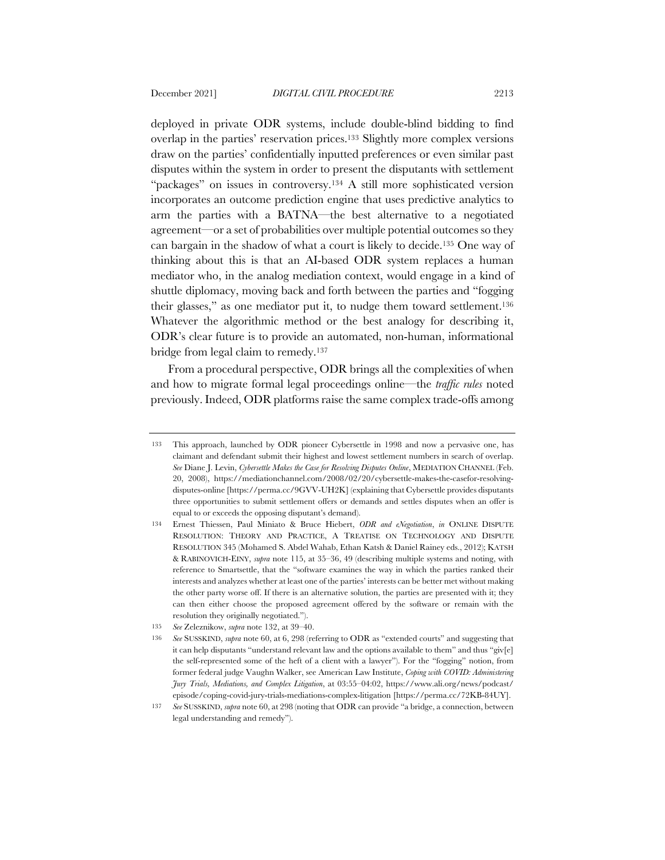deployed in private ODR systems, include double-blind bidding to find overlap in the parties' reservation prices.133 Slightly more complex versions draw on the parties' confidentially inputted preferences or even similar past disputes within the system in order to present the disputants with settlement "packages" on issues in controversy.134 A still more sophisticated version incorporates an outcome prediction engine that uses predictive analytics to arm the parties with a BATNA—the best alternative to a negotiated agreement—or a set of probabilities over multiple potential outcomes so they can bargain in the shadow of what a court is likely to decide.135 One way of thinking about this is that an AI-based ODR system replaces a human mediator who, in the analog mediation context, would engage in a kind of shuttle diplomacy, moving back and forth between the parties and "fogging their glasses," as one mediator put it, to nudge them toward settlement.136 Whatever the algorithmic method or the best analogy for describing it, ODR's clear future is to provide an automated, non-human, informational bridge from legal claim to remedy.137

From a procedural perspective, ODR brings all the complexities of when and how to migrate formal legal proceedings online—the *traffic rules* noted previously. Indeed, ODR platforms raise the same complex trade-offs among

<sup>133</sup> This approach, launched by ODR pioneer Cybersettle in 1998 and now a pervasive one, has claimant and defendant submit their highest and lowest settlement numbers in search of overlap. *See* Diane J. Levin, *Cybersettle Makes the Case for Resolving Disputes Online*, MEDIATION CHANNEL (Feb. 20, 2008), https://mediationchannel.com/2008/02/20/cybersettle-makes-the-casefor-resolvingdisputes-online [https://perma.cc/9GVV-UH2K] (explaining that Cybersettle provides disputants three opportunities to submit settlement offers or demands and settles disputes when an offer is equal to or exceeds the opposing disputant's demand).

<sup>134</sup> Ernest Thiessen, Paul Miniato & Bruce Hiebert, *ODR and eNegotiation*, *in* ONLINE DISPUTE RESOLUTION: THEORY AND PRACTICE, A TREATISE ON TECHNOLOGY AND DISPUTE RESOLUTION 345 (Mohamed S. Abdel Wahab, Ethan Katsh & Daniel Rainey eds., 2012); KATSH & RABINOVICH-EINY, *supra* note 115, at 35–36, 49 (describing multiple systems and noting, with reference to Smartsettle, that the "software examines the way in which the parties ranked their interests and analyzes whether at least one of the parties' interests can be better met without making the other party worse off. If there is an alternative solution, the parties are presented with it; they can then either choose the proposed agreement offered by the software or remain with the resolution they originally negotiated.").

<sup>135</sup> *See* Zeleznikow, *supra* note 132, at 39–40.

<sup>136</sup> *See* SUSSKIND, *supra* note 60, at 6, 298 (referring to ODR as "extended courts" and suggesting that it can help disputants "understand relevant law and the options available to them" and thus "giv[e] the self-represented some of the heft of a client with a lawyer"). For the "fogging" notion, from former federal judge Vaughn Walker, see American Law Institute, *Coping with COVID: Administering Jury Trials, Mediations, and Complex Litigation*, at 03:55–04:02, https://www.ali.org/news/podcast/ episode/coping-covid-jury-trials-mediations-complex-litigation [https://perma.cc/72KB-84UY].

<sup>137</sup> *See* SUSSKIND, *supra* note 60, at 298 (noting that ODR can provide "a bridge, a connection, between legal understanding and remedy").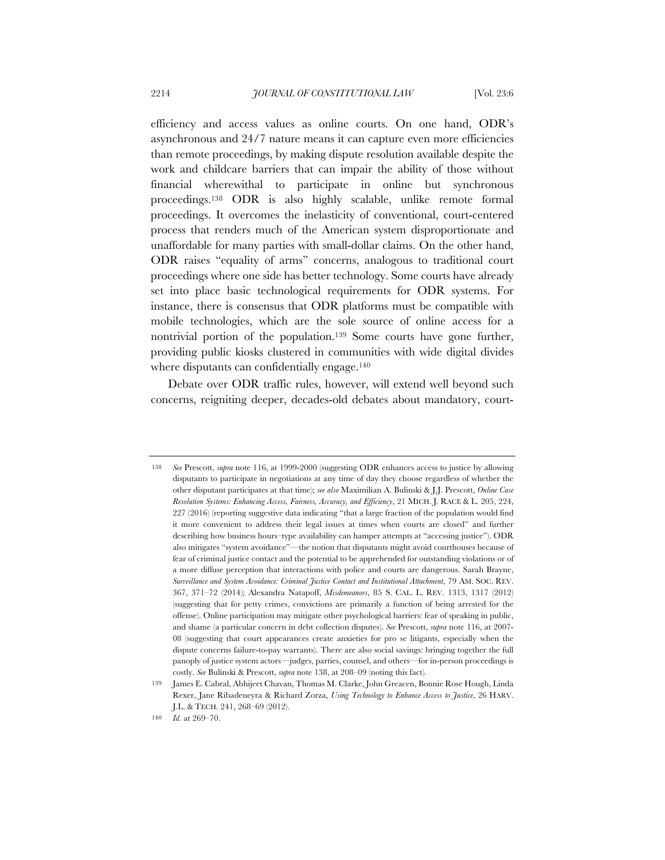efficiency and access values as online courts. On one hand, ODR's asynchronous and 24/7 nature means it can capture even more efficiencies than remote proceedings, by making dispute resolution available despite the work and childcare barriers that can impair the ability of those without financial wherewithal to participate in online but synchronous proceedings.138 ODR is also highly scalable, unlike remote formal proceedings. It overcomes the inelasticity of conventional, court-centered process that renders much of the American system disproportionate and unaffordable for many parties with small-dollar claims. On the other hand, ODR raises "equality of arms" concerns, analogous to traditional court proceedings where one side has better technology. Some courts have already set into place basic technological requirements for ODR systems. For instance, there is consensus that ODR platforms must be compatible with mobile technologies, which are the sole source of online access for a nontrivial portion of the population.139 Some courts have gone further, providing public kiosks clustered in communities with wide digital divides where disputants can confidentially engage.<sup>140</sup>

Debate over ODR traffic rules, however, will extend well beyond such concerns, reigniting deeper, decades-old debates about mandatory, court-

<sup>138</sup> *See* Prescott, *supra* note 116, at 1999-2000 (suggesting ODR enhances access to justice by allowing disputants to participate in negotiations at any time of day they choose regardless of whether the other disputant participates at that time); *see also* Maximilian A. Bulinski & J.J. Prescott, *Online Case Resolution Systems: Enhancing Access, Fairness, Accuracy, and Efficiency*, 21 MICH. J. RACE & L. 205, 224, 227 (2016) (reporting suggestive data indicating "that a large fraction of the population would find it more convenient to address their legal issues at times when courts are closed" and further describing how business hours–type availability can hamper attempts at "accessing justice"). ODR also mitigates "system avoidance"—the notion that disputants might avoid courthouses because of fear of criminal justice contact and the potential to be apprehended for outstanding violations or of a more diffuse perception that interactions with police and courts are dangerous. Sarah Brayne, *Surveillance and System Avoidance: Criminal Justice Contact and Institutional Attachment*, 79 AM. SOC. REV. 367, 371–72 (2014); Alexandra Natapoff, *Misdemeanors*, 85 S. CAL. L. REV. 1313, 1317 (2012) (suggesting that for petty crimes, convictions are primarily a function of being arrested for the offense). Online participation may mitigate other psychological barriers: fear of speaking in public, and shame (a particular concern in debt collection disputes). *See* Prescott, *supra* note 116, at 2007- 08 (suggesting that court appearances create anxieties for pro se litigants, especially when the dispute concerns failure-to-pay warrants). There are also social savings: bringing together the full panoply of justice system actors—judges, parties, counsel, and others—for in-person proceedings is costly. *See* Bulinski & Prescott, *supra* note 138, at 208–09 (noting this fact).

<sup>139</sup> James E. Cabral, Abhijeet Chavan, Thomas M. Clarke, John Greacen, Bonnie Rose Hough, Linda Rexer, Jane Ribadeneyra & Richard Zorza, *Using Technology to Enhance Access to Justice*, 26 HARV. J.L. & TECH. 241, 268–69 (2012).

<sup>140</sup> *Id.* at 269–70.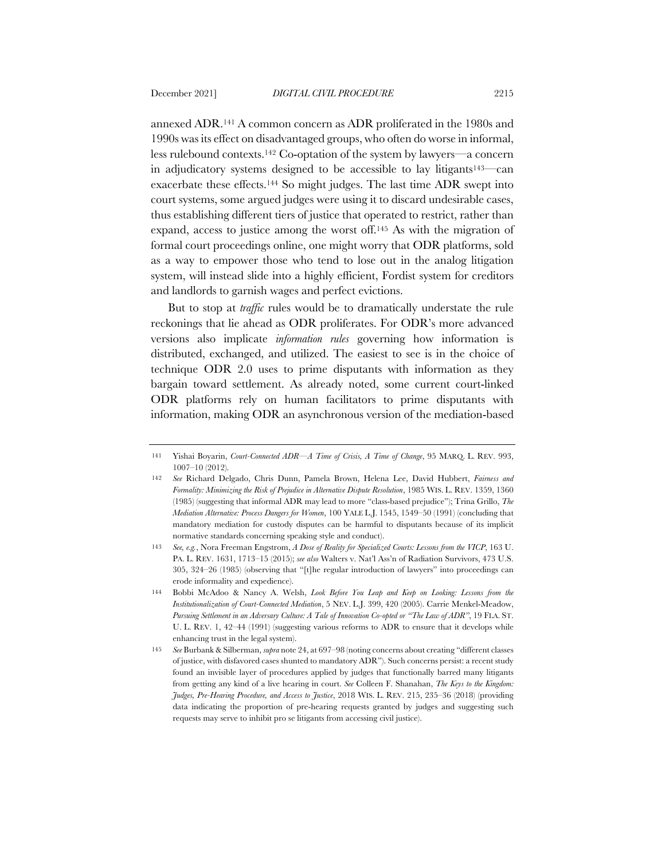annexed ADR.141 A common concern as ADR proliferated in the 1980s and 1990s was its effect on disadvantaged groups, who often do worse in informal, less rulebound contexts.142 Co-optation of the system by lawyers—a concern in adjudicatory systems designed to be accessible to lay litigants143—can exacerbate these effects.144 So might judges. The last time ADR swept into court systems, some argued judges were using it to discard undesirable cases, thus establishing different tiers of justice that operated to restrict, rather than expand, access to justice among the worst off.145 As with the migration of formal court proceedings online, one might worry that ODR platforms, sold as a way to empower those who tend to lose out in the analog litigation system, will instead slide into a highly efficient, Fordist system for creditors and landlords to garnish wages and perfect evictions.

But to stop at *traffic* rules would be to dramatically understate the rule reckonings that lie ahead as ODR proliferates. For ODR's more advanced versions also implicate *information rules* governing how information is distributed, exchanged, and utilized. The easiest to see is in the choice of technique ODR 2.0 uses to prime disputants with information as they bargain toward settlement. As already noted, some current court-linked ODR platforms rely on human facilitators to prime disputants with information, making ODR an asynchronous version of the mediation-based

<sup>141</sup> Yishai Boyarin, *Court-Connected ADR—A Time of Crisis, A Time of Change*, 95 MARQ. L. REV. 993, 1007–10 (2012).

<sup>142</sup> *See* Richard Delgado, Chris Dunn, Pamela Brown, Helena Lee, David Hubbert, *Fairness and Formality: Minimizing the Risk of Prejudice in Alternative Dispute Resolution*, 1985 WIS. L. REV. 1359, 1360 (1985) (suggesting that informal ADR may lead to more "class-based prejudice"); Trina Grillo, *The Mediation Alternative: Process Dangers for Women*, 100 YALE L.J. 1545, 1549–50 (1991) (concluding that mandatory mediation for custody disputes can be harmful to disputants because of its implicit normative standards concerning speaking style and conduct).

<sup>143</sup> *See, e.g.*, Nora Freeman Engstrom, *A Dose of Reality for Specialized Courts: Lessons from the VICP*, 163 U. PA. L. REV. 1631, 1713–15 (2015); *see also* Walters v. Nat'l Ass'n of Radiation Survivors, 473 U.S. 305, 324–26 (1985) (observing that "[t]he regular introduction of lawyers" into proceedings can erode informality and expedience).

<sup>144</sup> Bobbi McAdoo & Nancy A. Welsh, *Look Before You Leap and Keep on Looking: Lessons from the Institutionalization of Court-Connected Mediation*, 5 NEV. L.J. 399, 420 (2005). Carrie Menkel-Meadow, *Pursuing Settlement in an Adversary Culture: A Tale of Innovation Co-opted or "The Law of ADR"*, 19 FLA. ST. U. L. REV. 1, 42–44 (1991) (suggesting various reforms to ADR to ensure that it develops while enhancing trust in the legal system).

<sup>145</sup> *See* Burbank & Silberman, *supra* note 24, at 697–98 (noting concerns about creating "different classes of justice, with disfavored cases shunted to mandatory ADR"). Such concerns persist: a recent study found an invisible layer of procedures applied by judges that functionally barred many litigants from getting any kind of a live hearing in court. *See* Colleen F. Shanahan, *The Keys to the Kingdom: Judges, Pre-Hearing Procedure, and Access to Justice*, 2018 WIS. L. REV. 215, 235–36 (2018) (providing data indicating the proportion of pre-hearing requests granted by judges and suggesting such requests may serve to inhibit pro se litigants from accessing civil justice).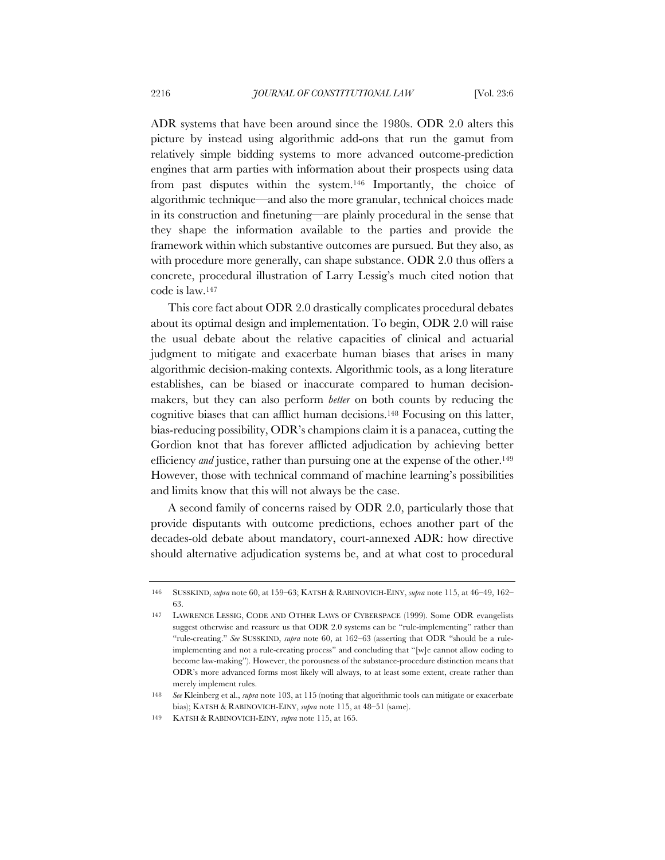ADR systems that have been around since the 1980s. ODR 2.0 alters this picture by instead using algorithmic add-ons that run the gamut from relatively simple bidding systems to more advanced outcome-prediction engines that arm parties with information about their prospects using data from past disputes within the system.146 Importantly, the choice of algorithmic technique—and also the more granular, technical choices made in its construction and finetuning—are plainly procedural in the sense that they shape the information available to the parties and provide the framework within which substantive outcomes are pursued. But they also, as with procedure more generally, can shape substance. ODR 2.0 thus offers a concrete, procedural illustration of Larry Lessig's much cited notion that code is law.147

This core fact about ODR 2.0 drastically complicates procedural debates about its optimal design and implementation. To begin, ODR 2.0 will raise the usual debate about the relative capacities of clinical and actuarial judgment to mitigate and exacerbate human biases that arises in many algorithmic decision-making contexts. Algorithmic tools, as a long literature establishes, can be biased or inaccurate compared to human decisionmakers, but they can also perform *better* on both counts by reducing the cognitive biases that can afflict human decisions.148 Focusing on this latter, bias-reducing possibility, ODR's champions claim it is a panacea, cutting the Gordion knot that has forever afflicted adjudication by achieving better efficiency *and* justice, rather than pursuing one at the expense of the other.<sup>149</sup> However, those with technical command of machine learning's possibilities and limits know that this will not always be the case.

A second family of concerns raised by ODR 2.0, particularly those that provide disputants with outcome predictions, echoes another part of the decades-old debate about mandatory, court-annexed ADR: how directive should alternative adjudication systems be, and at what cost to procedural

<sup>146</sup> SUSSKIND, *supra* note 60, at 159–63; KATSH & RABINOVICH-EINY, *supra* note 115, at 46–49, 162– 63.

<sup>147</sup> LAWRENCE LESSIG, CODE AND OTHER LAWS OF CYBERSPACE (1999). Some ODR evangelists suggest otherwise and reassure us that ODR 2.0 systems can be "rule-implementing" rather than "rule-creating." *See* SUSSKIND, *supra* note 60, at 162–63 (asserting that ODR "should be a ruleimplementing and not a rule-creating process" and concluding that "[w]e cannot allow coding to become law-making"). However, the porousness of the substance-procedure distinction means that ODR's more advanced forms most likely will always, to at least some extent, create rather than merely implement rules.

<sup>148</sup> *See* Kleinberg et al., *supra* note 103, at 115 (noting that algorithmic tools can mitigate or exacerbate bias); KATSH & RABINOVICH-EINY, *supra* note 115, at 48–51 (same).

<sup>149</sup> KATSH & RABINOVICH-EINY, *supra* note 115, at 165.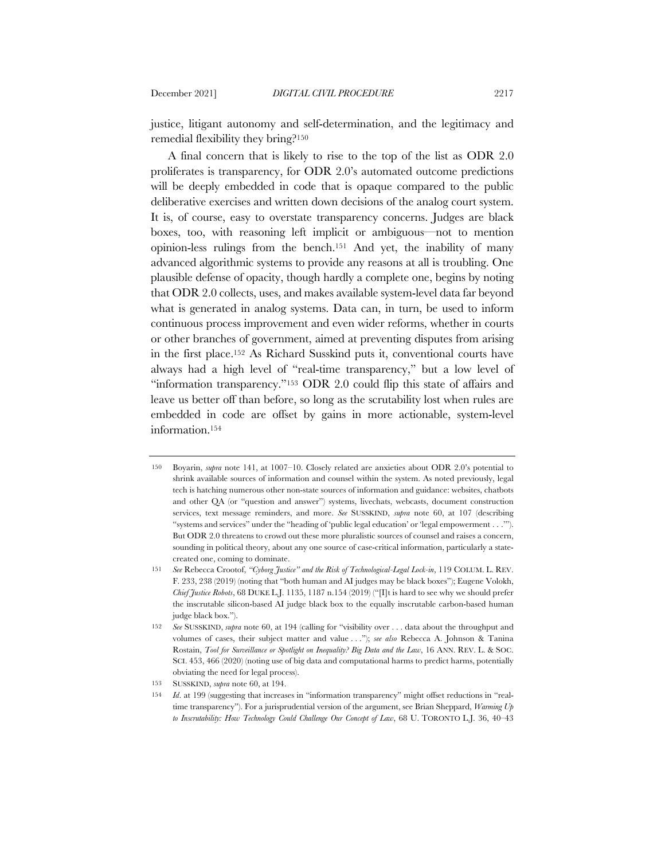justice, litigant autonomy and self-determination, and the legitimacy and remedial flexibility they bring?150

A final concern that is likely to rise to the top of the list as ODR 2.0 proliferates is transparency, for ODR 2.0's automated outcome predictions will be deeply embedded in code that is opaque compared to the public deliberative exercises and written down decisions of the analog court system. It is, of course, easy to overstate transparency concerns. Judges are black boxes, too, with reasoning left implicit or ambiguous—not to mention opinion-less rulings from the bench.151 And yet, the inability of many advanced algorithmic systems to provide any reasons at all is troubling. One plausible defense of opacity, though hardly a complete one, begins by noting that ODR 2.0 collects, uses, and makes available system-level data far beyond what is generated in analog systems. Data can, in turn, be used to inform continuous process improvement and even wider reforms, whether in courts or other branches of government, aimed at preventing disputes from arising in the first place.152 As Richard Susskind puts it, conventional courts have always had a high level of "real-time transparency," but a low level of "information transparency."153 ODR 2.0 could flip this state of affairs and leave us better off than before, so long as the scrutability lost when rules are embedded in code are offset by gains in more actionable, system-level information.154

<sup>150</sup> Boyarin, *supra* note 141, at 1007–10. Closely related are anxieties about ODR 2.0's potential to shrink available sources of information and counsel within the system. As noted previously, legal tech is hatching numerous other non-state sources of information and guidance: websites, chatbots and other QA (or "question and answer") systems, livechats, webcasts, document construction services, text message reminders, and more. *See* SUSSKIND, *supra* note 60, at 107 (describing "systems and services" under the "heading of 'public legal education' or 'legal empowerment . . .'"). But ODR 2.0 threatens to crowd out these more pluralistic sources of counsel and raises a concern, sounding in political theory, about any one source of case-critical information, particularly a statecreated one, coming to dominate.

<sup>151</sup> *See* Rebecca Crootof, *"Cyborg Justice" and the Risk of Technological-Legal Lock-in*, 119 COLUM. L. REV. F. 233, 238 (2019) (noting that "both human and AI judges may be black boxes"); Eugene Volokh, *Chief Justice Robots*, 68 DUKE L.J. 1135, 1187 n.154 (2019) ("[I]t is hard to see why we should prefer the inscrutable silicon-based AI judge black box to the equally inscrutable carbon-based human judge black box.").

<sup>152</sup> *See* SUSSKIND, *supra* note 60, at 194 (calling for "visibility over . . . data about the throughput and volumes of cases, their subject matter and value . . ."); *see also* Rebecca A. Johnson & Tanina Rostain, *Tool for Surveillance or Spotlight on Inequality? Big Data and the Law*, 16 ANN. REV. L. & SOC. SCI. 453, 466 (2020) (noting use of big data and computational harms to predict harms, potentially obviating the need for legal process).

<sup>153</sup> SUSSKIND, *supra* note 60, at 194.

<sup>154</sup> *Id*. at 199 (suggesting that increases in "information transparency" might offset reductions in "realtime transparency"). For a jurisprudential version of the argument, see Brian Sheppard, *Warming Up to Inscrutability: How Technology Could Challenge Our Concept of Law*, 68 U. TORONTO L.J. 36, 40–43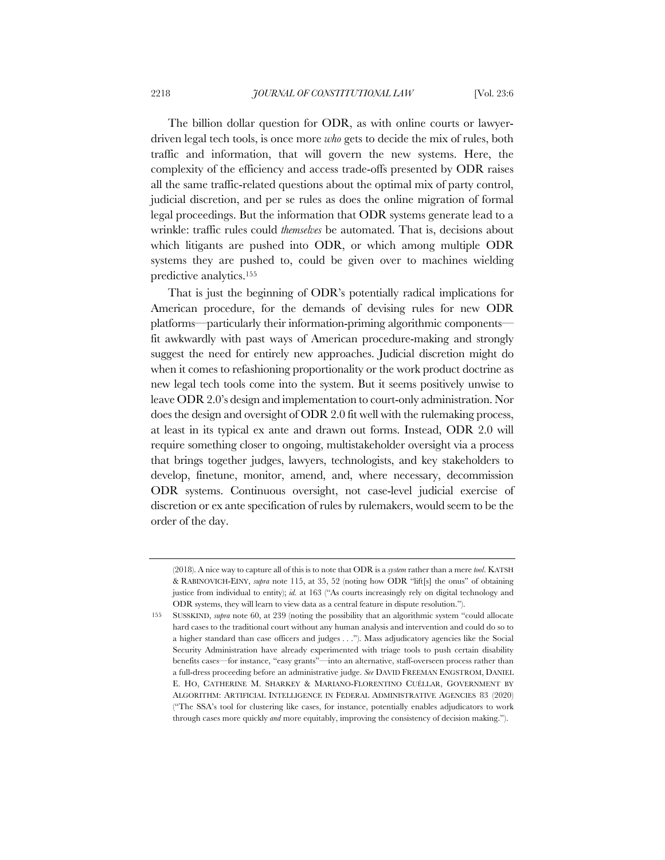The billion dollar question for ODR, as with online courts or lawyerdriven legal tech tools, is once more *who* gets to decide the mix of rules, both traffic and information, that will govern the new systems. Here, the complexity of the efficiency and access trade-offs presented by ODR raises all the same traffic-related questions about the optimal mix of party control, judicial discretion, and per se rules as does the online migration of formal legal proceedings. But the information that ODR systems generate lead to a wrinkle: traffic rules could *themselves* be automated. That is, decisions about which litigants are pushed into ODR, or which among multiple ODR systems they are pushed to, could be given over to machines wielding predictive analytics.155

That is just the beginning of ODR's potentially radical implications for American procedure, for the demands of devising rules for new ODR platforms—particularly their information-priming algorithmic components fit awkwardly with past ways of American procedure-making and strongly suggest the need for entirely new approaches. Judicial discretion might do when it comes to refashioning proportionality or the work product doctrine as new legal tech tools come into the system. But it seems positively unwise to leave ODR 2.0's design and implementation to court-only administration. Nor does the design and oversight of ODR 2.0 fit well with the rulemaking process, at least in its typical ex ante and drawn out forms. Instead, ODR 2.0 will require something closer to ongoing, multistakeholder oversight via a process that brings together judges, lawyers, technologists, and key stakeholders to develop, finetune, monitor, amend, and, where necessary, decommission ODR systems. Continuous oversight, not case-level judicial exercise of discretion or ex ante specification of rules by rulemakers, would seem to be the order of the day.

<sup>(2018).</sup> A nice way to capture all of this is to note that ODR is a *system* rather than a mere *tool*. KATSH & RABINOVICH-EINY, *supra* note 115, at 35, 52 (noting how ODR "lift[s] the onus" of obtaining justice from individual to entity); *id.* at 163 ("As courts increasingly rely on digital technology and ODR systems, they will learn to view data as a central feature in dispute resolution.").

<sup>155</sup> SUSSKIND, *supra* note 60, at 239 (noting the possibility that an algorithmic system "could allocate hard cases to the traditional court without any human analysis and intervention and could do so to a higher standard than case officers and judges . . ."). Mass adjudicatory agencies like the Social Security Administration have already experimented with triage tools to push certain disability benefits cases—for instance, "easy grants"—into an alternative, staff-overseen process rather than a full-dress proceeding before an administrative judge. *See* DAVID FREEMAN ENGSTROM, DANIEL E. HO, CATHERINE M. SHARKEY & MARIANO-FLORENTINO CUÉLLAR, GOVERNMENT BY ALGORITHM: ARTIFICIAL INTELLIGENCE IN FEDERAL ADMINISTRATIVE AGENCIES 83 (2020) ("The SSA's tool for clustering like cases, for instance, potentially enables adjudicators to work through cases more quickly *and* more equitably, improving the consistency of decision making.").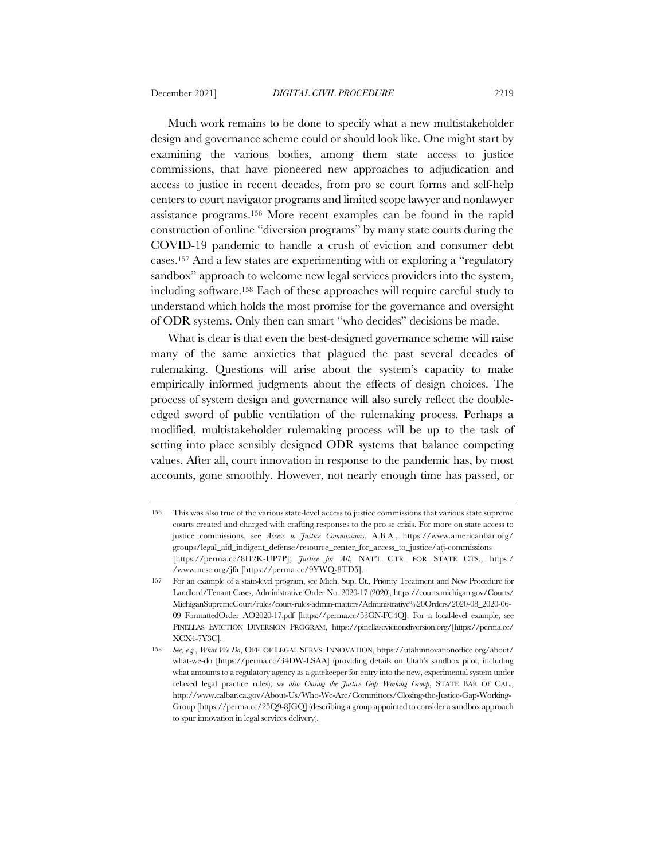Much work remains to be done to specify what a new multistakeholder design and governance scheme could or should look like. One might start by examining the various bodies, among them state access to justice commissions, that have pioneered new approaches to adjudication and access to justice in recent decades, from pro se court forms and self-help centers to court navigator programs and limited scope lawyer and nonlawyer assistance programs.156 More recent examples can be found in the rapid construction of online "diversion programs" by many state courts during the COVID-19 pandemic to handle a crush of eviction and consumer debt cases.157 And a few states are experimenting with or exploring a "regulatory sandbox" approach to welcome new legal services providers into the system, including software.158 Each of these approaches will require careful study to understand which holds the most promise for the governance and oversight of ODR systems. Only then can smart "who decides" decisions be made.

What is clear is that even the best-designed governance scheme will raise many of the same anxieties that plagued the past several decades of rulemaking. Questions will arise about the system's capacity to make empirically informed judgments about the effects of design choices. The process of system design and governance will also surely reflect the doubleedged sword of public ventilation of the rulemaking process. Perhaps a modified, multistakeholder rulemaking process will be up to the task of setting into place sensibly designed ODR systems that balance competing values. After all, court innovation in response to the pandemic has, by most accounts, gone smoothly. However, not nearly enough time has passed, or

<sup>156</sup> This was also true of the various state-level access to justice commissions that various state supreme courts created and charged with crafting responses to the pro se crisis. For more on state access to justice commissions, see *Access to Justice Commissions*, A.B.A., https://www.americanbar.org/ groups/legal\_aid\_indigent\_defense/resource\_center\_for\_access\_to\_justice/atj-commissions [https://perma.cc/8H2K-UP7P]; *Justice for All*, NAT'L CTR. FOR STATE CTS., https:/ /www.ncsc.org/jfa [https://perma.cc/9YWQ-8TD5].

<sup>157</sup> For an example of a state-level program, see Mich. Sup. Ct., Priority Treatment and New Procedure for Landlord/Tenant Cases, Administrative Order No. 2020-17 (2020), https://courts.michigan.gov/Courts/ MichiganSupremeCourt/rules/court-rules-admin-matters/Administrative%20Orders/2020-08\_2020-06- 09\_FormattedOrder\_AO2020-17.pdf [https://perma.cc/53GN-FC4Q]. For a local-level example, see PINELLAS EVICTION DIVERSION PROGRAM, https://pinellasevictiondiversion.org/[https://perma.cc/ XCX4-7Y3C].

<sup>158</sup> *See, e.g.*, *What We Do*, OFF. OF LEGAL SERVS. INNOVATION, https://utahinnovationoffice.org/about/ what-we-do [https://perma.cc/34DW-LSAA] (providing details on Utah's sandbox pilot, including what amounts to a regulatory agency as a gatekeeper for entry into the new, experimental system under relaxed legal practice rules); *see also Closing the Justice Gap Working Group*, STATE BAR OF CAL., http://www.calbar.ca.gov/About-Us/Who-We-Are/Committees/Closing-the-Justice-Gap-Working-Group [https://perma.cc/25Q9-8JGQ] (describing a group appointed to consider a sandbox approach to spur innovation in legal services delivery).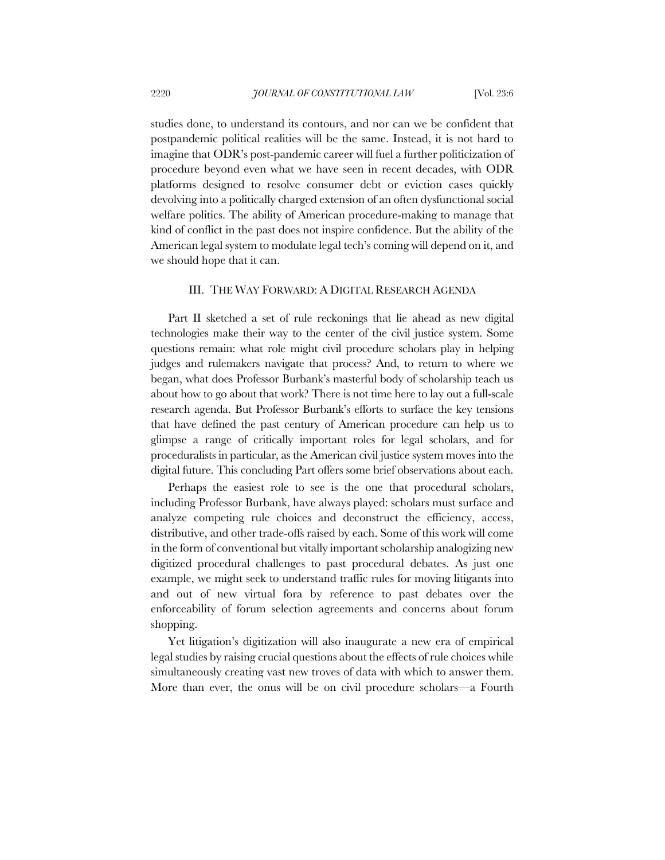studies done, to understand its contours, and nor can we be confident that postpandemic political realities will be the same. Instead, it is not hard to imagine that ODR's post-pandemic career will fuel a further politicization of procedure beyond even what we have seen in recent decades, with ODR platforms designed to resolve consumer debt or eviction cases quickly devolving into a politically charged extension of an often dysfunctional social welfare politics. The ability of American procedure-making to manage that kind of conflict in the past does not inspire confidence. But the ability of the American legal system to modulate legal tech's coming will depend on it, and we should hope that it can.

## III. THE WAY FORWARD: A DIGITAL RESEARCH AGENDA

Part II sketched a set of rule reckonings that lie ahead as new digital technologies make their way to the center of the civil justice system. Some questions remain: what role might civil procedure scholars play in helping judges and rulemakers navigate that process? And, to return to where we began, what does Professor Burbank's masterful body of scholarship teach us about how to go about that work? There is not time here to lay out a full-scale research agenda. But Professor Burbank's efforts to surface the key tensions that have defined the past century of American procedure can help us to glimpse a range of critically important roles for legal scholars, and for proceduralists in particular, as the American civil justice system moves into the digital future. This concluding Part offers some brief observations about each.

Perhaps the easiest role to see is the one that procedural scholars, including Professor Burbank, have always played: scholars must surface and analyze competing rule choices and deconstruct the efficiency, access, distributive, and other trade-offs raised by each. Some of this work will come in the form of conventional but vitally important scholarship analogizing new digitized procedural challenges to past procedural debates. As just one example, we might seek to understand traffic rules for moving litigants into and out of new virtual fora by reference to past debates over the enforceability of forum selection agreements and concerns about forum shopping.

Yet litigation's digitization will also inaugurate a new era of empirical legal studies by raising crucial questions about the effects of rule choices while simultaneously creating vast new troves of data with which to answer them. More than ever, the onus will be on civil procedure scholars—a Fourth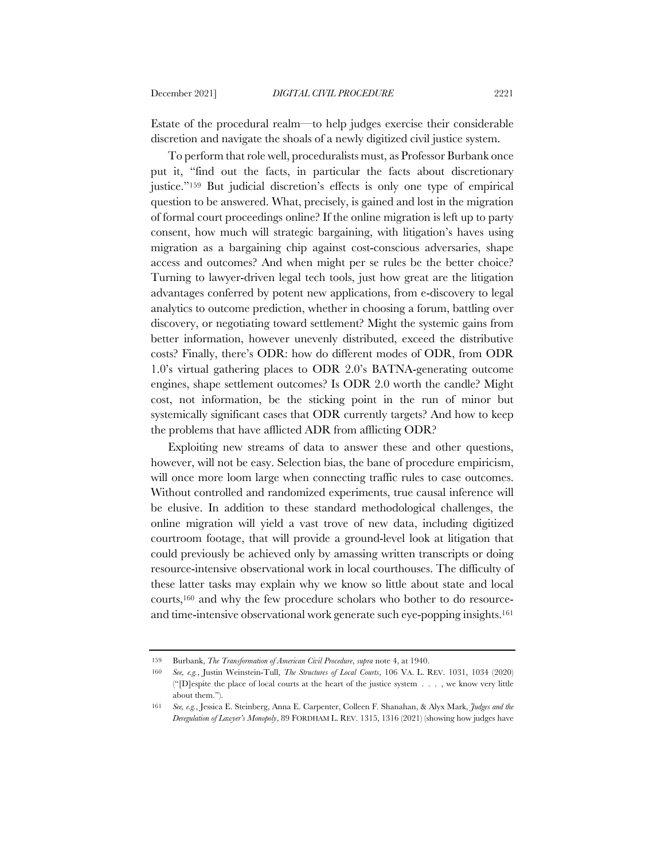Estate of the procedural realm—to help judges exercise their considerable discretion and navigate the shoals of a newly digitized civil justice system.

To perform that role well, proceduralists must, as Professor Burbank once put it, "find out the facts, in particular the facts about discretionary justice."159 But judicial discretion's effects is only one type of empirical question to be answered. What, precisely, is gained and lost in the migration of formal court proceedings online? If the online migration is left up to party consent, how much will strategic bargaining, with litigation's haves using migration as a bargaining chip against cost-conscious adversaries, shape access and outcomes? And when might per se rules be the better choice? Turning to lawyer-driven legal tech tools, just how great are the litigation advantages conferred by potent new applications, from e-discovery to legal analytics to outcome prediction, whether in choosing a forum, battling over discovery, or negotiating toward settlement? Might the systemic gains from better information, however unevenly distributed, exceed the distributive costs? Finally, there's ODR: how do different modes of ODR, from ODR 1.0's virtual gathering places to ODR 2.0's BATNA-generating outcome engines, shape settlement outcomes? Is ODR 2.0 worth the candle? Might cost, not information, be the sticking point in the run of minor but systemically significant cases that ODR currently targets? And how to keep the problems that have afflicted ADR from afflicting ODR?

Exploiting new streams of data to answer these and other questions, however, will not be easy. Selection bias, the bane of procedure empiricism, will once more loom large when connecting traffic rules to case outcomes. Without controlled and randomized experiments, true causal inference will be elusive. In addition to these standard methodological challenges, the online migration will yield a vast trove of new data, including digitized courtroom footage, that will provide a ground-level look at litigation that could previously be achieved only by amassing written transcripts or doing resource-intensive observational work in local courthouses. The difficulty of these latter tasks may explain why we know so little about state and local courts,160 and why the few procedure scholars who bother to do resourceand time-intensive observational work generate such eye-popping insights.161

<sup>159</sup> Burbank, *The Transformation of American Civil Procedure*, *supra* note 4, at 1940.

<sup>160</sup> *See, e.g.*, Justin Weinstein-Tull, *The Structures of Local Courts*, 106 VA. L. REV. 1031, 1034 (2020) ("[D]espite the place of local courts at the heart of the justice system . . . , we know very little about them.").

<sup>161</sup> *See, e.g.*, Jessica E. Steinberg, Anna E. Carpenter, Colleen F. Shanahan, & Alyx Mark, *Judges and the Deregulation of Lawyer's Monopoly*, 89 FORDHAM L. REV. 1315, 1316 (2021) (showing how judges have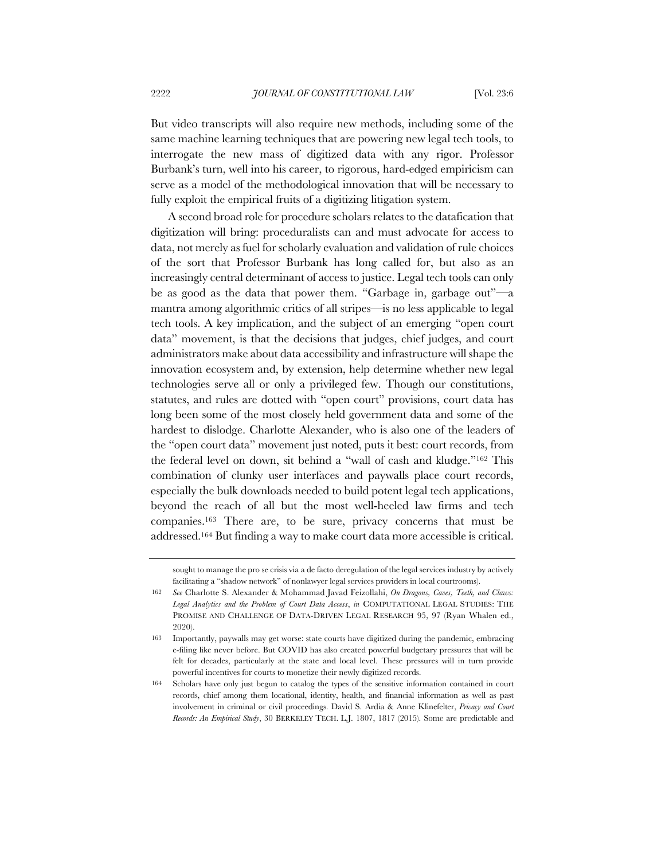But video transcripts will also require new methods, including some of the same machine learning techniques that are powering new legal tech tools, to interrogate the new mass of digitized data with any rigor. Professor Burbank's turn, well into his career, to rigorous, hard-edged empiricism can serve as a model of the methodological innovation that will be necessary to fully exploit the empirical fruits of a digitizing litigation system.

A second broad role for procedure scholars relates to the datafication that digitization will bring: proceduralists can and must advocate for access to data, not merely as fuel for scholarly evaluation and validation of rule choices of the sort that Professor Burbank has long called for, but also as an increasingly central determinant of access to justice. Legal tech tools can only be as good as the data that power them. "Garbage in, garbage out"—a mantra among algorithmic critics of all stripes—is no less applicable to legal tech tools. A key implication, and the subject of an emerging "open court data" movement, is that the decisions that judges, chief judges, and court administrators make about data accessibility and infrastructure will shape the innovation ecosystem and, by extension, help determine whether new legal technologies serve all or only a privileged few. Though our constitutions, statutes, and rules are dotted with "open court" provisions, court data has long been some of the most closely held government data and some of the hardest to dislodge. Charlotte Alexander, who is also one of the leaders of the "open court data" movement just noted, puts it best: court records, from the federal level on down, sit behind a "wall of cash and kludge."162 This combination of clunky user interfaces and paywalls place court records, especially the bulk downloads needed to build potent legal tech applications, beyond the reach of all but the most well-heeled law firms and tech companies.163 There are, to be sure, privacy concerns that must be addressed.164 But finding a way to make court data more accessible is critical.

sought to manage the pro se crisis via a de facto deregulation of the legal services industry by actively facilitating a "shadow network" of nonlawyer legal services providers in local courtrooms).

<sup>162</sup> *See* Charlotte S. Alexander & Mohammad Javad Feizollahi, *On Dragons, Caves, Teeth, and Claws: Legal Analytics and the Problem of Court Data Access*, *in* COMPUTATIONAL LEGAL STUDIES: THE PROMISE AND CHALLENGE OF DATA-DRIVEN LEGAL RESEARCH 95, 97 (Ryan Whalen ed., 2020).

<sup>163</sup> Importantly, paywalls may get worse: state courts have digitized during the pandemic, embracing e-filing like never before. But COVID has also created powerful budgetary pressures that will be felt for decades, particularly at the state and local level. These pressures will in turn provide powerful incentives for courts to monetize their newly digitized records.

<sup>164</sup> Scholars have only just begun to catalog the types of the sensitive information contained in court records, chief among them locational, identity, health, and financial information as well as past involvement in criminal or civil proceedings. David S. Ardia & Anne Klinefelter, *Privacy and Court Records: An Empirical Study*, 30 BERKELEY TECH. L.J. 1807, 1817 (2015). Some are predictable and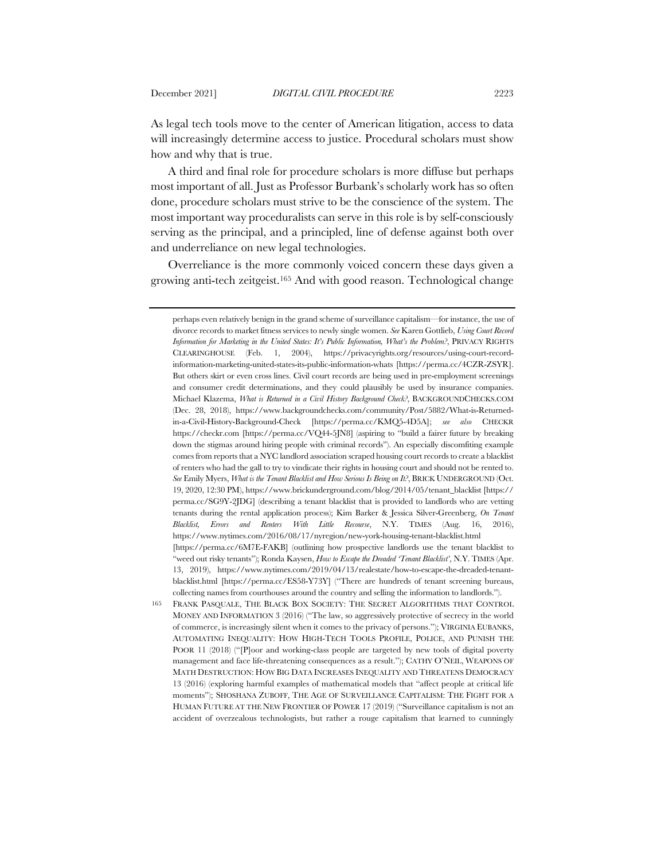As legal tech tools move to the center of American litigation, access to data will increasingly determine access to justice. Procedural scholars must show how and why that is true.

A third and final role for procedure scholars is more diffuse but perhaps most important of all. Just as Professor Burbank's scholarly work has so often done, procedure scholars must strive to be the conscience of the system. The most important way proceduralists can serve in this role is by self-consciously serving as the principal, and a principled, line of defense against both over and underreliance on new legal technologies.

Overreliance is the more commonly voiced concern these days given a growing anti-tech zeitgeist.165 And with good reason. Technological change

perhaps even relatively benign in the grand scheme of surveillance capitalism—for instance, the use of divorce records to market fitness services to newly single women. *See* Karen Gottlieb, *Using Court Record Information for Marketing in the United States: It's Public Information, What's the Problem?*, PRIVACY RIGHTS CLEARINGHOUSE (Feb. 1, 2004), https://privacyrights.org/resources/using-court-recordinformation-marketing-united-states-its-public-information-whats [https://perma.cc/4CZR-ZSYR]. But others skirt or even cross lines. Civil court records are being used in pre-employment screenings and consumer credit determinations, and they could plausibly be used by insurance companies. Michael Klazema, *What is Returned in a Civil History Background Check?*, BACKGROUNDCHECKS.COM (Dec. 28, 2018), https://www.backgroundchecks.com/community/Post/5882/What-is-Returnedin-a-Civil-History-Background-Check [https://perma.cc/KMQ5-4D5A]; *see also* CHECKR https://checkr.com [https://perma.cc/VQ44-5]N8] (aspiring to "build a fairer future by breaking down the stigmas around hiring people with criminal records"). An especially discomfiting example comes from reports that a NYC landlord association scraped housing court records to create a blacklist of renters who had the gall to try to vindicate their rights in housing court and should not be rented to. *See* Emily Myers, *What is the Tenant Blacklist and How Serious Is Being on It?*, BRICK UNDERGROUND (Oct. 19, 2020, 12:30 PM), https://www.brickunderground.com/blog/2014/05/tenant\_blacklist [https:// perma.cc/SG9Y-2JDG] (describing a tenant blacklist that is provided to landlords who are vetting tenants during the rental application process); Kim Barker & Jessica Silver-Greenberg, *On Tenant Blacklist, Errors and Renters With Little Recourse*, N.Y. TIMES (Aug. 16, 2016), https://www.nytimes.com/2016/08/17/nyregion/new-york-housing-tenant-blacklist.html [https://perma.cc/6M7E-FAKB] (outlining how prospective landlords use the tenant blacklist to "weed out risky tenants"); Ronda Kaysen, *How to Escape the Dreaded 'Tenant Blacklist'*, N.Y. TIMES (Apr. 13, 2019), https://www.nytimes.com/2019/04/13/realestate/how-to-escape-the-dreaded-tenantblacklist.html [https://perma.cc/ES58-Y73Y] ("There are hundreds of tenant screening bureaus, collecting names from courthouses around the country and selling the information to landlords.").

<sup>165</sup> FRANK PASQUALE, THE BLACK BOX SOCIETY: THE SECRET ALGORITHMS THAT CONTROL MONEY AND INFORMATION 3 (2016) ("The law, so aggressively protective of secrecy in the world of commerce, is increasingly silent when it comes to the privacy of persons."); VIRGINIA EUBANKS, AUTOMATING INEQUALITY: HOW HIGH-TECH TOOLS PROFILE, POLICE, AND PUNISH THE POOR 11 (2018) ("[P]oor and working-class people are targeted by new tools of digital poverty management and face life-threatening consequences as a result."); CATHY O'NEIL, WEAPONS OF MATH DESTRUCTION: HOW BIG DATA INCREASES INEQUALITY AND THREATENS DEMOCRACY 13 (2016) (exploring harmful examples of mathematical models that "affect people at critical life moments"); SHOSHANA ZUBOFF, THE AGE OF SURVEILLANCE CAPITALISM: THE FIGHT FOR A HUMAN FUTURE AT THE NEW FRONTIER OF POWER 17 (2019) ("Surveillance capitalism is not an accident of overzealous technologists, but rather a rouge capitalism that learned to cunningly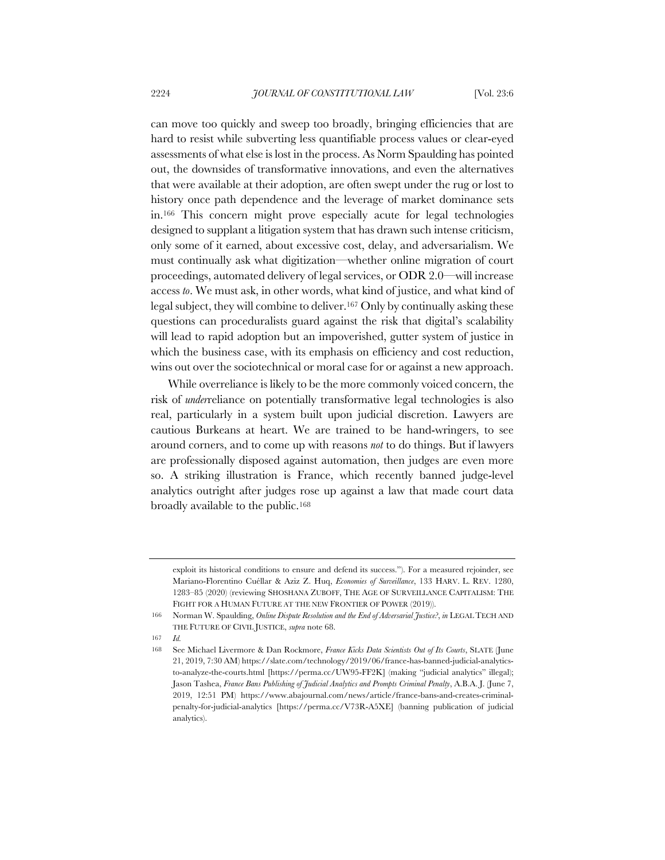can move too quickly and sweep too broadly, bringing efficiencies that are hard to resist while subverting less quantifiable process values or clear-eyed assessments of what else is lost in the process. As Norm Spaulding has pointed out, the downsides of transformative innovations, and even the alternatives that were available at their adoption, are often swept under the rug or lost to history once path dependence and the leverage of market dominance sets in.166 This concern might prove especially acute for legal technologies designed to supplant a litigation system that has drawn such intense criticism, only some of it earned, about excessive cost, delay, and adversarialism. We must continually ask what digitization—whether online migration of court proceedings, automated delivery of legal services, or ODR 2.0—will increase access *to*. We must ask, in other words, what kind of justice, and what kind of legal subject, they will combine to deliver.167 Only by continually asking these questions can proceduralists guard against the risk that digital's scalability will lead to rapid adoption but an impoverished, gutter system of justice in which the business case, with its emphasis on efficiency and cost reduction, wins out over the sociotechnical or moral case for or against a new approach.

While overreliance is likely to be the more commonly voiced concern, the risk of *under*reliance on potentially transformative legal technologies is also real, particularly in a system built upon judicial discretion. Lawyers are cautious Burkeans at heart. We are trained to be hand-wringers, to see around corners, and to come up with reasons *not* to do things. But if lawyers are professionally disposed against automation, then judges are even more so. A striking illustration is France, which recently banned judge-level analytics outright after judges rose up against a law that made court data broadly available to the public.168

exploit its historical conditions to ensure and defend its success."). For a measured rejoinder, see Mariano-Florentino Cuéllar & Aziz Z. Huq, *Economies of Surveillance*, 133 HARV. L. REV. 1280, 1283–85 (2020) (reviewing SHOSHANA ZUBOFF, THE AGE OF SURVEILLANCE CAPITALISM: THE FIGHT FOR A HUMAN FUTURE AT THE NEW FRONTIER OF POWER (2019)).

<sup>166</sup> Norman W. Spaulding, *Online Dispute Resolution and the End of Adversarial Justice?*, *in* LEGAL TECH AND THE FUTURE OF CIVIL JUSTICE, *supra* note 68.

<sup>167</sup> *Id.*

<sup>168</sup> See Michael Livermore & Dan Rockmore, *France Kicks Data Scientists Out of Its Courts*, SLATE (June 21, 2019, 7:30 AM) https://slate.com/technology/2019/06/france-has-banned-judicial-analyticsto-analyze-the-courts.html [https://perma.cc/UW95-FF2K] (making "judicial analytics" illegal); Jason Tashea, *France Bans Publishing of Judicial Analytics and Prompts Criminal Penalty*, A.B.A. J. (June 7, 2019, 12:51 PM) https://www.abajournal.com/news/article/france-bans-and-creates-criminalpenalty-for-judicial-analytics [https://perma.cc/V73R-A5XE] (banning publication of judicial analytics).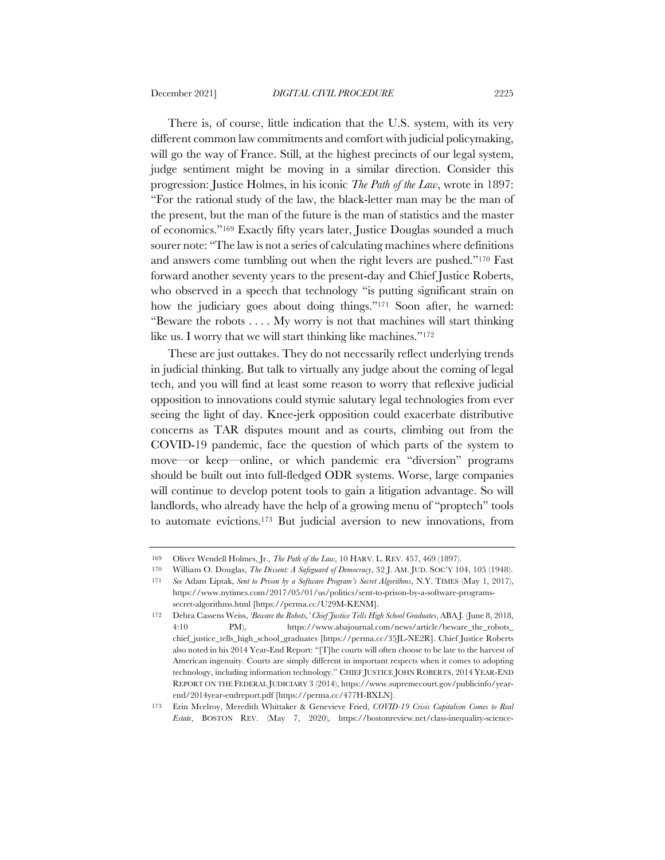There is, of course, little indication that the U.S. system, with its very different common law commitments and comfort with judicial policymaking, will go the way of France. Still, at the highest precincts of our legal system, judge sentiment might be moving in a similar direction. Consider this progression: Justice Holmes, in his iconic *The Path of the Law*, wrote in 1897: "For the rational study of the law, the black-letter man may be the man of the present, but the man of the future is the man of statistics and the master of economics."169 Exactly fifty years later, Justice Douglas sounded a much sourer note: "The law is not a series of calculating machines where definitions and answers come tumbling out when the right levers are pushed."170 Fast forward another seventy years to the present-day and Chief Justice Roberts, who observed in a speech that technology "is putting significant strain on how the judiciary goes about doing things."<sup>171</sup> Soon after, he warned: "Beware the robots . . . . My worry is not that machines will start thinking like us. I worry that we will start thinking like machines."<sup>172</sup>

These are just outtakes. They do not necessarily reflect underlying trends in judicial thinking. But talk to virtually any judge about the coming of legal tech, and you will find at least some reason to worry that reflexive judicial opposition to innovations could stymie salutary legal technologies from ever seeing the light of day. Knee-jerk opposition could exacerbate distributive concerns as TAR disputes mount and as courts, climbing out from the COVID-19 pandemic, face the question of which parts of the system to move—or keep—online, or which pandemic era "diversion" programs should be built out into full-fledged ODR systems. Worse, large companies will continue to develop potent tools to gain a litigation advantage. So will landlords, who already have the help of a growing menu of "proptech" tools to automate evictions.173 But judicial aversion to new innovations, from

<sup>169</sup> Oliver Wendell Holmes, Jr., *The Path of the Law*, 10 HARV. L. REV. 457, 469 (1897).

<sup>170</sup> William O. Douglas, *The Dissent: A Safeguard of Democracy*, 32 J. AM. JUD. SOC'Y 104, 105 (1948).

<sup>171</sup> *See* Adam Liptak, *Sent to Prison by a Software Program's Secret Algorithms*, N.Y. TIMES (May 1, 2017), https://www.nytimes.com/2017/05/01/us/politics/sent-to-prison-by-a-software-programssecret-algorithms.html [https://perma.cc/U29M-KENM].

<sup>172</sup> Debra Cassens Weiss, *'Beware the Robots,' Chief Justice Tells High School Graduates*, ABA J. (June 8, 2018, 4:10 PM), https://www.abajournal.com/news/article/beware\_the\_robots\_ chief\_justice\_tells\_high\_school\_graduates [https://perma.cc/35JL-NE2R]. Chief Justice Roberts also noted in his 2014 Year-End Report: "[T]he courts will often choose to be late to the harvest of American ingenuity. Courts are simply different in important respects when it comes to adopting technology, including information technology." CHIEF JUSTICE JOHN ROBERTS, 2014 YEAR-END REPORT ON THE FEDERAL JUDICIARY 3 (2014), https://www.supremecourt.gov/publicinfo/yearend/2014year-endreport.pdf [https://perma.cc/477H-BXLN].

<sup>173</sup> Erin Mcelroy, Meredith Whittaker & Genevieve Fried, *COVID-19 Crisis Capitalism Comes to Real Estate*, BOSTON REV. (May 7, 2020), https://bostonreview.net/class-inequality-science-